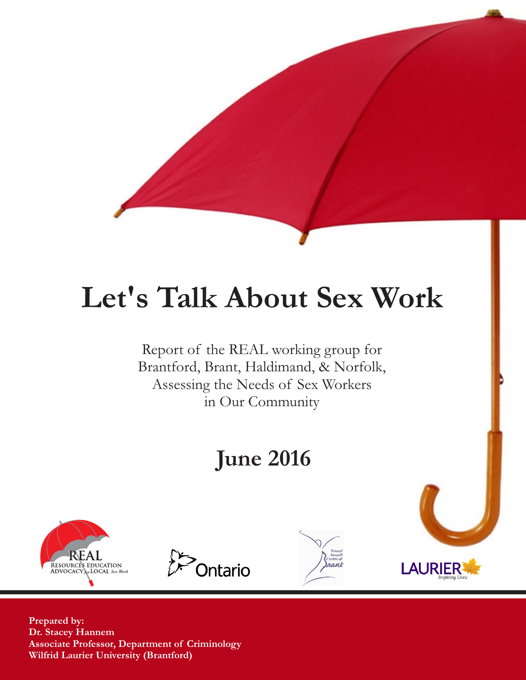# **Let's Talk About Sex Work**

Report of the REAL working group for Brantford, Brant, Haldimand, & Norfolk, Assessing the Needs of Sex Workers in Our Community

## **June 2016**









**Prepared by: Dr. Stacey Hannem Associate Professor, Department of Criminology Wilfrid Laurier University (Brantford)**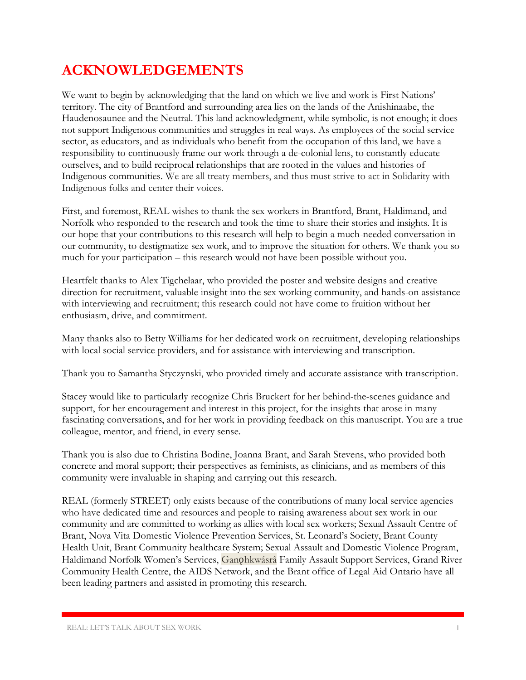### **ACKNOWLEDGEMENTS**

We want to begin by acknowledging that the land on which we live and work is First Nations' territory. The city of Brantford and surrounding area lies on the lands of the Anishinaabe, the Haudenosaunee and the Neutral. This land acknowledgment, while symbolic, is not enough; it does not support Indigenous communities and struggles in real ways. As employees of the social service sector, as educators, and as individuals who benefit from the occupation of this land, we have a responsibility to continuously frame our work through a de-colonial lens, to constantly educate ourselves, and to build reciprocal relationships that are rooted in the values and histories of Indigenous communities. We are all treaty members, and thus must strive to act in Solidarity with Indigenous folks and center their voices.

First, and foremost, REAL wishes to thank the sex workers in Brantford, Brant, Haldimand, and Norfolk who responded to the research and took the time to share their stories and insights. It is our hope that your contributions to this research will help to begin a much-needed conversation in our community, to destigmatize sex work, and to improve the situation for others. We thank you so much for your participation – this research would not have been possible without you.

Heartfelt thanks to Alex Tigchelaar, who provided the poster and website designs and creative direction for recruitment, valuable insight into the sex working community, and hands-on assistance with interviewing and recruitment; this research could not have come to fruition without her enthusiasm, drive, and commitment.

Many thanks also to Betty Williams for her dedicated work on recruitment, developing relationships with local social service providers, and for assistance with interviewing and transcription.

Thank you to Samantha Styczynski, who provided timely and accurate assistance with transcription.

Stacey would like to particularly recognize Chris Bruckert for her behind-the-scenes guidance and support, for her encouragement and interest in this project, for the insights that arose in many fascinating conversations, and for her work in providing feedback on this manuscript. You are a true colleague, mentor, and friend, in every sense.

Thank you is also due to Christina Bodine, Joanna Brant, and Sarah Stevens, who provided both concrete and moral support; their perspectives as feminists, as clinicians, and as members of this community were invaluable in shaping and carrying out this research.

REAL (formerly STREET) only exists because of the contributions of many local service agencies who have dedicated time and resources and people to raising awareness about sex work in our community and are committed to working as allies with local sex workers; Sexual Assault Centre of Brant, Nova Vita Domestic Violence Prevention Services, St. Leonard's Society, Brant County Health Unit, Brant Community healthcare System; Sexual Assault and Domestic Violence Program, Haldimand Norfolk Women's Services, Ganohkwásrá Family Assault Support Services, Grand River Community Health Centre, the AIDS Network, and the Brant office of Legal Aid Ontario have all been leading partners and assisted in promoting this research.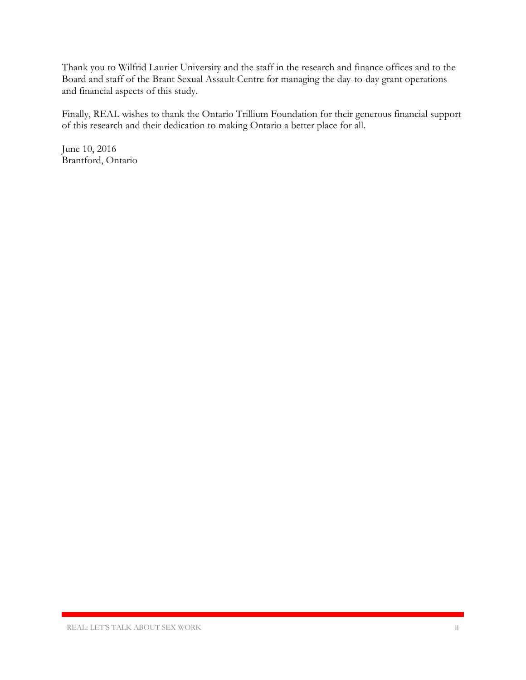Thank you to Wilfrid Laurier University and the staff in the research and finance offices and to the Board and staff of the Brant Sexual Assault Centre for managing the day-to-day grant operations and financial aspects of this study.

Finally, REAL wishes to thank the Ontario Trillium Foundation for their generous financial support of this research and their dedication to making Ontario a better place for all.

June 10, 2016 Brantford, Ontario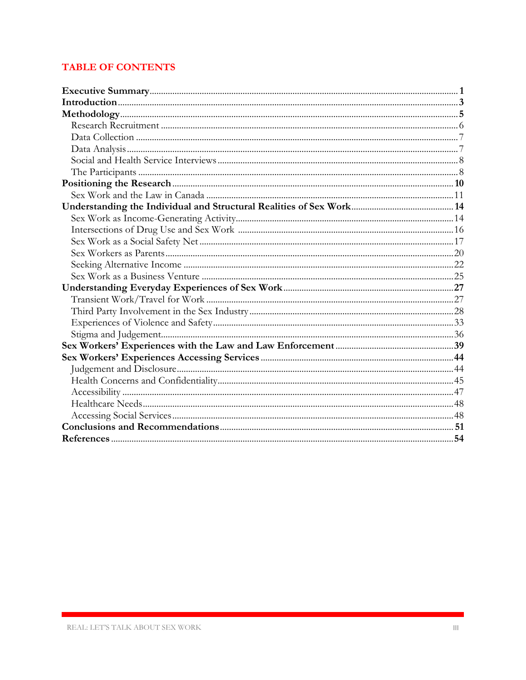#### **TABLE OF CONTENTS**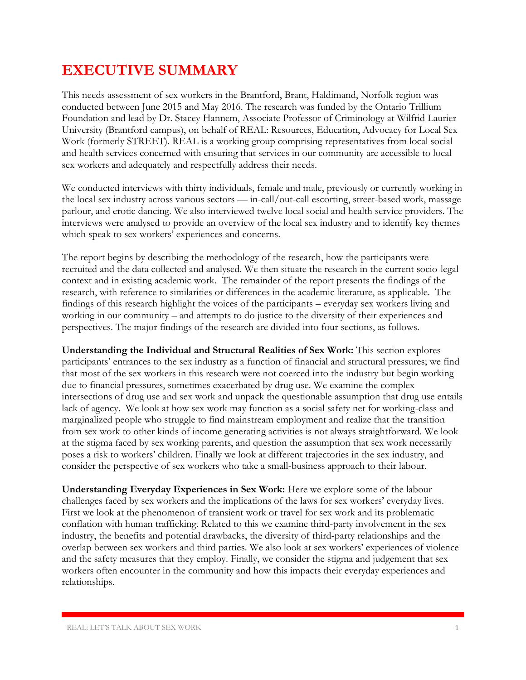### **EXECUTIVE SUMMARY**

This needs assessment of sex workers in the Brantford, Brant, Haldimand, Norfolk region was conducted between June 2015 and May 2016. The research was funded by the Ontario Trillium Foundation and lead by Dr. Stacey Hannem, Associate Professor of Criminology at Wilfrid Laurier University (Brantford campus), on behalf of REAL: Resources, Education, Advocacy for Local Sex Work (formerly STREET). REAL is a working group comprising representatives from local social and health services concerned with ensuring that services in our community are accessible to local sex workers and adequately and respectfully address their needs.

We conducted interviews with thirty individuals, female and male, previously or currently working in the local sex industry across various sectors — in-call/out-call escorting, street-based work, massage parlour, and erotic dancing. We also interviewed twelve local social and health service providers. The interviews were analysed to provide an overview of the local sex industry and to identify key themes which speak to sex workers' experiences and concerns.

The report begins by describing the methodology of the research, how the participants were recruited and the data collected and analysed. We then situate the research in the current socio-legal context and in existing academic work. The remainder of the report presents the findings of the research, with reference to similarities or differences in the academic literature, as applicable. The findings of this research highlight the voices of the participants – everyday sex workers living and working in our community – and attempts to do justice to the diversity of their experiences and perspectives. The major findings of the research are divided into four sections, as follows.

**Understanding the Individual and Structural Realities of Sex Work:** This section explores participants' entrances to the sex industry as a function of financial and structural pressures; we find that most of the sex workers in this research were not coerced into the industry but begin working due to financial pressures, sometimes exacerbated by drug use. We examine the complex intersections of drug use and sex work and unpack the questionable assumption that drug use entails lack of agency. We look at how sex work may function as a social safety net for working-class and marginalized people who struggle to find mainstream employment and realize that the transition from sex work to other kinds of income generating activities is not always straightforward. We look at the stigma faced by sex working parents, and question the assumption that sex work necessarily poses a risk to workers' children. Finally we look at different trajectories in the sex industry, and consider the perspective of sex workers who take a small-business approach to their labour.

**Understanding Everyday Experiences in Sex Work:** Here we explore some of the labour challenges faced by sex workers and the implications of the laws for sex workers' everyday lives. First we look at the phenomenon of transient work or travel for sex work and its problematic conflation with human trafficking. Related to this we examine third-party involvement in the sex industry, the benefits and potential drawbacks, the diversity of third-party relationships and the overlap between sex workers and third parties. We also look at sex workers' experiences of violence and the safety measures that they employ. Finally, we consider the stigma and judgement that sex workers often encounter in the community and how this impacts their everyday experiences and relationships.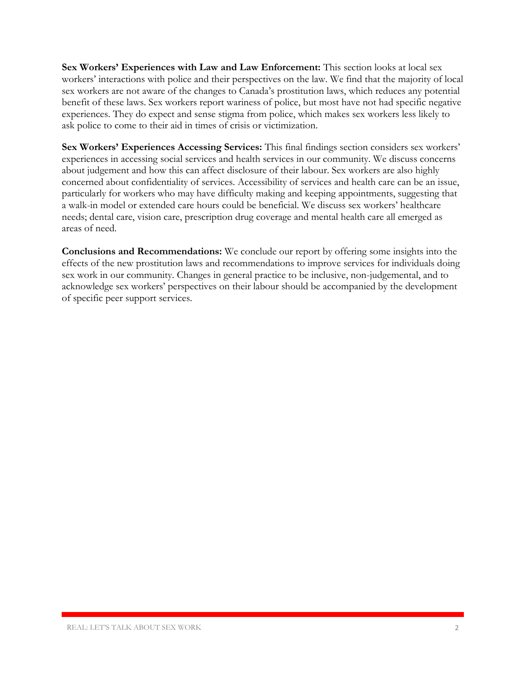**Sex Workers' Experiences with Law and Law Enforcement:** This section looks at local sex workers' interactions with police and their perspectives on the law. We find that the majority of local sex workers are not aware of the changes to Canada's prostitution laws, which reduces any potential benefit of these laws. Sex workers report wariness of police, but most have not had specific negative experiences. They do expect and sense stigma from police, which makes sex workers less likely to ask police to come to their aid in times of crisis or victimization.

**Sex Workers' Experiences Accessing Services:** This final findings section considers sex workers' experiences in accessing social services and health services in our community. We discuss concerns about judgement and how this can affect disclosure of their labour. Sex workers are also highly concerned about confidentiality of services. Accessibility of services and health care can be an issue, particularly for workers who may have difficulty making and keeping appointments, suggesting that a walk-in model or extended care hours could be beneficial. We discuss sex workers' healthcare needs; dental care, vision care, prescription drug coverage and mental health care all emerged as areas of need.

**Conclusions and Recommendations:** We conclude our report by offering some insights into the effects of the new prostitution laws and recommendations to improve services for individuals doing sex work in our community. Changes in general practice to be inclusive, non-judgemental, and to acknowledge sex workers' perspectives on their labour should be accompanied by the development of specific peer support services.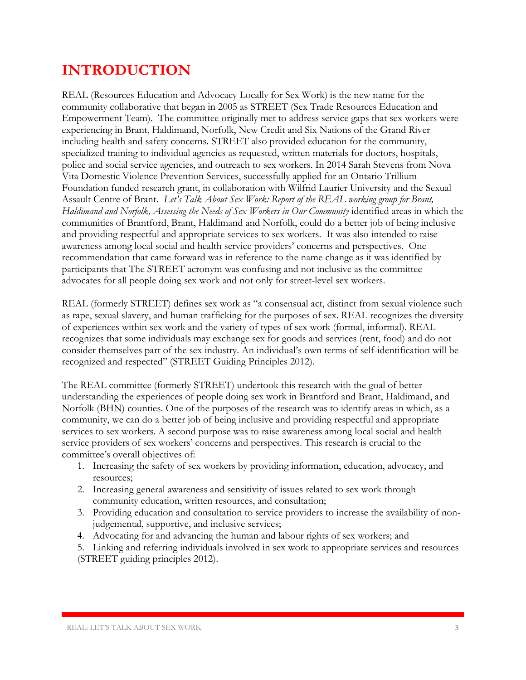### **INTRODUCTION**

REAL (Resources Education and Advocacy Locally for Sex Work) is the new name for the community collaborative that began in 2005 as STREET (Sex Trade Resources Education and Empowerment Team). The committee originally met to address service gaps that sex workers were experiencing in Brant, Haldimand, Norfolk, New Credit and Six Nations of the Grand River including health and safety concerns. STREET also provided education for the community, specialized training to individual agencies as requested, written materials for doctors, hospitals, police and social service agencies, and outreach to sex workers. In 2014 Sarah Stevens from Nova Vita Domestic Violence Prevention Services, successfully applied for an Ontario Trillium Foundation funded research grant, in collaboration with Wilfrid Laurier University and the Sexual Assault Centre of Brant. *Let's Talk About Sex Work: Report of the REAL working group for Brant,*  Haldimand and Norfolk, Assessing the Needs of Sex Workers in Our Community identified areas in which the communities of Brantford, Brant, Haldimand and Norfolk, could do a better job of being inclusive and providing respectful and appropriate services to sex workers. It was also intended to raise awareness among local social and health service providers' concerns and perspectives. One recommendation that came forward was in reference to the name change as it was identified by participants that The STREET acronym was confusing and not inclusive as the committee advocates for all people doing sex work and not only for street-level sex workers.

REAL (formerly STREET) defines sex work as "a consensual act, distinct from sexual violence such as rape, sexual slavery, and human trafficking for the purposes of sex. REAL recognizes the diversity of experiences within sex work and the variety of types of sex work (formal, informal). REAL recognizes that some individuals may exchange sex for goods and services (rent, food) and do not consider themselves part of the sex industry. An individual's own terms of self-identification will be recognized and respected" (STREET Guiding Principles 2012).

The REAL committee (formerly STREET) undertook this research with the goal of better understanding the experiences of people doing sex work in Brantford and Brant, Haldimand, and Norfolk (BHN) counties. One of the purposes of the research was to identify areas in which, as a community, we can do a better job of being inclusive and providing respectful and appropriate services to sex workers. A second purpose was to raise awareness among local social and health service providers of sex workers' concerns and perspectives. This research is crucial to the committee's overall objectives of:

- 1. Increasing the safety of sex workers by providing information, education, advocacy, and resources;
- 2. Increasing general awareness and sensitivity of issues related to sex work through community education, written resources, and consultation;
- 3. Providing education and consultation to service providers to increase the availability of nonjudgemental, supportive, and inclusive services;
- 4. Advocating for and advancing the human and labour rights of sex workers; and
- 5. Linking and referring individuals involved in sex work to appropriate services and resources (STREET guiding principles 2012).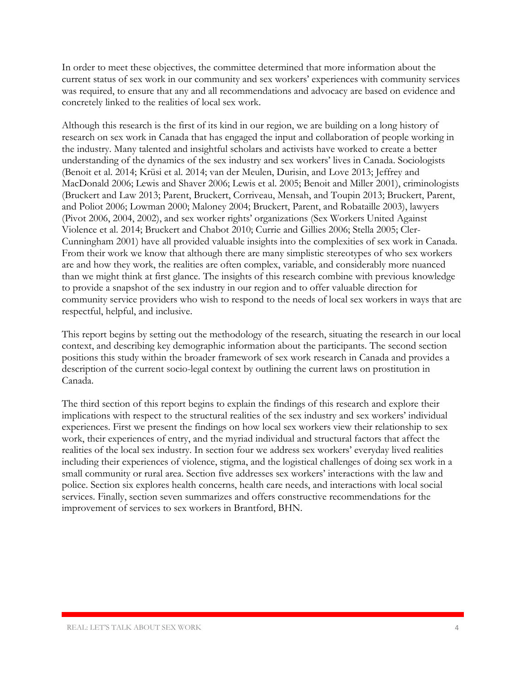In order to meet these objectives, the committee determined that more information about the current status of sex work in our community and sex workers' experiences with community services was required, to ensure that any and all recommendations and advocacy are based on evidence and concretely linked to the realities of local sex work.

Although this research is the first of its kind in our region, we are building on a long history of research on sex work in Canada that has engaged the input and collaboration of people working in the industry. Many talented and insightful scholars and activists have worked to create a better understanding of the dynamics of the sex industry and sex workers' lives in Canada. Sociologists (Benoit et al. 2014; Krüsi et al. 2014; van der Meulen, Durisin, and Love 2013; Jeffrey and MacDonald 2006; Lewis and Shaver 2006; Lewis et al. 2005; Benoit and Miller 2001), criminologists (Bruckert and Law 2013; Parent, Bruckert, Corriveau, Mensah, and Toupin 2013; Bruckert, Parent, and Poliot 2006; Lowman 2000; Maloney 2004; Bruckert, Parent, and Robataille 2003), lawyers (Pivot 2006, 2004, 2002), and sex worker rights' organizations (Sex Workers United Against Violence et al. 2014; Bruckert and Chabot 2010; Currie and Gillies 2006; Stella 2005; Cler-Cunningham 2001) have all provided valuable insights into the complexities of sex work in Canada. From their work we know that although there are many simplistic stereotypes of who sex workers are and how they work, the realities are often complex, variable, and considerably more nuanced than we might think at first glance. The insights of this research combine with previous knowledge to provide a snapshot of the sex industry in our region and to offer valuable direction for community service providers who wish to respond to the needs of local sex workers in ways that are respectful, helpful, and inclusive.

This report begins by setting out the methodology of the research, situating the research in our local context, and describing key demographic information about the participants. The second section positions this study within the broader framework of sex work research in Canada and provides a description of the current socio-legal context by outlining the current laws on prostitution in Canada.

The third section of this report begins to explain the findings of this research and explore their implications with respect to the structural realities of the sex industry and sex workers' individual experiences. First we present the findings on how local sex workers view their relationship to sex work, their experiences of entry, and the myriad individual and structural factors that affect the realities of the local sex industry. In section four we address sex workers' everyday lived realities including their experiences of violence, stigma, and the logistical challenges of doing sex work in a small community or rural area. Section five addresses sex workers' interactions with the law and police. Section six explores health concerns, health care needs, and interactions with local social services. Finally, section seven summarizes and offers constructive recommendations for the improvement of services to sex workers in Brantford, BHN.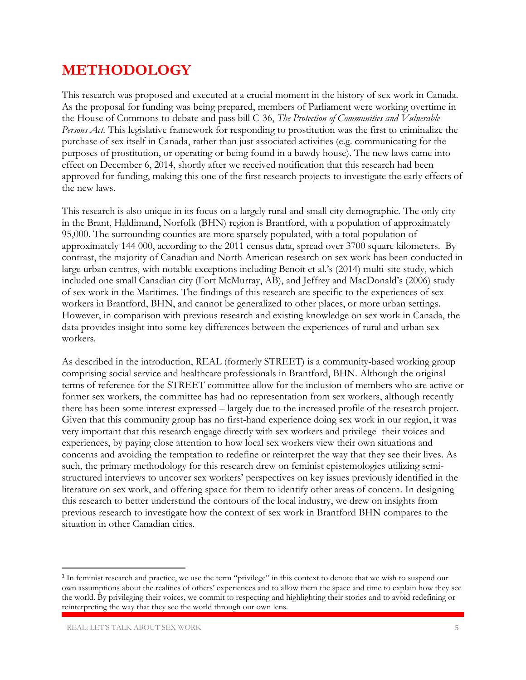### **METHODOLOGY**

This research was proposed and executed at a crucial moment in the history of sex work in Canada. As the proposal for funding was being prepared, members of Parliament were working overtime in the House of Commons to debate and pass bill C-36, *The Protection of Communities and Vulnerable Persons Act.* This legislative framework for responding to prostitution was the first to criminalize the purchase of sex itself in Canada, rather than just associated activities (e.g. communicating for the purposes of prostitution, or operating or being found in a bawdy house). The new laws came into effect on December 6, 2014, shortly after we received notification that this research had been approved for funding, making this one of the first research projects to investigate the early effects of the new laws.

This research is also unique in its focus on a largely rural and small city demographic. The only city in the Brant, Haldimand, Norfolk (BHN) region is Brantford, with a population of approximately 95,000. The surrounding counties are more sparsely populated, with a total population of approximately 144 000, according to the 2011 census data, spread over 3700 square kilometers. By contrast, the majority of Canadian and North American research on sex work has been conducted in large urban centres, with notable exceptions including Benoit et al.'s (2014) multi-site study, which included one small Canadian city (Fort McMurray, AB), and Jeffrey and MacDonald's (2006) study of sex work in the Maritimes. The findings of this research are specific to the experiences of sex workers in Brantford, BHN, and cannot be generalized to other places, or more urban settings. However, in comparison with previous research and existing knowledge on sex work in Canada, the data provides insight into some key differences between the experiences of rural and urban sex workers.

As described in the introduction, REAL (formerly STREET) is a community-based working group comprising social service and healthcare professionals in Brantford, BHN. Although the original terms of reference for the STREET committee allow for the inclusion of members who are active or former sex workers, the committee has had no representation from sex workers, although recently there has been some interest expressed – largely due to the increased profile of the research project. Given that this community group has no first-hand experience doing sex work in our region, it was very important that this research engage directly with sex workers and privilege<sup>1</sup> their voices and experiences, by paying close attention to how local sex workers view their own situations and concerns and avoiding the temptation to redefine or reinterpret the way that they see their lives. As such, the primary methodology for this research drew on feminist epistemologies utilizing semistructured interviews to uncover sex workers' perspectives on key issues previously identified in the literature on sex work, and offering space for them to identify other areas of concern. In designing this research to better understand the contours of the local industry, we drew on insights from previous research to investigate how the context of sex work in Brantford BHN compares to the situation in other Canadian cities.

 $\overline{a}$ 

<sup>&</sup>lt;sup>1</sup> In feminist research and practice, we use the term "privilege" in this context to denote that we wish to suspend our own assumptions about the realities of others' experiences and to allow them the space and time to explain how they see the world. By privileging their voices, we commit to respecting and highlighting their stories and to avoid redefining or reinterpreting the way that they see the world through our own lens.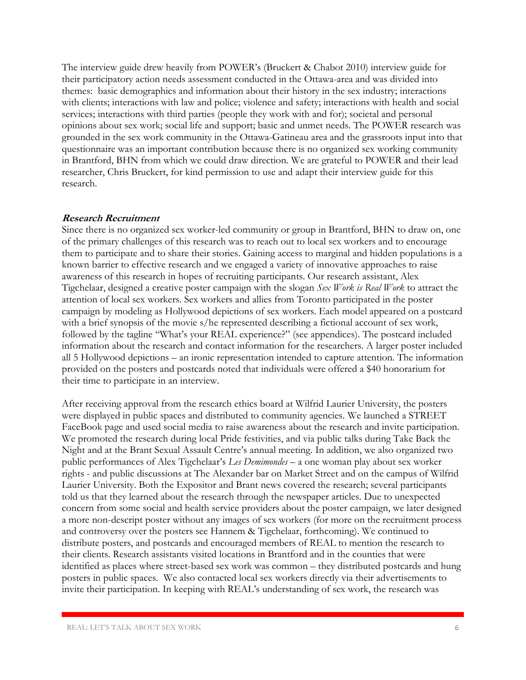The interview guide drew heavily from POWER's (Bruckert & Chabot 2010) interview guide for their participatory action needs assessment conducted in the Ottawa-area and was divided into themes: basic demographics and information about their history in the sex industry; interactions with clients; interactions with law and police; violence and safety; interactions with health and social services; interactions with third parties (people they work with and for); societal and personal opinions about sex work; social life and support; basic and unmet needs. The POWER research was grounded in the sex work community in the Ottawa-Gatineau area and the grassroots input into that questionnaire was an important contribution because there is no organized sex working community in Brantford, BHN from which we could draw direction. We are grateful to POWER and their lead researcher, Chris Bruckert, for kind permission to use and adapt their interview guide for this research.

#### **Research Recruitment**

Since there is no organized sex worker-led community or group in Brantford, BHN to draw on, one of the primary challenges of this research was to reach out to local sex workers and to encourage them to participate and to share their stories. Gaining access to marginal and hidden populations is a known barrier to effective research and we engaged a variety of innovative approaches to raise awareness of this research in hopes of recruiting participants. Our research assistant, Alex Tigchelaar, designed a creative poster campaign with the slogan *Sex Work is Real Work* to attract the attention of local sex workers. Sex workers and allies from Toronto participated in the poster campaign by modeling as Hollywood depictions of sex workers. Each model appeared on a postcard with a brief synopsis of the movie s/he represented describing a fictional account of sex work, followed by the tagline "What's your REAL experience?" (see appendices). The postcard included information about the research and contact information for the researchers. A larger poster included all 5 Hollywood depictions – an ironic representation intended to capture attention. The information provided on the posters and postcards noted that individuals were offered a \$40 honorarium for their time to participate in an interview.

After receiving approval from the research ethics board at Wilfrid Laurier University, the posters were displayed in public spaces and distributed to community agencies. We launched a STREET FaceBook page and used social media to raise awareness about the research and invite participation. We promoted the research during local Pride festivities, and via public talks during Take Back the Night and at the Brant Sexual Assault Centre's annual meeting. In addition, we also organized two public performances of Alex Tigchelaar's *Les Demimondes –* a one woman play about sex worker rights - and public discussions at The Alexander bar on Market Street and on the campus of Wilfrid Laurier University. Both the Expositor and Brant news covered the research; several participants told us that they learned about the research through the newspaper articles. Due to unexpected concern from some social and health service providers about the poster campaign, we later designed a more non-descript poster without any images of sex workers (for more on the recruitment process and controversy over the posters see Hannem & Tigchelaar, forthcoming). We continued to distribute posters, and postcards and encouraged members of REAL to mention the research to their clients. Research assistants visited locations in Brantford and in the counties that were identified as places where street-based sex work was common – they distributed postcards and hung posters in public spaces. We also contacted local sex workers directly via their advertisements to invite their participation. In keeping with REAL's understanding of sex work, the research was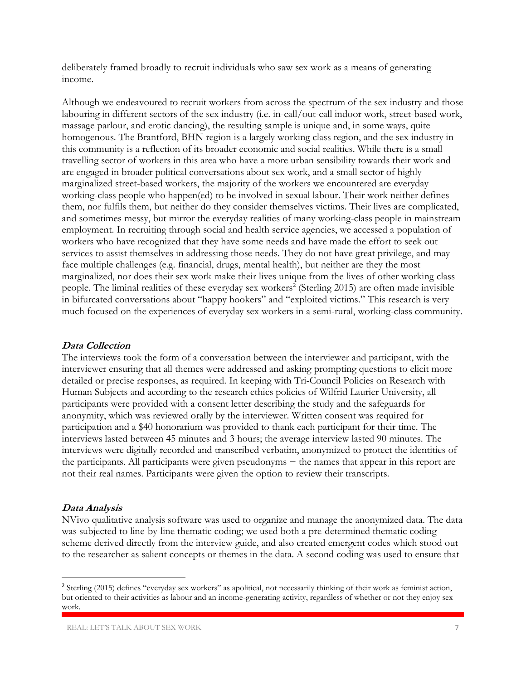deliberately framed broadly to recruit individuals who saw sex work as a means of generating income.

Although we endeavoured to recruit workers from across the spectrum of the sex industry and those labouring in different sectors of the sex industry (i.e. in-call/out-call indoor work, street-based work, massage parlour, and erotic dancing), the resulting sample is unique and, in some ways, quite homogenous. The Brantford, BHN region is a largely working class region, and the sex industry in this community is a reflection of its broader economic and social realities. While there is a small travelling sector of workers in this area who have a more urban sensibility towards their work and are engaged in broader political conversations about sex work, and a small sector of highly marginalized street-based workers, the majority of the workers we encountered are everyday working-class people who happen(ed) to be involved in sexual labour. Their work neither defines them, nor fulfils them, but neither do they consider themselves victims. Their lives are complicated, and sometimes messy, but mirror the everyday realities of many working-class people in mainstream employment. In recruiting through social and health service agencies, we accessed a population of workers who have recognized that they have some needs and have made the effort to seek out services to assist themselves in addressing those needs. They do not have great privilege, and may face multiple challenges (e.g. financial, drugs, mental health), but neither are they the most marginalized, nor does their sex work make their lives unique from the lives of other working class people. The liminal realities of these everyday sex workers<sup>2</sup> (Sterling 2015) are often made invisible in bifurcated conversations about "happy hookers" and "exploited victims." This research is very much focused on the experiences of everyday sex workers in a semi-rural, working-class community.

#### **Data Collection**

The interviews took the form of a conversation between the interviewer and participant, with the interviewer ensuring that all themes were addressed and asking prompting questions to elicit more detailed or precise responses, as required. In keeping with Tri-Council Policies on Research with Human Subjects and according to the research ethics policies of Wilfrid Laurier University, all participants were provided with a consent letter describing the study and the safeguards for anonymity, which was reviewed orally by the interviewer. Written consent was required for participation and a \$40 honorarium was provided to thank each participant for their time. The interviews lasted between 45 minutes and 3 hours; the average interview lasted 90 minutes. The interviews were digitally recorded and transcribed verbatim, anonymized to protect the identities of the participants. All participants were given pseudonyms − the names that appear in this report are not their real names. Participants were given the option to review their transcripts.

#### **Data Analysis**

 $\overline{a}$ 

NVivo qualitative analysis software was used to organize and manage the anonymized data. The data was subjected to line-by-line thematic coding; we used both a pre-determined thematic coding scheme derived directly from the interview guide, and also created emergent codes which stood out to the researcher as salient concepts or themes in the data. A second coding was used to ensure that

<sup>2</sup> Sterling (2015) defines "everyday sex workers" as apolitical, not necessarily thinking of their work as feminist action, but oriented to their activities as labour and an income-generating activity, regardless of whether or not they enjoy sex work.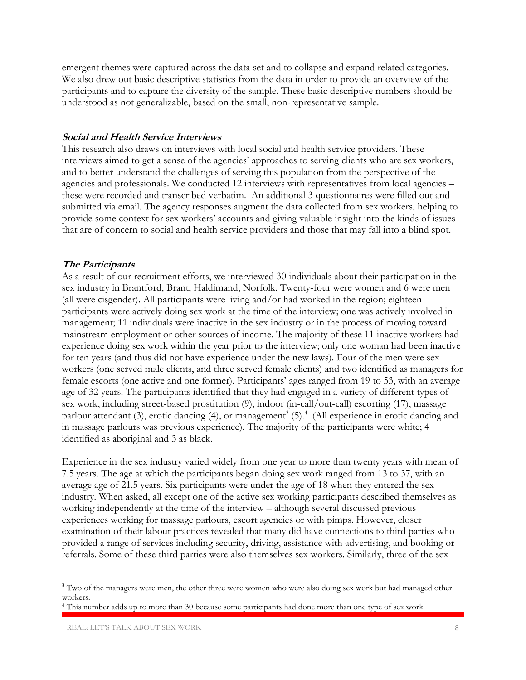emergent themes were captured across the data set and to collapse and expand related categories. We also drew out basic descriptive statistics from the data in order to provide an overview of the participants and to capture the diversity of the sample. These basic descriptive numbers should be understood as not generalizable, based on the small, non-representative sample.

#### **Social and Health Service Interviews**

This research also draws on interviews with local social and health service providers. These interviews aimed to get a sense of the agencies' approaches to serving clients who are sex workers, and to better understand the challenges of serving this population from the perspective of the agencies and professionals. We conducted 12 interviews with representatives from local agencies – these were recorded and transcribed verbatim. An additional 3 questionnaires were filled out and submitted via email. The agency responses augment the data collected from sex workers, helping to provide some context for sex workers' accounts and giving valuable insight into the kinds of issues that are of concern to social and health service providers and those that may fall into a blind spot.

#### **The Participants**

As a result of our recruitment efforts, we interviewed 30 individuals about their participation in the sex industry in Brantford, Brant, Haldimand, Norfolk. Twenty-four were women and 6 were men (all were cisgender). All participants were living and/or had worked in the region; eighteen participants were actively doing sex work at the time of the interview; one was actively involved in management; 11 individuals were inactive in the sex industry or in the process of moving toward mainstream employment or other sources of income. The majority of these 11 inactive workers had experience doing sex work within the year prior to the interview; only one woman had been inactive for ten years (and thus did not have experience under the new laws). Four of the men were sex workers (one served male clients, and three served female clients) and two identified as managers for female escorts (one active and one former). Participants' ages ranged from 19 to 53, with an average age of 32 years. The participants identified that they had engaged in a variety of different types of sex work, including street-based prostitution (9), indoor (in-call/out-call) escorting (17), massage parlour attendant (3), erotic dancing (4), or management<sup>3</sup> (5).<sup>4</sup> (All experience in erotic dancing and in massage parlours was previous experience). The majority of the participants were white; 4 identified as aboriginal and 3 as black.

Experience in the sex industry varied widely from one year to more than twenty years with mean of 7.5 years. The age at which the participants began doing sex work ranged from 13 to 37, with an average age of 21.5 years. Six participants were under the age of 18 when they entered the sex industry. When asked, all except one of the active sex working participants described themselves as working independently at the time of the interview – although several discussed previous experiences working for massage parlours, escort agencies or with pimps. However, closer examination of their labour practices revealed that many did have connections to third parties who provided a range of services including security, driving, assistance with advertising, and booking or referrals. Some of these third parties were also themselves sex workers. Similarly, three of the sex

 $\overline{a}$ 

<sup>&</sup>lt;sup>3</sup> Two of the managers were men, the other three were women who were also doing sex work but had managed other workers.

<sup>4</sup> This number adds up to more than 30 because some participants had done more than one type of sex work.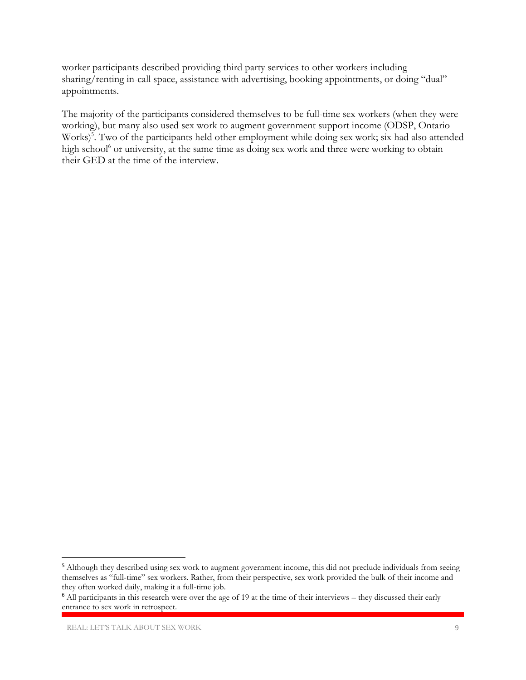worker participants described providing third party services to other workers including sharing/renting in-call space, assistance with advertising, booking appointments, or doing "dual" appointments.

The majority of the participants considered themselves to be full-time sex workers (when they were working), but many also used sex work to augment government support income (ODSP, Ontario Works)<sup>5</sup>. Two of the participants held other employment while doing sex work; six had also attended high school<sup>6</sup> or university, at the same time as doing sex work and three were working to obtain their GED at the time of the interview.

 $\overline{a}$ 

<sup>&</sup>lt;sup>5</sup> Although they described using sex work to augment government income, this did not preclude individuals from seeing themselves as "full-time" sex workers. Rather, from their perspective, sex work provided the bulk of their income and they often worked daily, making it a full-time job.

<sup>&</sup>lt;sup>6</sup> All participants in this research were over the age of 19 at the time of their interviews – they discussed their early entrance to sex work in retrospect.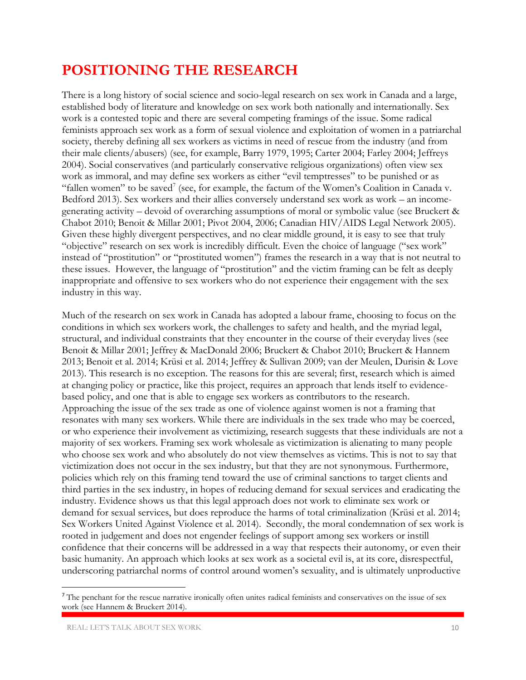### **POSITIONING THE RESEARCH**

There is a long history of social science and socio-legal research on sex work in Canada and a large, established body of literature and knowledge on sex work both nationally and internationally. Sex work is a contested topic and there are several competing framings of the issue. Some radical feminists approach sex work as a form of sexual violence and exploitation of women in a patriarchal society, thereby defining all sex workers as victims in need of rescue from the industry (and from their male clients/abusers) (see, for example, Barry 1979, 1995; Carter 2004; Farley 2004; Jeffreys 2004). Social conservatives (and particularly conservative religious organizations) often view sex work as immoral, and may define sex workers as either "evil temptresses" to be punished or as "fallen women" to be saved<sup>7</sup> (see, for example, the factum of the Women's Coalition in Canada v. Bedford 2013). Sex workers and their allies conversely understand sex work as work – an incomegenerating activity – devoid of overarching assumptions of moral or symbolic value (see Bruckert & Chabot 2010; Benoit & Millar 2001; Pivot 2004, 2006; Canadian HIV/AIDS Legal Network 2005). Given these highly divergent perspectives, and no clear middle ground, it is easy to see that truly "objective" research on sex work is incredibly difficult. Even the choice of language ("sex work" instead of "prostitution" or "prostituted women") frames the research in a way that is not neutral to these issues. However, the language of "prostitution" and the victim framing can be felt as deeply inappropriate and offensive to sex workers who do not experience their engagement with the sex industry in this way.

Much of the research on sex work in Canada has adopted a labour frame, choosing to focus on the conditions in which sex workers work, the challenges to safety and health, and the myriad legal, structural, and individual constraints that they encounter in the course of their everyday lives (see Benoit & Millar 2001; Jeffrey & MacDonald 2006; Bruckert & Chabot 2010; Bruckert & Hannem 2013; Benoit et al. 2014; Krüsi et al. 2014; Jeffrey & Sullivan 2009; van der Meulen, Durisin & Love 2013). This research is no exception. The reasons for this are several; first, research which is aimed at changing policy or practice, like this project, requires an approach that lends itself to evidencebased policy, and one that is able to engage sex workers as contributors to the research. Approaching the issue of the sex trade as one of violence against women is not a framing that resonates with many sex workers. While there are individuals in the sex trade who may be coerced, or who experience their involvement as victimizing, research suggests that these individuals are not a majority of sex workers. Framing sex work wholesale as victimization is alienating to many people who choose sex work and who absolutely do not view themselves as victims. This is not to say that victimization does not occur in the sex industry, but that they are not synonymous. Furthermore, policies which rely on this framing tend toward the use of criminal sanctions to target clients and third parties in the sex industry, in hopes of reducing demand for sexual services and eradicating the industry. Evidence shows us that this legal approach does not work to eliminate sex work or demand for sexual services, but does reproduce the harms of total criminalization (Krüsi et al. 2014; Sex Workers United Against Violence et al. 2014). Secondly, the moral condemnation of sex work is rooted in judgement and does not engender feelings of support among sex workers or instill confidence that their concerns will be addressed in a way that respects their autonomy, or even their basic humanity. An approach which looks at sex work as a societal evil is, at its core, disrespectful, underscoring patriarchal norms of control around women's sexuality, and is ultimately unproductive

 $\overline{\phantom{a}}$ 

<sup>&</sup>lt;sup>7</sup> The penchant for the rescue narrative ironically often unites radical feminists and conservatives on the issue of sex work (see Hannem & Bruckert 2014).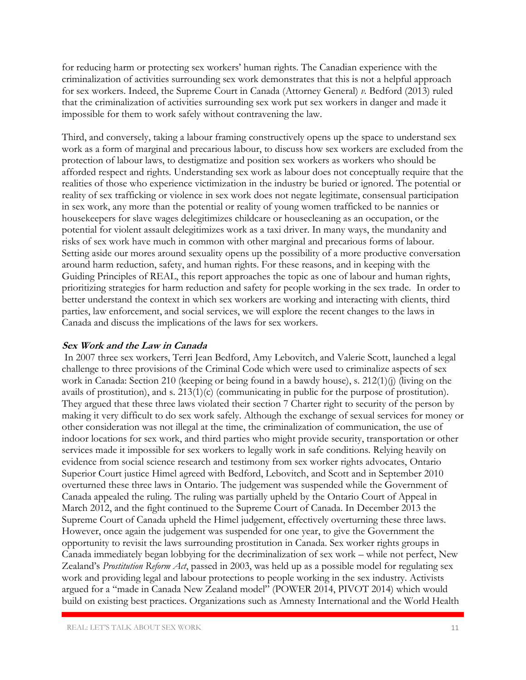for reducing harm or protecting sex workers' human rights. The Canadian experience with the criminalization of activities surrounding sex work demonstrates that this is not a helpful approach for sex workers. Indeed, the Supreme Court in Canada (Attorney General) *v.* Bedford (2013) ruled that the criminalization of activities surrounding sex work put sex workers in danger and made it impossible for them to work safely without contravening the law.

Third, and conversely, taking a labour framing constructively opens up the space to understand sex work as a form of marginal and precarious labour, to discuss how sex workers are excluded from the protection of labour laws, to destigmatize and position sex workers as workers who should be afforded respect and rights. Understanding sex work as labour does not conceptually require that the realities of those who experience victimization in the industry be buried or ignored. The potential or reality of sex trafficking or violence in sex work does not negate legitimate, consensual participation in sex work, any more than the potential or reality of young women trafficked to be nannies or housekeepers for slave wages delegitimizes childcare or housecleaning as an occupation, or the potential for violent assault delegitimizes work as a taxi driver. In many ways, the mundanity and risks of sex work have much in common with other marginal and precarious forms of labour. Setting aside our mores around sexuality opens up the possibility of a more productive conversation around harm reduction, safety, and human rights. For these reasons, and in keeping with the Guiding Principles of REAL, this report approaches the topic as one of labour and human rights, prioritizing strategies for harm reduction and safety for people working in the sex trade. In order to better understand the context in which sex workers are working and interacting with clients, third parties, law enforcement, and social services, we will explore the recent changes to the laws in Canada and discuss the implications of the laws for sex workers.

#### **Sex Work and the Law in Canada**

In 2007 three sex workers, Terri Jean Bedford, Amy Lebovitch, and Valerie Scott, launched a legal challenge to three provisions of the Criminal Code which were used to criminalize aspects of sex work in Canada: Section 210 (keeping or being found in a bawdy house), s. 212(1)(j) (living on the avails of prostitution), and s. 213(1)(c) (communicating in public for the purpose of prostitution). They argued that these three laws violated their section 7 Charter right to security of the person by making it very difficult to do sex work safely. Although the exchange of sexual services for money or other consideration was not illegal at the time, the criminalization of communication, the use of indoor locations for sex work, and third parties who might provide security, transportation or other services made it impossible for sex workers to legally work in safe conditions. Relying heavily on evidence from social science research and testimony from sex worker rights advocates, Ontario Superior Court justice Himel agreed with Bedford, Lebovitch, and Scott and in September 2010 overturned these three laws in Ontario. The judgement was suspended while the Government of Canada appealed the ruling. The ruling was partially upheld by the Ontario Court of Appeal in March 2012, and the fight continued to the Supreme Court of Canada. In December 2013 the Supreme Court of Canada upheld the Himel judgement, effectively overturning these three laws. However, once again the judgement was suspended for one year, to give the Government the opportunity to revisit the laws surrounding prostitution in Canada. Sex worker rights groups in Canada immediately began lobbying for the decriminalization of sex work – while not perfect, New Zealand's *Prostitution Reform Act*, passed in 2003, was held up as a possible model for regulating sex work and providing legal and labour protections to people working in the sex industry. Activists argued for a "made in Canada New Zealand model" (POWER 2014, PIVOT 2014) which would build on existing best practices. Organizations such as Amnesty International and the World Health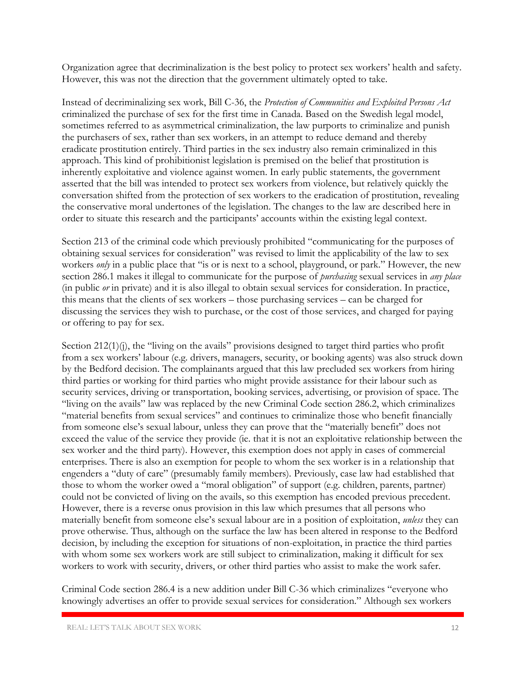Organization agree that decriminalization is the best policy to protect sex workers' health and safety. However, this was not the direction that the government ultimately opted to take.

Instead of decriminalizing sex work, Bill C-36, the *Protection of Communities and Exploited Persons Act* criminalized the purchase of sex for the first time in Canada. Based on the Swedish legal model, sometimes referred to as asymmetrical criminalization, the law purports to criminalize and punish the purchasers of sex, rather than sex workers, in an attempt to reduce demand and thereby eradicate prostitution entirely. Third parties in the sex industry also remain criminalized in this approach. This kind of prohibitionist legislation is premised on the belief that prostitution is inherently exploitative and violence against women. In early public statements, the government asserted that the bill was intended to protect sex workers from violence, but relatively quickly the conversation shifted from the protection of sex workers to the eradication of prostitution, revealing the conservative moral undertones of the legislation. The changes to the law are described here in order to situate this research and the participants' accounts within the existing legal context.

Section 213 of the criminal code which previously prohibited "communicating for the purposes of obtaining sexual services for consideration" was revised to limit the applicability of the law to sex workers *only* in a public place that "is or is next to a school, playground, or park." However, the new section 286.1 makes it illegal to communicate for the purpose of *purchasing* sexual services in *any place* (in public *or* in private) and it is also illegal to obtain sexual services for consideration. In practice, this means that the clients of sex workers – those purchasing services – can be charged for discussing the services they wish to purchase, or the cost of those services, and charged for paying or offering to pay for sex.

Section  $212(1)(i)$ , the "living on the avails" provisions designed to target third parties who profit from a sex workers' labour (e.g. drivers, managers, security, or booking agents) was also struck down by the Bedford decision. The complainants argued that this law precluded sex workers from hiring third parties or working for third parties who might provide assistance for their labour such as security services, driving or transportation, booking services, advertising, or provision of space. The "living on the avails" law was replaced by the new Criminal Code section 286.2, which criminalizes "material benefits from sexual services" and continues to criminalize those who benefit financially from someone else's sexual labour, unless they can prove that the "materially benefit" does not exceed the value of the service they provide (ie. that it is not an exploitative relationship between the sex worker and the third party). However, this exemption does not apply in cases of commercial enterprises. There is also an exemption for people to whom the sex worker is in a relationship that engenders a "duty of care" (presumably family members). Previously, case law had established that those to whom the worker owed a "moral obligation" of support (e.g. children, parents, partner) could not be convicted of living on the avails, so this exemption has encoded previous precedent. However, there is a reverse onus provision in this law which presumes that all persons who materially benefit from someone else's sexual labour are in a position of exploitation, *unless* they can prove otherwise. Thus, although on the surface the law has been altered in response to the Bedford decision, by including the exception for situations of non-exploitation, in practice the third parties with whom some sex workers work are still subject to criminalization, making it difficult for sex workers to work with security, drivers, or other third parties who assist to make the work safer.

Criminal Code section 286.4 is a new addition under Bill C-36 which criminalizes "everyone who knowingly advertises an offer to provide sexual services for consideration." Although sex workers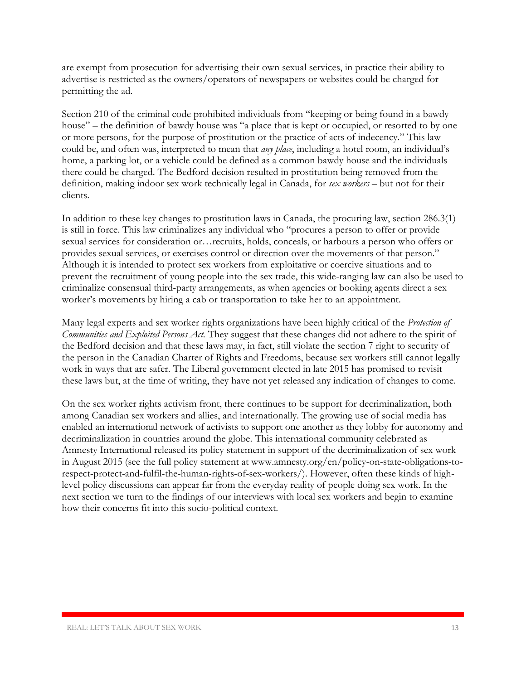are exempt from prosecution for advertising their own sexual services, in practice their ability to advertise is restricted as the owners/operators of newspapers or websites could be charged for permitting the ad.

Section 210 of the criminal code prohibited individuals from "keeping or being found in a bawdy house" – the definition of bawdy house was "a place that is kept or occupied, or resorted to by one or more persons, for the purpose of prostitution or the practice of acts of indecency." This law could be, and often was, interpreted to mean that *any place*, including a hotel room, an individual's home, a parking lot, or a vehicle could be defined as a common bawdy house and the individuals there could be charged. The Bedford decision resulted in prostitution being removed from the definition, making indoor sex work technically legal in Canada, for *sex workers –* but not for their clients.

In addition to these key changes to prostitution laws in Canada, the procuring law, section 286.3(1) is still in force. This law criminalizes any individual who "procures a person to offer or provide sexual services for consideration or…recruits, holds, conceals, or harbours a person who offers or provides sexual services, or exercises control or direction over the movements of that person." Although it is intended to protect sex workers from exploitative or coercive situations and to prevent the recruitment of young people into the sex trade, this wide-ranging law can also be used to criminalize consensual third-party arrangements, as when agencies or booking agents direct a sex worker's movements by hiring a cab or transportation to take her to an appointment.

Many legal experts and sex worker rights organizations have been highly critical of the *Protection of Communities and Exploited Persons Act.* They suggest that these changes did not adhere to the spirit of the Bedford decision and that these laws may, in fact, still violate the section 7 right to security of the person in the Canadian Charter of Rights and Freedoms, because sex workers still cannot legally work in ways that are safer. The Liberal government elected in late 2015 has promised to revisit these laws but, at the time of writing, they have not yet released any indication of changes to come.

On the sex worker rights activism front, there continues to be support for decriminalization, both among Canadian sex workers and allies, and internationally. The growing use of social media has enabled an international network of activists to support one another as they lobby for autonomy and decriminalization in countries around the globe. This international community celebrated as Amnesty International released its policy statement in support of the decriminalization of sex work in August 2015 (see the full policy statement at www.amnesty.org/en/policy-on-state-obligations-torespect-protect-and-fulfil-the-human-rights-of-sex-workers/). However, often these kinds of highlevel policy discussions can appear far from the everyday reality of people doing sex work. In the next section we turn to the findings of our interviews with local sex workers and begin to examine how their concerns fit into this socio-political context.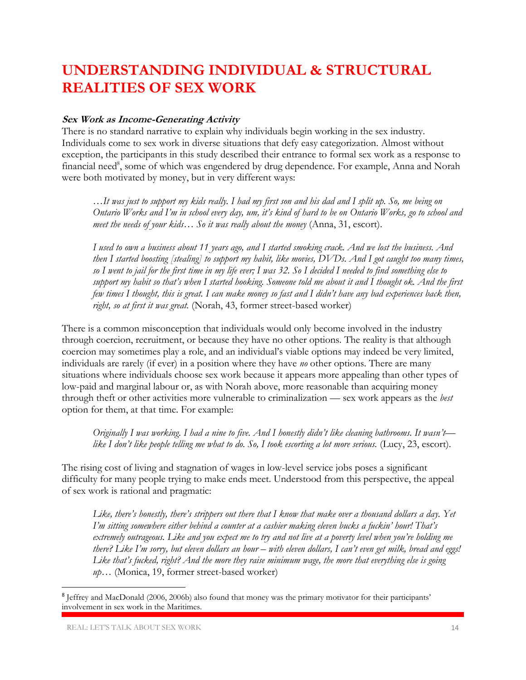### **UNDERSTANDING INDIVIDUAL & STRUCTURAL REALITIES OF SEX WORK**

#### **Sex Work as Income-Generating Activity**

There is no standard narrative to explain why individuals begin working in the sex industry. Individuals come to sex work in diverse situations that defy easy categorization. Almost without exception, the participants in this study described their entrance to formal sex work as a response to financial need<sup>8</sup>, some of which was engendered by drug dependence. For example, Anna and Norah were both motivated by money, but in very different ways:

*…It was just to support my kids really. I had my first son and his dad and I split up. So, me being on Ontario Works and I'm in school every day, um, it's kind of hard to be on Ontario Works, go to school and meet the needs of your kids… So it was really about the money* (Anna, 31, escort).

*I used to own a business about 11 years ago, and I started smoking crack. And we lost the business. And then I started boosting [stealing] to support my habit, like movies, DVDs. And I got caught too many times, so I went to jail for the first time in my life ever; I was 32. So I decided I needed to find something else to support my habit so that's when I started hooking. Someone told me about it and I thought ok. And the first few times I thought, this is great. I can make money so fast and I didn't have any bad experiences back then, right, so at first it was great.* (Norah, 43, former street-based worker)

There is a common misconception that individuals would only become involved in the industry through coercion, recruitment, or because they have no other options. The reality is that although coercion may sometimes play a role, and an individual's viable options may indeed be very limited, individuals are rarely (if ever) in a position where they have *no* other options. There are many situations where individuals choose sex work because it appears more appealing than other types of low-paid and marginal labour or, as with Norah above, more reasonable than acquiring money through theft or other activities more vulnerable to criminalization — sex work appears as the *best*  option for them, at that time. For example:

*Originally I was working. I had a nine to five. And I honestly didn't like cleaning bathrooms. It wasn't like I don't like people telling me what to do. So, I took escorting a lot more serious.* (Lucy, 23, escort).

The rising cost of living and stagnation of wages in low-level service jobs poses a significant difficulty for many people trying to make ends meet. Understood from this perspective, the appeal of sex work is rational and pragmatic:

*Like, there's honestly, there's strippers out there that I know that make over a thousand dollars a day. Yet I'm sitting somewhere either behind a counter at a cashier making eleven bucks a fuckin' hour! That's extremely outrageous. Like and you expect me to try and not live at a poverty level when you're holding me there? Like I'm sorry, but eleven dollars an hour – with eleven dollars, I can't even get milk, bread and eggs! Like that's fucked, right? And the more they raise minimum wage, the more that everything else is going up…* (Monica, 19, former street-based worker)

 $\overline{\phantom{a}}$ 

<sup>8</sup> Jeffrey and MacDonald (2006, 2006b) also found that money was the primary motivator for their participants' involvement in sex work in the Maritimes.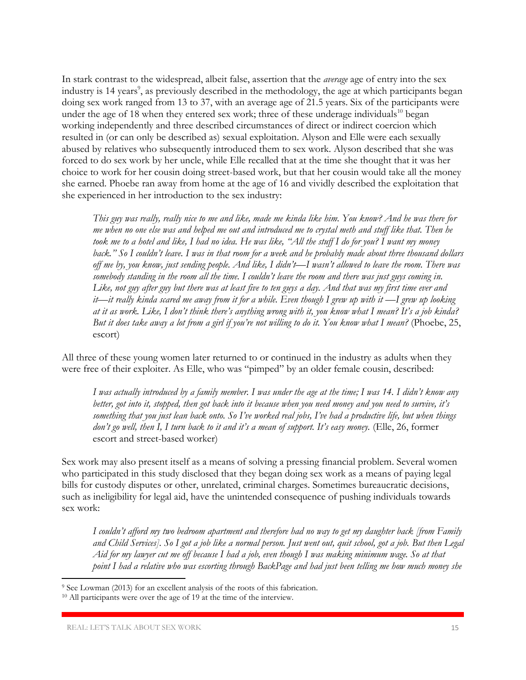In stark contrast to the widespread, albeit false, assertion that the *average* age of entry into the sex industry is 14 years<sup>9</sup>, as previously described in the methodology, the age at which participants began doing sex work ranged from 13 to 37, with an average age of 21.5 years. Six of the participants were under the age of 18 when they entered sex work; three of these underage individuals<sup>10</sup> began working independently and three described circumstances of direct or indirect coercion which resulted in (or can only be described as) sexual exploitation. Alyson and Elle were each sexually abused by relatives who subsequently introduced them to sex work. Alyson described that she was forced to do sex work by her uncle, while Elle recalled that at the time she thought that it was her choice to work for her cousin doing street-based work, but that her cousin would take all the money she earned. Phoebe ran away from home at the age of 16 and vividly described the exploitation that she experienced in her introduction to the sex industry:

*This guy was really, really nice to me and like, made me kinda like him. You know? And he was there for me when no one else was and helped me out and introduced me to crystal meth and stuff like that. Then he took me to a hotel and like, I had no idea. He was like, "All the stuff I do for you? I want my money back." So I couldn't leave. I was in that room for a week and he probably made about three thousand dollars off me by, you know, just sending people. And like, I didn't—I wasn't allowed to leave the room. There was somebody standing in the room all the time. I couldn't leave the room and there was just guys coming in. Like, not guy after guy but there was at least five to ten guys a day. And that was my first time ever and it*—*it really kinda scared me away from it for a while. Even though I grew up with it —I grew up looking at it as work. Like, I don't think there's anything wrong with it, you know what I mean? It's a job kinda? But it does take away a lot from a girl if you're not willing to do it. You know what I mean?* (Phoebe, 25, escort)

All three of these young women later returned to or continued in the industry as adults when they were free of their exploiter. As Elle, who was "pimped" by an older female cousin, described:

*I was actually introduced by a family member. I was under the age at the time; I was 14. I didn't know any better, got into it, stopped, then got back into it because when you need money and you need to survive, it's something that you just lean back onto. So I've worked real jobs, I've had a productive life, but when things don't go well, then I, I turn back to it and it's a mean of support. It's easy money.* (Elle, 26, former escort and street-based worker)

Sex work may also present itself as a means of solving a pressing financial problem. Several women who participated in this study disclosed that they began doing sex work as a means of paying legal bills for custody disputes or other, unrelated, criminal charges. Sometimes bureaucratic decisions, such as ineligibility for legal aid, have the unintended consequence of pushing individuals towards sex work:

*I couldn't afford my two bedroom apartment and therefore had no way to get my daughter back [from Family and Child Services]. So I got a job like a normal person. Just went out, quit school, got a job. But then Legal Aid for my lawyer cut me off because I had a job, even though I was making minimum wage. So at that point I had a relative who was escorting through BackPage and had just been telling me how much money she* 

 $\overline{a}$ 

<sup>9</sup> See Lowman (2013) for an excellent analysis of the roots of this fabrication.

<sup>&</sup>lt;sup>10</sup> All participants were over the age of 19 at the time of the interview.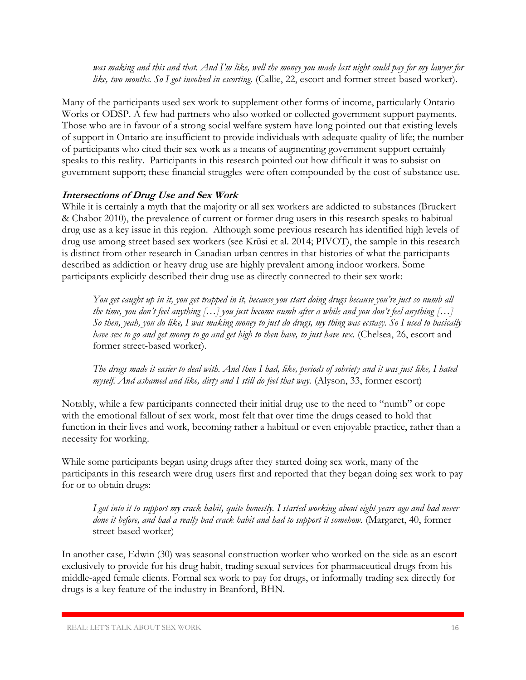*was making and this and that. And I'm like, well the money you made last night could pay for my lawyer for like, two months. So I got involved in escorting.* (Callie, 22, escort and former street-based worker).

Many of the participants used sex work to supplement other forms of income, particularly Ontario Works or ODSP. A few had partners who also worked or collected government support payments. Those who are in favour of a strong social welfare system have long pointed out that existing levels of support in Ontario are insufficient to provide individuals with adequate quality of life; the number of participants who cited their sex work as a means of augmenting government support certainly speaks to this reality. Participants in this research pointed out how difficult it was to subsist on government support; these financial struggles were often compounded by the cost of substance use.

#### **Intersections of Drug Use and Sex Work**

While it is certainly a myth that the majority or all sex workers are addicted to substances (Bruckert & Chabot 2010), the prevalence of current or former drug users in this research speaks to habitual drug use as a key issue in this region. Although some previous research has identified high levels of drug use among street based sex workers (see Krüsi et al. 2014; PIVOT), the sample in this research is distinct from other research in Canadian urban centres in that histories of what the participants described as addiction or heavy drug use are highly prevalent among indoor workers. Some participants explicitly described their drug use as directly connected to their sex work:

*You get caught up in it, you get trapped in it, because you start doing drugs because you're just so numb all the time, you don't feel anything […] you just become numb after a while and you don't feel anything […] So then, yeah, you do like, I was making money to just do drugs, my thing was ecstasy. So I used to basically have sex to go and get money to go and get high to then have, to just have sex.* (Chelsea, 26, escort and former street-based worker).

*The drugs made it easier to deal with. And then I had, like, periods of sobriety and it was just like, I hated myself. And ashamed and like, dirty and I still do feel that way.* (Alyson, 33, former escort)

Notably, while a few participants connected their initial drug use to the need to "numb" or cope with the emotional fallout of sex work, most felt that over time the drugs ceased to hold that function in their lives and work, becoming rather a habitual or even enjoyable practice, rather than a necessity for working.

While some participants began using drugs after they started doing sex work, many of the participants in this research were drug users first and reported that they began doing sex work to pay for or to obtain drugs:

*I got into it to support my crack habit, quite honestly. I started working about eight years ago and had never done it before, and had a really bad crack habit and had to support it somehow.* (Margaret, 40, former street-based worker)

In another case, Edwin (30) was seasonal construction worker who worked on the side as an escort exclusively to provide for his drug habit, trading sexual services for pharmaceutical drugs from his middle-aged female clients. Formal sex work to pay for drugs, or informally trading sex directly for drugs is a key feature of the industry in Branford, BHN.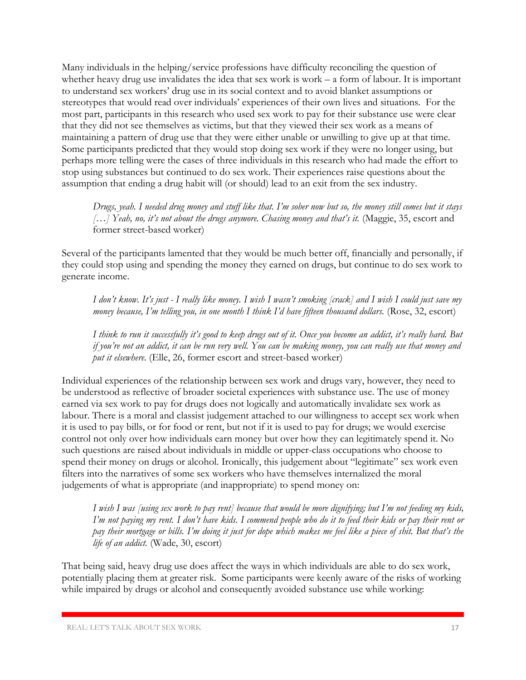Many individuals in the helping/service professions have difficulty reconciling the question of whether heavy drug use invalidates the idea that sex work is work – a form of labour. It is important to understand sex workers' drug use in its social context and to avoid blanket assumptions or stereotypes that would read over individuals' experiences of their own lives and situations. For the most part, participants in this research who used sex work to pay for their substance use were clear that they did not see themselves as victims, but that they viewed their sex work as a means of maintaining a pattern of drug use that they were either unable or unwilling to give up at that time. Some participants predicted that they would stop doing sex work if they were no longer using, but perhaps more telling were the cases of three individuals in this research who had made the effort to stop using substances but continued to do sex work. Their experiences raise questions about the assumption that ending a drug habit will (or should) lead to an exit from the sex industry.

*Drugs, yeah. I needed drug money and stuff like that. I'm sober now but so, the money still comes but it stays […] Yeah, no, it's not about the drugs anymore. Chasing money and that's it.* (Maggie, 35, escort and former street-based worker)

Several of the participants lamented that they would be much better off, financially and personally, if they could stop using and spending the money they earned on drugs, but continue to do sex work to generate income.

*I don't know. It's just - I really like money. I wish I wasn't smoking [crack] and I wish I could just save my money because, I'm telling you, in one month I think I'd have fifteen thousand dollars.* (Rose, 32, escort)

*I think to run it successfully it's good to keep drugs out of it. Once you become an addict, it's really hard. But if you're not an addict, it can be run very well. You can be making money, you can really use that money and put it elsewhere.* (Elle, 26, former escort and street-based worker)

Individual experiences of the relationship between sex work and drugs vary, however, they need to be understood as reflective of broader societal experiences with substance use. The use of money earned via sex work to pay for drugs does not logically and automatically invalidate sex work as labour. There is a moral and classist judgement attached to our willingness to accept sex work when it is used to pay bills, or for food or rent, but not if it is used to pay for drugs; we would exercise control not only over how individuals earn money but over how they can legitimately spend it. No such questions are raised about individuals in middle or upper-class occupations who choose to spend their money on drugs or alcohol. Ironically, this judgement about "legitimate" sex work even filters into the narratives of some sex workers who have themselves internalized the moral judgements of what is appropriate (and inappropriate) to spend money on:

*I wish I was [using sex work to pay rent] because that would be more dignifying; but I'm not feeding my kids, I'm not paying my rent. I don't have kids. I commend people who do it to feed their kids or pay their rent or pay their mortgage or bills. I'm doing it just for dope which makes me feel like a piece of shit. But that's the life of an addict.* (Wade, 30, escort)

That being said, heavy drug use does affect the ways in which individuals are able to do sex work, potentially placing them at greater risk. Some participants were keenly aware of the risks of working while impaired by drugs or alcohol and consequently avoided substance use while working: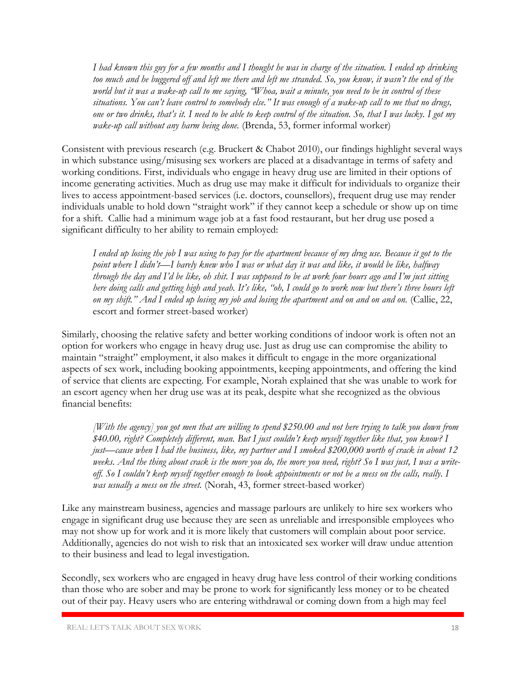*I had known this guy for a few months and I thought he was in charge of the situation. I ended up drinking*  too much and he buggered off and left me there and left me stranded. So, you know, it wasn't the end of the *world but it was a wake-up call to me saying, "Whoa, wait a minute, you need to be in control of these situations. You can't leave control to somebody else." It was enough of a wake-up call to me that no drugs, one or two drinks, that's it. I need to be able to keep control of the situation. So, that I was lucky. I got my wake-up call without any harm being done.* (Brenda, 53, former informal worker)

Consistent with previous research (e.g. Bruckert & Chabot 2010), our findings highlight several ways in which substance using/misusing sex workers are placed at a disadvantage in terms of safety and working conditions. First, individuals who engage in heavy drug use are limited in their options of income generating activities. Much as drug use may make it difficult for individuals to organize their lives to access appointment-based services (i.e. doctors, counsellors), frequent drug use may render individuals unable to hold down "straight work" if they cannot keep a schedule or show up on time for a shift. Callie had a minimum wage job at a fast food restaurant, but her drug use posed a significant difficulty to her ability to remain employed:

*I ended up losing the job I was using to pay for the apartment because of my drug use. Because it got to the point where I didn't—I barely knew who I was or what day it was and like, it would be like, halfway through the day and I'd be like, oh shit. I was supposed to be at work four hours ago and I'm just sitting here doing calls and getting high and yeah. It's like, "oh, I could go to work now but there's three hours left on my shift." And I ended up losing my job and losing the apartment and on and on and on.* (Callie, 22, escort and former street-based worker)

Similarly, choosing the relative safety and better working conditions of indoor work is often not an option for workers who engage in heavy drug use. Just as drug use can compromise the ability to maintain "straight" employment, it also makes it difficult to engage in the more organizational aspects of sex work, including booking appointments, keeping appointments, and offering the kind of service that clients are expecting. For example, Norah explained that she was unable to work for an escort agency when her drug use was at its peak, despite what she recognized as the obvious financial benefits:

*[With the agency] you got men that are willing to spend \$250.00 and not here trying to talk you down from \$40.00, right? Completely different, man. But I just couldn't keep myself together like that, you know? I just—cause when I had the business, like, my partner and I smoked \$200,000 worth of crack in about 12 weeks. And the thing about crack is the more you do, the more you need, right? So I was just, I was a writeoff. So I couldn't keep myself together enough to book appointments or not be a mess on the calls, really. I was usually a mess on the street.* (Norah, 43, former street-based worker)

Like any mainstream business, agencies and massage parlours are unlikely to hire sex workers who engage in significant drug use because they are seen as unreliable and irresponsible employees who may not show up for work and it is more likely that customers will complain about poor service. Additionally, agencies do not wish to risk that an intoxicated sex worker will draw undue attention to their business and lead to legal investigation.

Secondly, sex workers who are engaged in heavy drug have less control of their working conditions than those who are sober and may be prone to work for significantly less money or to be cheated out of their pay. Heavy users who are entering withdrawal or coming down from a high may feel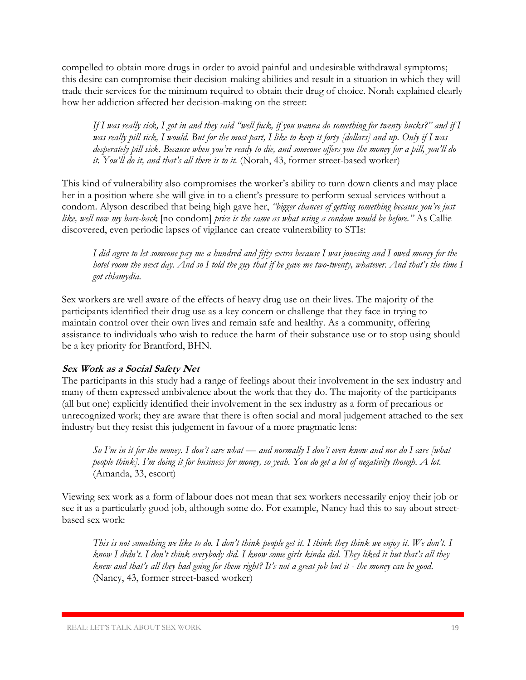compelled to obtain more drugs in order to avoid painful and undesirable withdrawal symptoms; this desire can compromise their decision-making abilities and result in a situation in which they will trade their services for the minimum required to obtain their drug of choice. Norah explained clearly how her addiction affected her decision-making on the street:

*If I was really sick, I got in and they said "well fuck, if you wanna do something for twenty bucks?" and if I was really pill sick, I would. But for the most part, I like to keep it forty [dollars] and up. Only if I was desperately pill sick. Because when you're ready to die, and someone offers you the money for a pill, you'll do it. You'll do it, and that's all there is to it.* (Norah, 43, former street-based worker)

This kind of vulnerability also compromises the worker's ability to turn down clients and may place her in a position where she will give in to a client's pressure to perform sexual services without a condom. Alyson described that being high gave her, *"bigger chances of getting something because you're just like, well now my bare-back* [no condom] *price is the same as what using a condom would be before."* As Callie discovered, even periodic lapses of vigilance can create vulnerability to STIs:

*I did agree to let someone pay me a hundred and fifty extra because I was jonesing and I owed money for the hotel room the next day. And so I told the guy that if he gave me two-twenty, whatever. And that's the time I got chlamydia.*

Sex workers are well aware of the effects of heavy drug use on their lives. The majority of the participants identified their drug use as a key concern or challenge that they face in trying to maintain control over their own lives and remain safe and healthy. As a community, offering assistance to individuals who wish to reduce the harm of their substance use or to stop using should be a key priority for Brantford, BHN.

#### **Sex Work as a Social Safety Net**

The participants in this study had a range of feelings about their involvement in the sex industry and many of them expressed ambivalence about the work that they do. The majority of the participants (all but one) explicitly identified their involvement in the sex industry as a form of precarious or unrecognized work; they are aware that there is often social and moral judgement attached to the sex industry but they resist this judgement in favour of a more pragmatic lens:

*So I'm in it for the money. I don't care what — and normally I don't even know and nor do I care [what people think]. I'm doing it for business for money, so yeah. You do get a lot of negativity though. A lot.* (Amanda, 33, escort)

Viewing sex work as a form of labour does not mean that sex workers necessarily enjoy their job or see it as a particularly good job, although some do. For example, Nancy had this to say about streetbased sex work:

*This is not something we like to do. I don't think people get it. I think they think we enjoy it. We don't. I know I didn't. I don't think everybody did. I know some girls kinda did. They liked it but that's all they knew and that's all they had going for them right? It's not a great job but it - the money can be good.* (Nancy, 43, former street-based worker)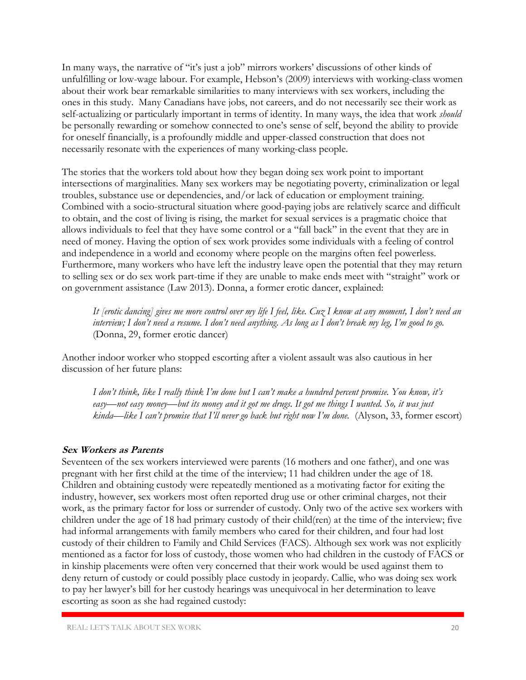In many ways, the narrative of "it's just a job" mirrors workers' discussions of other kinds of unfulfilling or low-wage labour. For example, Hebson's (2009) interviews with working-class women about their work bear remarkable similarities to many interviews with sex workers, including the ones in this study. Many Canadians have jobs, not careers, and do not necessarily see their work as self-actualizing or particularly important in terms of identity. In many ways, the idea that work *should*  be personally rewarding or somehow connected to one's sense of self, beyond the ability to provide for oneself financially, is a profoundly middle and upper-classed construction that does not necessarily resonate with the experiences of many working-class people.

The stories that the workers told about how they began doing sex work point to important intersections of marginalities. Many sex workers may be negotiating poverty, criminalization or legal troubles, substance use or dependencies, and/or lack of education or employment training. Combined with a socio-structural situation where good-paying jobs are relatively scarce and difficult to obtain, and the cost of living is rising, the market for sexual services is a pragmatic choice that allows individuals to feel that they have some control or a "fall back" in the event that they are in need of money. Having the option of sex work provides some individuals with a feeling of control and independence in a world and economy where people on the margins often feel powerless. Furthermore, many workers who have left the industry leave open the potential that they may return to selling sex or do sex work part-time if they are unable to make ends meet with "straight" work or on government assistance (Law 2013). Donna, a former erotic dancer, explained:

*It [erotic dancing] gives me more control over my life I feel, like. Cuz I know at any moment, I don't need an interview; I don't need a resume. I don't need anything. As long as I don't break my leg, I'm good to go.* (Donna, 29, former erotic dancer)

Another indoor worker who stopped escorting after a violent assault was also cautious in her discussion of her future plans:

*I don't think, like I really think I'm done but I can't make a hundred percent promise. You know, it's easy—not easy money—but its money and it got me drugs. It got me things I wanted. So, it was just kinda—like I can't promise that I'll never go back but right now I'm done.* (Alyson, 33, former escort)

#### **Sex Workers as Parents**

Seventeen of the sex workers interviewed were parents (16 mothers and one father), and one was pregnant with her first child at the time of the interview; 11 had children under the age of 18. Children and obtaining custody were repeatedly mentioned as a motivating factor for exiting the industry, however, sex workers most often reported drug use or other criminal charges, not their work, as the primary factor for loss or surrender of custody. Only two of the active sex workers with children under the age of 18 had primary custody of their child(ren) at the time of the interview; five had informal arrangements with family members who cared for their children, and four had lost custody of their children to Family and Child Services (FACS). Although sex work was not explicitly mentioned as a factor for loss of custody, those women who had children in the custody of FACS or in kinship placements were often very concerned that their work would be used against them to deny return of custody or could possibly place custody in jeopardy. Callie, who was doing sex work to pay her lawyer's bill for her custody hearings was unequivocal in her determination to leave escorting as soon as she had regained custody: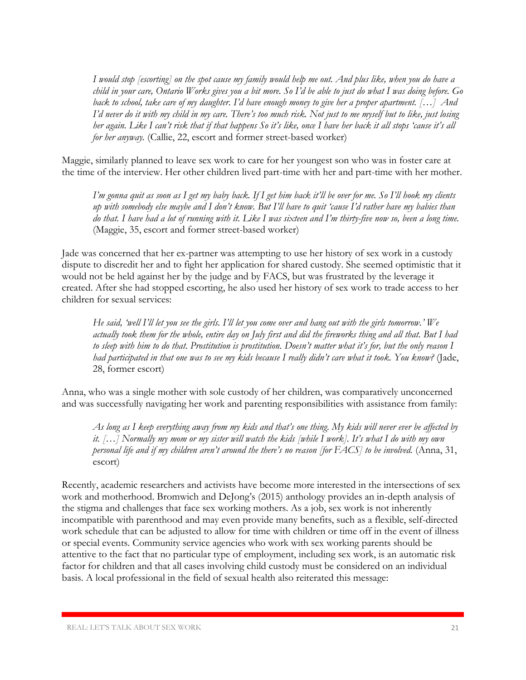*I would stop [escorting] on the spot cause my family would help me out. And plus like, when you do have a child in your care, Ontario Works gives you a bit more. So I'd be able to just do what I was doing before. Go back to school, take care of my daughter. I'd have enough money to give her a proper apartment. […] And I'd never do it with my child in my care. There's too much risk. Not just to me myself but to like, just losing her again. Like I can't risk that if that happens So it's like, once I have her back it all stops 'cause it's all for her anyway.* (Callie, 22, escort and former street-based worker)

Maggie, similarly planned to leave sex work to care for her youngest son who was in foster care at the time of the interview. Her other children lived part-time with her and part-time with her mother.

*I'm gonna quit as soon as I get my baby back. If I get him back it'll be over for me. So I'll hook my clients up with somebody else maybe and I don't know. But I'll have to quit 'cause I'd rather have my babies than do that. I have had a lot of running with it. Like I was sixteen and I'm thirty-five now so, been a long time.*  (Maggie, 35, escort and former street-based worker)

Jade was concerned that her ex-partner was attempting to use her history of sex work in a custody dispute to discredit her and to fight her application for shared custody. She seemed optimistic that it would not be held against her by the judge and by FACS, but was frustrated by the leverage it created. After she had stopped escorting, he also used her history of sex work to trade access to her children for sexual services:

*He said, 'well I'll let you see the girls. I'll let you come over and hang out with the girls tomorrow.' We actually took them for the whole, entire day on July first and did the fireworks thing and all that. But I had to sleep with him to do that. Prostitution is prostitution. Doesn't matter what it's for, but the only reason I had participated in that one was to see my kids because I really didn't care what it took. You know?* (Jade, 28, former escort)

Anna, who was a single mother with sole custody of her children, was comparatively unconcerned and was successfully navigating her work and parenting responsibilities with assistance from family:

*As long as I keep everything away from my kids and that's one thing. My kids will never ever be affected by it. […] Normally my mom or my sister will watch the kids [while I work]. It's what I do with my own personal life and if my children aren't around the there's no reason [for FACS] to be involved.* (Anna, 31, escort)

Recently, academic researchers and activists have become more interested in the intersections of sex work and motherhood. Bromwich and DeJong's (2015) anthology provides an in-depth analysis of the stigma and challenges that face sex working mothers. As a job, sex work is not inherently incompatible with parenthood and may even provide many benefits, such as a flexible, self-directed work schedule that can be adjusted to allow for time with children or time off in the event of illness or special events. Community service agencies who work with sex working parents should be attentive to the fact that no particular type of employment, including sex work, is an automatic risk factor for children and that all cases involving child custody must be considered on an individual basis. A local professional in the field of sexual health also reiterated this message: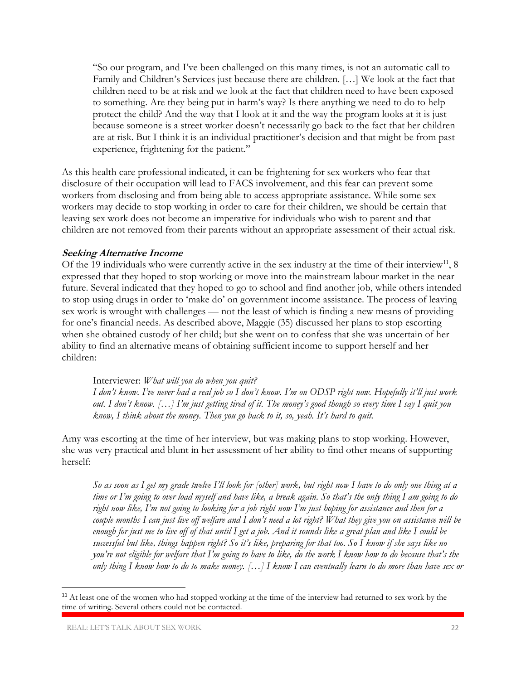"So our program, and I've been challenged on this many times, is not an automatic call to Family and Children's Services just because there are children. […] We look at the fact that children need to be at risk and we look at the fact that children need to have been exposed to something. Are they being put in harm's way? Is there anything we need to do to help protect the child? And the way that I look at it and the way the program looks at it is just because someone is a street worker doesn't necessarily go back to the fact that her children are at risk. But I think it is an individual practitioner's decision and that might be from past experience, frightening for the patient."

As this health care professional indicated, it can be frightening for sex workers who fear that disclosure of their occupation will lead to FACS involvement, and this fear can prevent some workers from disclosing and from being able to access appropriate assistance. While some sex workers may decide to stop working in order to care for their children, we should be certain that leaving sex work does not become an imperative for individuals who wish to parent and that children are not removed from their parents without an appropriate assessment of their actual risk.

#### **Seeking Alternative Income**

Of the 19 individuals who were currently active in the sex industry at the time of their interview<sup>11</sup>, 8 expressed that they hoped to stop working or move into the mainstream labour market in the near future. Several indicated that they hoped to go to school and find another job, while others intended to stop using drugs in order to 'make do' on government income assistance. The process of leaving sex work is wrought with challenges — not the least of which is finding a new means of providing for one's financial needs. As described above, Maggie (35) discussed her plans to stop escorting when she obtained custody of her child; but she went on to confess that she was uncertain of her ability to find an alternative means of obtaining sufficient income to support herself and her children:

Interviewer: *What will you do when you quit? I don't know. I've never had a real job so I don't know. I'm on ODSP right now. Hopefully it'll just work out. I don't know. […] I'm just getting tired of it. The money's good though so every time I say I quit you know, I think about the money. Then you go back to it, so, yeah. It's hard to quit.*

Amy was escorting at the time of her interview, but was making plans to stop working. However, she was very practical and blunt in her assessment of her ability to find other means of supporting herself:

*So as soon as I get my grade twelve I'll look for [other] work, but right now I have to do only one thing at a time or I'm going to over load myself and have like, a break again. So that's the only thing I am going to do right now like, I'm not going to looking for a job right now I'm just hoping for assistance and then for a*  couple months I can just live off welfare and I don't need a lot right? What they give you on assistance will be *enough for just me to live off of that until I get a job. And it sounds like a great plan and like I could be successful but like, things happen right? So it's like, preparing for that too. So I know if she says like no you're not eligible for welfare that I'm going to have to like, do the work I know how to do because that's the only thing I know how to do to make money. […] I know I can eventually learn to do more than have sex or* 

 $\overline{\phantom{a}}$ 

<sup>&</sup>lt;sup>11</sup> At least one of the women who had stopped working at the time of the interview had returned to sex work by the time of writing. Several others could not be contacted.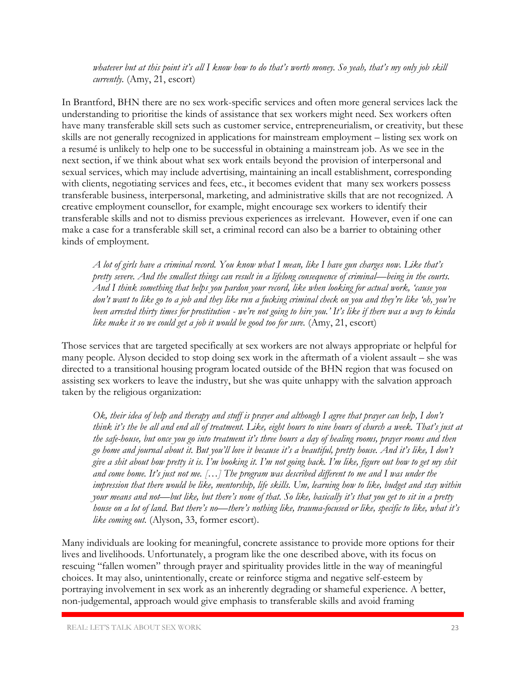*whatever but at this point it's all I know how to do that's worth money. So yeah, that's my only job skill currently.* (Amy, 21, escort)

In Brantford, BHN there are no sex work-specific services and often more general services lack the understanding to prioritise the kinds of assistance that sex workers might need. Sex workers often have many transferable skill sets such as customer service, entrepreneurialism, or creativity, but these skills are not generally recognized in applications for mainstream employment – listing sex work on a resumé is unlikely to help one to be successful in obtaining a mainstream job. As we see in the next section, if we think about what sex work entails beyond the provision of interpersonal and sexual services, which may include advertising, maintaining an incall establishment, corresponding with clients, negotiating services and fees, etc., it becomes evident that many sex workers possess transferable business, interpersonal, marketing, and administrative skills that are not recognized. A creative employment counsellor, for example, might encourage sex workers to identify their transferable skills and not to dismiss previous experiences as irrelevant. However, even if one can make a case for a transferable skill set, a criminal record can also be a barrier to obtaining other kinds of employment.

*A lot of girls have a criminal record. You know what I mean, like I have gun charges now. Like that's pretty severe. And the smallest things can result in a lifelong consequence of criminal—being in the courts. And I think something that helps you pardon your record, like when looking for actual work, 'cause you don't want to like go to a job and they like run a fucking criminal check on you and they're like 'oh, you've been arrested thirty times for prostitution - we're not going to hire you.' It's like if there was a way to kinda like make it so we could get a job it would be good too for sure.* (Amy, 21, escort)

Those services that are targeted specifically at sex workers are not always appropriate or helpful for many people. Alyson decided to stop doing sex work in the aftermath of a violent assault – she was directed to a transitional housing program located outside of the BHN region that was focused on assisting sex workers to leave the industry, but she was quite unhappy with the salvation approach taken by the religious organization:

*Ok, their idea of help and therapy and stuff is prayer and although I agree that prayer can help, I don't think it's the be all and end all of treatment. Like, eight hours to nine hours of church a week. That's just at the safe-house, but once you go into treatment it's three hours a day of healing rooms, prayer rooms and then go home and journal about it. But you'll love it because it's a beautiful, pretty house. And it's like, I don't give a shit about how pretty it is. I'm booking it. I'm not going back. I'm like, figure out how to get my shit and come home. It's just not me. […] The program was described different to me and I was under the impression that there would be like, mentorship, life skills. Um, learning how to like, budget and stay within your means and not—but like, but there's none of that. So like, basically it's that you get to sit in a pretty house on a lot of land. But there's no—there's nothing like, trauma-focused or like, specific to like, what it's like coming out.* (Alyson, 33, former escort).

Many individuals are looking for meaningful, concrete assistance to provide more options for their lives and livelihoods. Unfortunately, a program like the one described above, with its focus on rescuing "fallen women" through prayer and spirituality provides little in the way of meaningful choices. It may also, unintentionally, create or reinforce stigma and negative self-esteem by portraying involvement in sex work as an inherently degrading or shameful experience. A better, non-judgemental, approach would give emphasis to transferable skills and avoid framing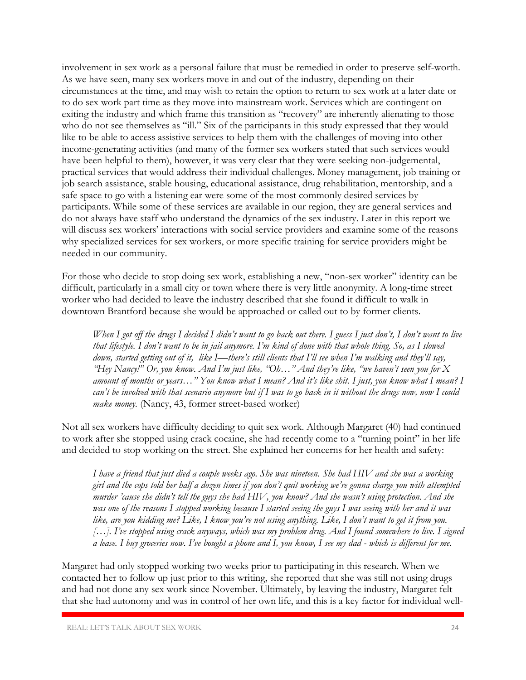involvement in sex work as a personal failure that must be remedied in order to preserve self-worth. As we have seen, many sex workers move in and out of the industry, depending on their circumstances at the time, and may wish to retain the option to return to sex work at a later date or to do sex work part time as they move into mainstream work. Services which are contingent on exiting the industry and which frame this transition as "recovery" are inherently alienating to those who do not see themselves as "ill." Six of the participants in this study expressed that they would like to be able to access assistive services to help them with the challenges of moving into other income-generating activities (and many of the former sex workers stated that such services would have been helpful to them), however, it was very clear that they were seeking non-judgemental, practical services that would address their individual challenges. Money management, job training or job search assistance, stable housing, educational assistance, drug rehabilitation, mentorship, and a safe space to go with a listening ear were some of the most commonly desired services by participants. While some of these services are available in our region, they are general services and do not always have staff who understand the dynamics of the sex industry. Later in this report we will discuss sex workers' interactions with social service providers and examine some of the reasons why specialized services for sex workers, or more specific training for service providers might be needed in our community.

For those who decide to stop doing sex work, establishing a new, "non-sex worker" identity can be difficult, particularly in a small city or town where there is very little anonymity. A long-time street worker who had decided to leave the industry described that she found it difficult to walk in downtown Brantford because she would be approached or called out to by former clients.

*When I got off the drugs I decided I didn't want to go back out there. I guess I just don't, I don't want to live that lifestyle. I don't want to be in jail anymore. I'm kind of done with that whole thing. So, as I slowed down, started getting out of it, like I—there's still clients that I'll see when I'm walking and they'll say, "Hey Nancy!" Or, you know. And I'm just like, "Oh…" And they're like, "we haven't seen you for X amount of months or years…" You know what I mean? And it's like shit. I just, you know what I mean? I can't be involved with that scenario anymore but if I was to go back in it without the drugs now, now I could make money.* (Nancy, 43, former street-based worker)

Not all sex workers have difficulty deciding to quit sex work. Although Margaret (40) had continued to work after she stopped using crack cocaine, she had recently come to a "turning point" in her life and decided to stop working on the street. She explained her concerns for her health and safety:

*I have a friend that just died a couple weeks ago. She was nineteen. She had HIV and she was a working girl and the cops told her half a dozen times if you don't quit working we're gonna charge you with attempted murder 'cause she didn't tell the guys she had HIV, you know? And she wasn't using protection. And she was one of the reasons I stopped working because I started seeing the guys I was seeing with her and it was like, are you kidding me? Like, I know you're not using anything. Like, I don't want to get it from you. […]. I've stopped using crack anyways, which was my problem drug. And I found somewhere to live. I signed a lease. I buy groceries now. I've bought a phone and I, you know, I see my dad - which is different for me.* 

Margaret had only stopped working two weeks prior to participating in this research. When we contacted her to follow up just prior to this writing, she reported that she was still not using drugs and had not done any sex work since November. Ultimately, by leaving the industry, Margaret felt that she had autonomy and was in control of her own life, and this is a key factor for individual well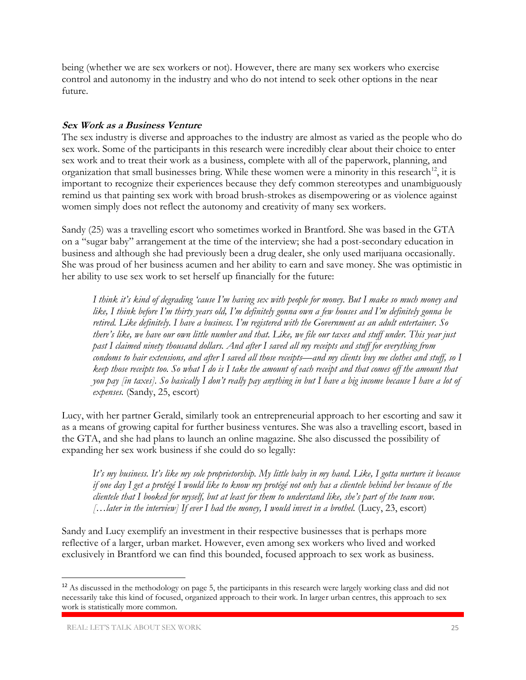being (whether we are sex workers or not). However, there are many sex workers who exercise control and autonomy in the industry and who do not intend to seek other options in the near future.

#### **Sex Work as a Business Venture**

The sex industry is diverse and approaches to the industry are almost as varied as the people who do sex work. Some of the participants in this research were incredibly clear about their choice to enter sex work and to treat their work as a business, complete with all of the paperwork, planning, and organization that small businesses bring. While these women were a minority in this research<sup>12</sup>, it is important to recognize their experiences because they defy common stereotypes and unambiguously remind us that painting sex work with broad brush-strokes as disempowering or as violence against women simply does not reflect the autonomy and creativity of many sex workers.

Sandy (25) was a travelling escort who sometimes worked in Brantford. She was based in the GTA on a "sugar baby" arrangement at the time of the interview; she had a post-secondary education in business and although she had previously been a drug dealer, she only used marijuana occasionally. She was proud of her business acumen and her ability to earn and save money. She was optimistic in her ability to use sex work to set herself up financially for the future:

*I think it's kind of degrading 'cause I'm having sex with people for money. But I make so much money and like, I think before I'm thirty years old, I'm definitely gonna own a few houses and I'm definitely gonna be retired. Like definitely. I have a business. I'm registered with the Government as an adult entertainer. So there's like, we have our own little number and that. Like, we file our taxes and stuff under. This year just past I claimed ninety thousand dollars. And after I saved all my receipts and stuff for everything from condoms to hair extensions, and after I saved all those receipts—and my clients buy me clothes and stuff, so I keep those receipts too. So what I do is I take the amount of each receipt and that comes off the amount that you pay [in taxes]. So basically I don't really pay anything in but I have a big income because I have a lot of expenses.* (Sandy, 25, escort)

Lucy, with her partner Gerald, similarly took an entrepreneurial approach to her escorting and saw it as a means of growing capital for further business ventures. She was also a travelling escort, based in the GTA, and she had plans to launch an online magazine. She also discussed the possibility of expanding her sex work business if she could do so legally:

*It's my business. It's like my sole proprietorship. My little baby in my hand. Like, I gotta nurture it because if one day I get a protégé I would like to know my protégé not only has a clientele behind her because of the clientele that I booked for myself, but at least for them to understand like, she's part of the team now. […later in the interview] If ever I had the money, I would invest in a brothel.* (Lucy, 23, escort)

Sandy and Lucy exemplify an investment in their respective businesses that is perhaps more reflective of a larger, urban market. However, even among sex workers who lived and worked exclusively in Brantford we can find this bounded, focused approach to sex work as business.

 $\overline{a}$ 

<sup>&</sup>lt;sup>12</sup> As discussed in the methodology on page 5, the participants in this research were largely working class and did not necessarily take this kind of focused, organized approach to their work. In larger urban centres, this approach to sex work is statistically more common.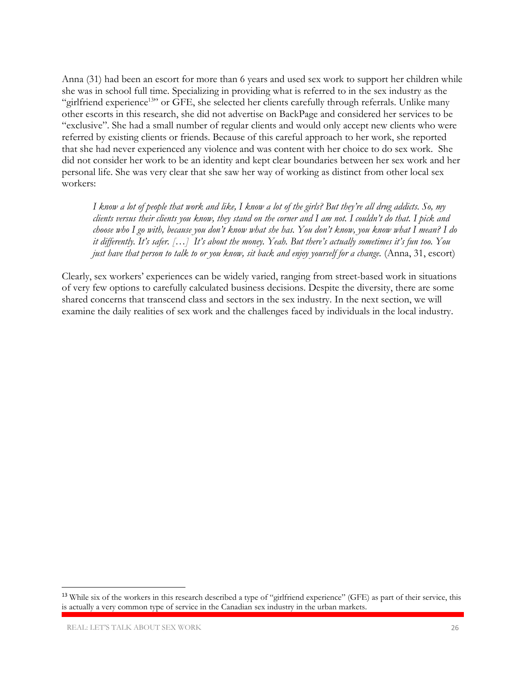Anna (31) had been an escort for more than 6 years and used sex work to support her children while she was in school full time. Specializing in providing what is referred to in the sex industry as the "girlfriend experience<sup>13</sup>" or GFE, she selected her clients carefully through referrals. Unlike many other escorts in this research, she did not advertise on BackPage and considered her services to be "exclusive". She had a small number of regular clients and would only accept new clients who were referred by existing clients or friends. Because of this careful approach to her work, she reported that she had never experienced any violence and was content with her choice to do sex work. She did not consider her work to be an identity and kept clear boundaries between her sex work and her personal life. She was very clear that she saw her way of working as distinct from other local sex workers:

*I know a lot of people that work and like, I know a lot of the girls? But they're all drug addicts. So, my clients versus their clients you know, they stand on the corner and I am not. I couldn't do that. I pick and choose who I go with, because you don't know what she has. You don't know, you know what I mean? I do it differently. It's safer. […] It's about the money. Yeah. But there's actually sometimes it's fun too. You just have that person to talk to or you know, sit back and enjoy yourself for a change.* (Anna, 31, escort)

Clearly, sex workers' experiences can be widely varied, ranging from street-based work in situations of very few options to carefully calculated business decisions. Despite the diversity, there are some shared concerns that transcend class and sectors in the sex industry. In the next section, we will examine the daily realities of sex work and the challenges faced by individuals in the local industry.

 $\overline{\phantom{a}}$ 

<sup>&</sup>lt;sup>13</sup> While six of the workers in this research described a type of "girlfriend experience" (GFE) as part of their service, this is actually a very common type of service in the Canadian sex industry in the urban markets.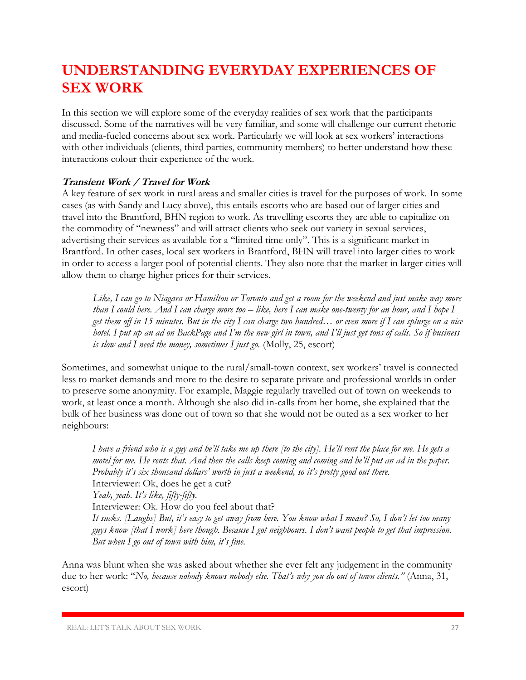### **UNDERSTANDING EVERYDAY EXPERIENCES OF SEX WORK**

In this section we will explore some of the everyday realities of sex work that the participants discussed. Some of the narratives will be very familiar, and some will challenge our current rhetoric and media-fueled concerns about sex work. Particularly we will look at sex workers' interactions with other individuals (clients, third parties, community members) to better understand how these interactions colour their experience of the work.

#### **Transient Work / Travel for Work**

A key feature of sex work in rural areas and smaller cities is travel for the purposes of work. In some cases (as with Sandy and Lucy above), this entails escorts who are based out of larger cities and travel into the Brantford, BHN region to work. As travelling escorts they are able to capitalize on the commodity of "newness" and will attract clients who seek out variety in sexual services, advertising their services as available for a "limited time only". This is a significant market in Brantford. In other cases, local sex workers in Brantford, BHN will travel into larger cities to work in order to access a larger pool of potential clients. They also note that the market in larger cities will allow them to charge higher prices for their services.

*Like, I can go to Niagara or Hamilton or Toronto and get a room for the weekend and just make way more than I could here. And I can charge more too – like, here I can make one-twenty for an hour, and I hope I get them off in 15 minutes. But in the city I can charge two hundred… or even more if I can splurge on a nice hotel. I put up an ad on BackPage and I'm the new girl in town, and I'll just get tons of calls. So if business is slow and I need the money, sometimes I just go.* (Molly, 25, escort)

Sometimes, and somewhat unique to the rural/small-town context, sex workers' travel is connected less to market demands and more to the desire to separate private and professional worlds in order to preserve some anonymity. For example, Maggie regularly travelled out of town on weekends to work, at least once a month. Although she also did in-calls from her home, she explained that the bulk of her business was done out of town so that she would not be outed as a sex worker to her neighbours:

*I have a friend who is a guy and he'll take me up there [to the city]. He'll rent the place for me. He gets a motel for me. He rents that. And then the calls keep coming and coming and he'll put an ad in the paper. Probably it's six thousand dollars' worth in just a weekend, so it's pretty good out there.*  Interviewer: Ok, does he get a cut? *Yeah, yeah. It's like, fifty-fifty.*  Interviewer: Ok. How do you feel about that? *It sucks. [Laughs] But, it's easy to get away from here. You know what I mean? So, I don't let too many guys know [that I work] here though. Because I got neighbours. I don't want people to get that impression. But when I go out of town with him, it's fine.*

Anna was blunt when she was asked about whether she ever felt any judgement in the community due to her work: "*No, because nobody knows nobody else. That's why you do out of town clients.*" (Anna, 31, escort)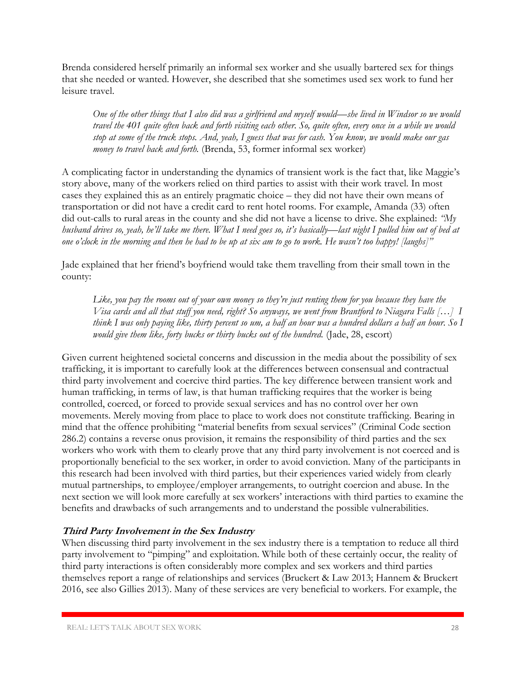Brenda considered herself primarily an informal sex worker and she usually bartered sex for things that she needed or wanted. However, she described that she sometimes used sex work to fund her leisure travel.

*One of the other things that I also did was a girlfriend and myself would—she lived in Windsor so we would travel the 401 quite often back and forth visiting each other. So, quite often, every once in a while we would stop at some of the truck stops. And, yeah, I guess that was for cash. You know, we would make our gas money to travel back and forth.* (Brenda, 53, former informal sex worker)

A complicating factor in understanding the dynamics of transient work is the fact that, like Maggie's story above, many of the workers relied on third parties to assist with their work travel. In most cases they explained this as an entirely pragmatic choice – they did not have their own means of transportation or did not have a credit card to rent hotel rooms. For example, Amanda (33) often did out-calls to rural areas in the county and she did not have a license to drive. She explained: *"My husband drives so, yeah, he'll take me there. What I need goes so, it's basically—last night I pulled him out of bed at one o'clock in the morning and then he had to be up at six am to go to work. He wasn't too happy! [laughs]"*

Jade explained that her friend's boyfriend would take them travelling from their small town in the county:

*Like, you pay the rooms out of your own money so they're just renting them for you because they have the Visa cards and all that stuff you need, right? So anyways, we went from Brantford to Niagara Falls […] I think I was only paying like, thirty percent so um, a half an hour was a hundred dollars a half an hour. So I would give them like, forty bucks or thirty bucks out of the hundred.* (Jade, 28, escort)

Given current heightened societal concerns and discussion in the media about the possibility of sex trafficking, it is important to carefully look at the differences between consensual and contractual third party involvement and coercive third parties. The key difference between transient work and human trafficking, in terms of law, is that human trafficking requires that the worker is being controlled, coerced, or forced to provide sexual services and has no control over her own movements. Merely moving from place to place to work does not constitute trafficking. Bearing in mind that the offence prohibiting "material benefits from sexual services" (Criminal Code section 286.2) contains a reverse onus provision, it remains the responsibility of third parties and the sex workers who work with them to clearly prove that any third party involvement is not coerced and is proportionally beneficial to the sex worker, in order to avoid conviction. Many of the participants in this research had been involved with third parties, but their experiences varied widely from clearly mutual partnerships, to employee/employer arrangements, to outright coercion and abuse. In the next section we will look more carefully at sex workers' interactions with third parties to examine the benefits and drawbacks of such arrangements and to understand the possible vulnerabilities.

#### **Third Party Involvement in the Sex Industry**

When discussing third party involvement in the sex industry there is a temptation to reduce all third party involvement to "pimping" and exploitation. While both of these certainly occur, the reality of third party interactions is often considerably more complex and sex workers and third parties themselves report a range of relationships and services (Bruckert & Law 2013; Hannem & Bruckert 2016, see also Gillies 2013). Many of these services are very beneficial to workers. For example, the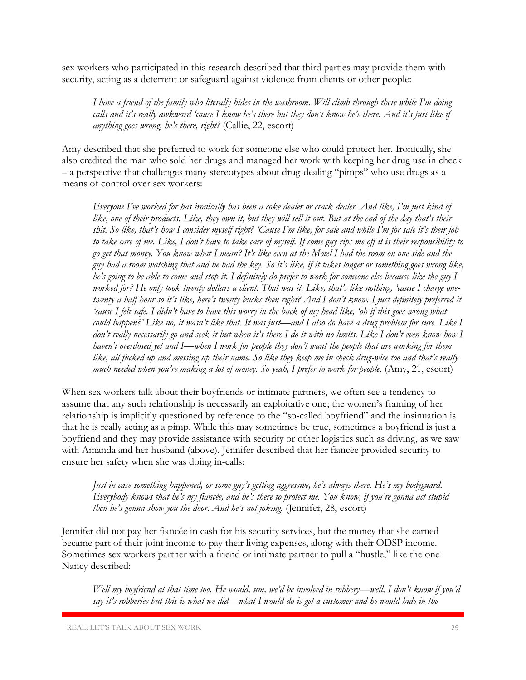sex workers who participated in this research described that third parties may provide them with security, acting as a deterrent or safeguard against violence from clients or other people:

*I have a friend of the family who literally hides in the washroom. Will climb through there while I'm doing calls and it's really awkward 'cause I know he's there but they don't know he's there. And it's just like if anything goes wrong, he's there, right?* (Callie, 22, escort)

Amy described that she preferred to work for someone else who could protect her. Ironically, she also credited the man who sold her drugs and managed her work with keeping her drug use in check – a perspective that challenges many stereotypes about drug-dealing "pimps" who use drugs as a means of control over sex workers:

*Everyone I've worked for has ironically has been a coke dealer or crack dealer. And like, I'm just kind of like, one of their products. Like, they own it, but they will sell it out. But at the end of the day that's their shit. So like, that's how I consider myself right? 'Cause I'm like, for sale and while I'm for sale it's their job to take care of me. Like, I don't have to take care of myself. If some guy rips me off it is their responsibility to go get that money. You know what I mean? It's like even at the Motel I had the room on one side and the guy had a room watching that and he had the key. So it's like, if it takes longer or something goes wrong like, he's going to be able to come and stop it. I definitely do prefer to work for someone else because like the guy I worked for? He only took twenty dollars a client. That was it. Like, that's like nothing, 'cause I charge onetwenty a half hour so it's like, here's twenty bucks then right? And I don't know. I just definitely preferred it 'cause I felt safe. I didn't have to have this worry in the back of my head like, 'oh if this goes wrong what could happen?' Like no, it wasn't like that. It was just—and I also do have a drug problem for sure. Like I don't really necessarily go and seek it but when it's there I do it with no limits. Like I don't even know how I haven't overdosed yet and I—when I work for people they don't want the people that are working for them like, all fucked up and messing up their name. So like they keep me in check drug-wise too and that's really much needed when you're making a lot of money. So yeah, I prefer to work for people.* (Amy, 21, escort)

When sex workers talk about their boyfriends or intimate partners, we often see a tendency to assume that any such relationship is necessarily an exploitative one; the women's framing of her relationship is implicitly questioned by reference to the "so-called boyfriend" and the insinuation is that he is really acting as a pimp. While this may sometimes be true, sometimes a boyfriend is just a boyfriend and they may provide assistance with security or other logistics such as driving, as we saw with Amanda and her husband (above). Jennifer described that her fiancée provided security to ensure her safety when she was doing in-calls:

*Just in case something happened, or some guy's getting aggressive, he's always there. He's my bodyguard. Everybody knows that he's my fiancée, and he's there to protect me. You know, if you're gonna act stupid then he's gonna show you the door. And he's not joking.* (Jennifer, 28, escort)

Jennifer did not pay her fiancée in cash for his security services, but the money that she earned became part of their joint income to pay their living expenses, along with their ODSP income. Sometimes sex workers partner with a friend or intimate partner to pull a "hustle," like the one Nancy described:

*Well my boyfriend at that time too. He would, um, we'd be involved in robbery—well, I don't know if you'd say it's robberies but this is what we did—what I would do is get a customer and he would hide in the*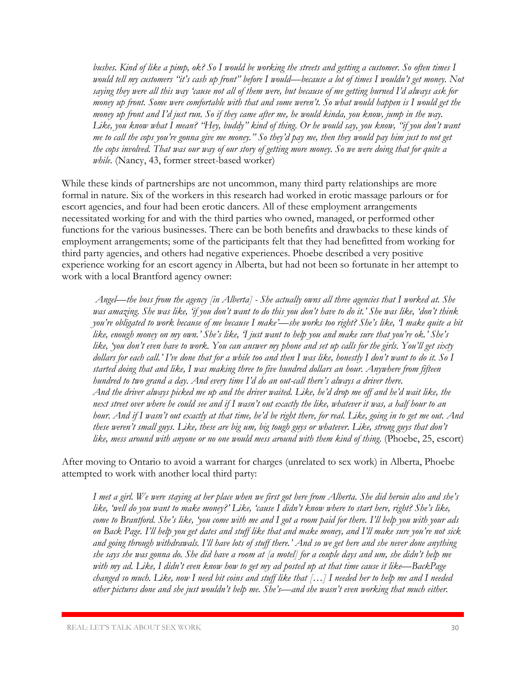*bushes. Kind of like a pimp, ok? So I would be working the streets and getting a customer. So often times I would tell my customers "it's cash up front" before I would—because a lot of times I wouldn't get money. Not saying they were all this way 'cause not all of them were, but because of me getting burned I'd always ask for money up front. Some were comfortable with that and some weren't. So what would happen is I would get the money up front and I'd just run. So if they came after me, he would kinda, you know, jump in the way. Like, you know what I mean? "Hey, buddy" kind of thing. Or he would say, you know, "if you don't want me to call the cops you're gonna give me money." So they'd pay me, then they would pay him just to not get the cops involved. That was our way of our story of getting more money. So we were doing that for quite a while.* (Nancy, 43, former street-based worker)

While these kinds of partnerships are not uncommon, many third party relationships are more formal in nature. Six of the workers in this research had worked in erotic massage parlours or for escort agencies, and four had been erotic dancers. All of these employment arrangements necessitated working for and with the third parties who owned, managed, or performed other functions for the various businesses. There can be both benefits and drawbacks to these kinds of employment arrangements; some of the participants felt that they had benefitted from working for third party agencies, and others had negative experiences. Phoebe described a very positive experience working for an escort agency in Alberta, but had not been so fortunate in her attempt to work with a local Brantford agency owner:

*Angel—the boss from the agency [in Alberta] - She actually owns all three agencies that I worked at. She was amazing. She was like, 'if you don't want to do this you don't have to do it.' She was like, 'don't think you're obligated to work because of me because I make'—she works too right? She's like, 'I make quite a bit like, enough money on my own.' She's like, 'I just want to help you and make sure that you're ok.' She's like, 'you don't even have to work. You can answer my phone and set up calls for the girls. You'll get sixty dollars for each call.' I've done that for a while too and then I was like, honestly I don't want to do it. So I started doing that and like, I was making three to five hundred dollars an hour. Anywhere from fifteen hundred to two grand a day. And every time I'd do an out-call there's always a driver there. And the driver always picked me up and the driver waited. Like, he'd drop me off and he'd wait like, the next street over where he could see and if I wasn't out exactly the like, whatever it was, a half hour to an hour. And if I wasn't out exactly at that time, he'd be right there, for real. Like, going in to get me out. And these weren't small guys. Like, these are big um, big tough guys or whatever. Like, strong guys that don't*  like, mess around with anyone or no one would mess around with them kind of thing. (Phoebe, 25, escort)

After moving to Ontario to avoid a warrant for charges (unrelated to sex work) in Alberta, Phoebe attempted to work with another local third party:

*I met a girl. We were staying at her place when we first got here from Alberta. She did heroin also and she's like, 'well do you want to make money?' Like, 'cause I didn't know where to start here, right? She's like, come to Brantford. She's like, 'you come with me and I got a room paid for there. I'll help you with your ads on Back Page. I'll help you get dates and stuff like that and make money, and I'll make sure you're not sick and going through withdrawals. I'll have lots of stuff there.' And so we get here and she never done anything she says she was gonna do. She did have a room at [a motel] for a couple days and um, she didn't help me with my ad. Like, I didn't even know how to get my ad posted up at that time cause it like—BackPage changed so much. Like, now I need bit coins and stuff like that […] I needed her to help me and I needed other pictures done and she just wouldn't help me. She's—and she wasn't even working that much either.*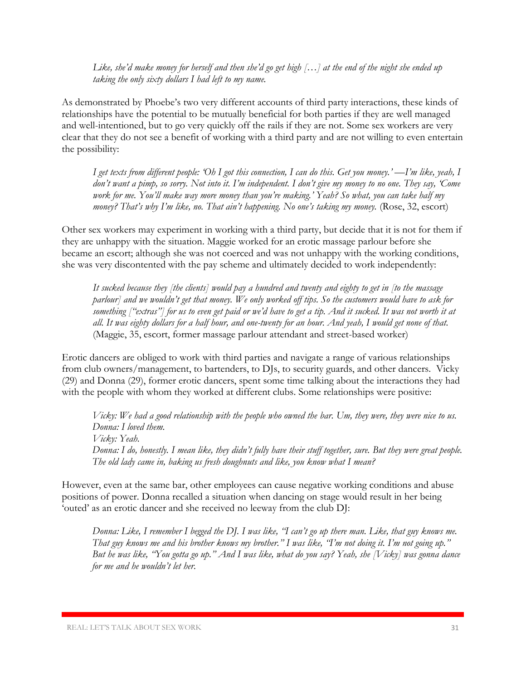*Like, she'd make money for herself and then she'd go get high […] at the end of the night she ended up taking the only sixty dollars I had left to my name.* 

As demonstrated by Phoebe's two very different accounts of third party interactions, these kinds of relationships have the potential to be mutually beneficial for both parties if they are well managed and well-intentioned, but to go very quickly off the rails if they are not. Some sex workers are very clear that they do not see a benefit of working with a third party and are not willing to even entertain the possibility:

*I get texts from different people: 'Oh I got this connection, I can do this. Get you money.' —I'm like, yeah, I don't want a pimp, so sorry. Not into it. I'm independent. I don't give my money to no one. They say, 'Come work for me. You'll make way more money than you're making.' Yeah? So what, you can take half my money? That's why I'm like, no. That ain't happening. No one's taking my money.* (Rose, 32, escort)

Other sex workers may experiment in working with a third party, but decide that it is not for them if they are unhappy with the situation. Maggie worked for an erotic massage parlour before she became an escort; although she was not coerced and was not unhappy with the working conditions, she was very discontented with the pay scheme and ultimately decided to work independently:

*It sucked because they [the clients] would pay a hundred and twenty and eighty to get in [to the massage parlour] and we wouldn't get that money. We only worked off tips. So the customers would have to ask for something ["extras"] for us to even get paid or we'd have to get a tip. And it sucked. It was not worth it at all. It was eighty dollars for a half hour, and one-twenty for an hour. And yeah, I would get none of that.* (Maggie, 35, escort, former massage parlour attendant and street-based worker)

Erotic dancers are obliged to work with third parties and navigate a range of various relationships from club owners/management, to bartenders, to DJs, to security guards, and other dancers. Vicky (29) and Donna (29), former erotic dancers, spent some time talking about the interactions they had with the people with whom they worked at different clubs. Some relationships were positive:

*Vicky: We had a good relationship with the people who owned the bar. Um, they were, they were nice to us. Donna: I loved them. Vicky: Yeah. Donna: I do, honestly. I mean like, they didn't fully have their stuff together, sure. But they were great people. The old lady came in, baking us fresh doughnuts and like, you know what I mean?*

However, even at the same bar, other employees can cause negative working conditions and abuse positions of power. Donna recalled a situation when dancing on stage would result in her being 'outed' as an erotic dancer and she received no leeway from the club DJ:

*Donna: Like, I remember I begged the DJ. I was like, "I can't go up there man. Like, that guy knows me. That guy knows me and his brother knows my brother." I was like, "I'm not doing it. I'm not going up." But he was like, "You gotta go up." And I was like, what do you say? Yeah, she [Vicky] was gonna dance for me and he wouldn't let her.*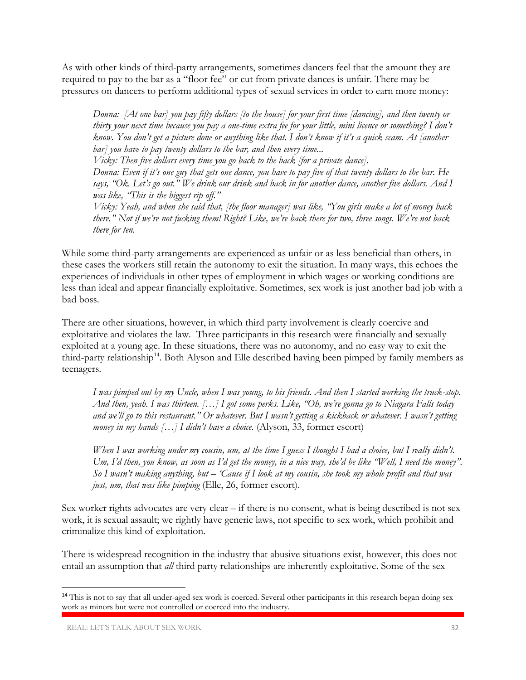As with other kinds of third-party arrangements, sometimes dancers feel that the amount they are required to pay to the bar as a "floor fee" or cut from private dances is unfair. There may be pressures on dancers to perform additional types of sexual services in order to earn more money:

*Donna: [At one bar] you pay fifty dollars [to the house] for your first time [dancing], and then twenty or thirty your next time because you pay a one-time extra fee for your little, mini licence or something? I don't know. You don't get a picture done or anything like that. I don't know if it's a quick scam. At [another bar] you have to pay twenty dollars to the bar, and then every time...*

*Vicky: Then five dollars every time you go back to the back [for a private dance].* 

*Donna: Even if it's one guy that gets one dance, you have to pay five of that twenty dollars to the bar. He says, "Ok. Let's go out." We drink our drink and back in for another dance, another five dollars. And I was like, "This is the biggest rip off."*

*Vicky: Yeah, and when she said that, [the floor manager] was like, "You girls make a lot of money back there." Not if we're not fucking them! Right? Like, we're back there for two, three songs. We're not back there for ten.*

While some third-party arrangements are experienced as unfair or as less beneficial than others, in these cases the workers still retain the autonomy to exit the situation. In many ways, this echoes the experiences of individuals in other types of employment in which wages or working conditions are less than ideal and appear financially exploitative. Sometimes, sex work is just another bad job with a bad boss.

There are other situations, however, in which third party involvement is clearly coercive and exploitative and violates the law. Three participants in this research were financially and sexually exploited at a young age. In these situations, there was no autonomy, and no easy way to exit the third-party relationship<sup>14</sup>. Both Alyson and Elle described having been pimped by family members as teenagers.

*I was pimped out by my Uncle, when I was young, to his friends. And then I started working the truck-stop. And then, yeah. I was thirteen. […] I got some perks. Like, "Oh, we're gonna go to Niagara Falls today and we'll go to this restaurant." Or whatever. But I wasn't getting a kickback or whatever. I wasn't getting money in my hands* [...] *I didn't have a choice.* (Alyson, 33, former escort)

*When I was working under my cousin, um, at the time I guess I thought I had a choice, but I really didn't. Um, I'd then, you know, as soon as I'd get the money, in a nice way, she'd be like "Well, I need the money". So I wasn't making anything, but – 'Cause if I look at my cousin, she took my whole profit and that was just, um, that was like pimping* (Elle, 26, former escort).

Sex worker rights advocates are very clear  $-$  if there is no consent, what is being described is not sex work, it is sexual assault; we rightly have generic laws, not specific to sex work, which prohibit and criminalize this kind of exploitation.

There is widespread recognition in the industry that abusive situations exist, however, this does not entail an assumption that *all* third party relationships are inherently exploitative. Some of the sex

 $\overline{\phantom{a}}$ 

<sup>&</sup>lt;sup>14</sup> This is not to say that all under-aged sex work is coerced. Several other participants in this research began doing sex work as minors but were not controlled or coerced into the industry.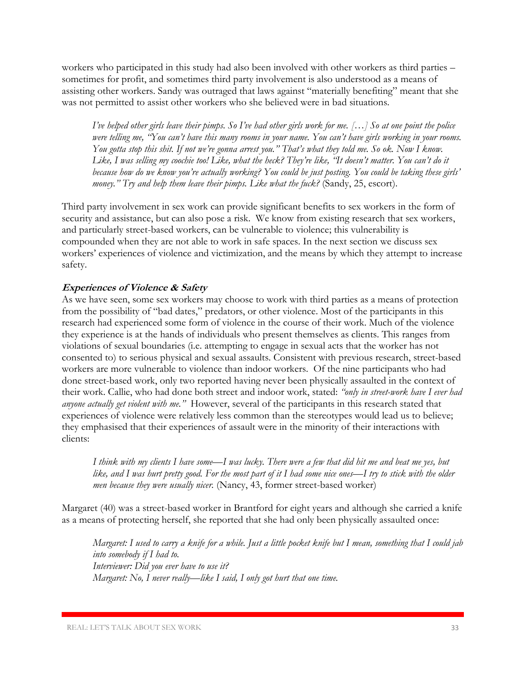workers who participated in this study had also been involved with other workers as third parties – sometimes for profit, and sometimes third party involvement is also understood as a means of assisting other workers. Sandy was outraged that laws against "materially benefiting" meant that she was not permitted to assist other workers who she believed were in bad situations.

*I've helped other girls leave their pimps. So I've had other girls work for me. […] So at one point the police*  were telling me, "You can't have this many rooms in your name. You can't have girls working in your rooms. *You gotta stop this shit. If not we're gonna arrest you." That's what they told me. So ok. Now I know. Like, I was selling my coochie too! Like, what the heck? They're like, "It doesn't matter. You can't do it because how do we know you're actually working? You could be just posting. You could be taking these girls' money." Try and help them leave their pimps. Like what the fuck?* (Sandy, 25, escort).

Third party involvement in sex work can provide significant benefits to sex workers in the form of security and assistance, but can also pose a risk. We know from existing research that sex workers, and particularly street-based workers, can be vulnerable to violence; this vulnerability is compounded when they are not able to work in safe spaces. In the next section we discuss sex workers' experiences of violence and victimization, and the means by which they attempt to increase safety.

#### **Experiences of Violence & Safety**

As we have seen, some sex workers may choose to work with third parties as a means of protection from the possibility of "bad dates," predators, or other violence. Most of the participants in this research had experienced some form of violence in the course of their work. Much of the violence they experience is at the hands of individuals who present themselves as clients. This ranges from violations of sexual boundaries (i.e. attempting to engage in sexual acts that the worker has not consented to) to serious physical and sexual assaults. Consistent with previous research, street-based workers are more vulnerable to violence than indoor workers. Of the nine participants who had done street-based work, only two reported having never been physically assaulted in the context of their work. Callie, who had done both street and indoor work, stated: *"only in street-work have I ever had anyone actually get violent with me."* However, several of the participants in this research stated that experiences of violence were relatively less common than the stereotypes would lead us to believe; they emphasised that their experiences of assault were in the minority of their interactions with clients:

*I think with my clients I have some—I was lucky. There were a few that did hit me and beat me yes, but like, and I was hurt pretty good. For the most part of it I had some nice ones—I try to stick with the older men because they were usually nicer.* (Nancy, 43, former street-based worker)

Margaret (40) was a street-based worker in Brantford for eight years and although she carried a knife as a means of protecting herself, she reported that she had only been physically assaulted once:

*Margaret: I used to carry a knife for a while. Just a little pocket knife but I mean, something that I could jab into somebody if I had to. Interviewer: Did you ever have to use it? Margaret: No, I never really—like I said, I only got hurt that one time.*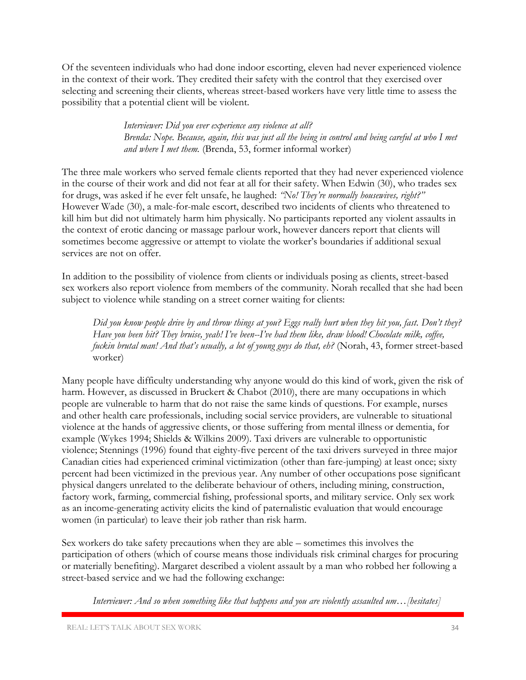Of the seventeen individuals who had done indoor escorting, eleven had never experienced violence in the context of their work. They credited their safety with the control that they exercised over selecting and screening their clients, whereas street-based workers have very little time to assess the possibility that a potential client will be violent.

> *Interviewer: Did you ever experience any violence at all? Brenda: Nope. Because, again, this was just all the being in control and being careful at who I met and where I met them.* (Brenda, 53, former informal worker)

The three male workers who served female clients reported that they had never experienced violence in the course of their work and did not fear at all for their safety. When Edwin (30), who trades sex for drugs, was asked if he ever felt unsafe, he laughed: *"No! They're normally housewives, right?"* However Wade (30), a male-for-male escort, described two incidents of clients who threatened to kill him but did not ultimately harm him physically. No participants reported any violent assaults in the context of erotic dancing or massage parlour work, however dancers report that clients will sometimes become aggressive or attempt to violate the worker's boundaries if additional sexual services are not on offer.

In addition to the possibility of violence from clients or individuals posing as clients, street-based sex workers also report violence from members of the community. Norah recalled that she had been subject to violence while standing on a street corner waiting for clients:

*Did you know people drive by and throw things at you? Eggs really hurt when they hit you, fast. Don't they? Have you been hit? They bruise, yeah! I've been--I've had them like, draw blood! Chocolate milk, coffee, fuckin brutal man! And that's usually, a lot of young guys do that, eh?* (Norah, 43, former street-based worker)

Many people have difficulty understanding why anyone would do this kind of work, given the risk of harm. However, as discussed in Bruckert & Chabot (2010), there are many occupations in which people are vulnerable to harm that do not raise the same kinds of questions. For example, nurses and other health care professionals, including social service providers, are vulnerable to situational violence at the hands of aggressive clients, or those suffering from mental illness or dementia, for example (Wykes 1994; Shields & Wilkins 2009). Taxi drivers are vulnerable to opportunistic violence; Stennings (1996) found that eighty-five percent of the taxi drivers surveyed in three major Canadian cities had experienced criminal victimization (other than fare-jumping) at least once; sixty percent had been victimized in the previous year. Any number of other occupations pose significant physical dangers unrelated to the deliberate behaviour of others, including mining, construction, factory work, farming, commercial fishing, professional sports, and military service. Only sex work as an income-generating activity elicits the kind of paternalistic evaluation that would encourage women (in particular) to leave their job rather than risk harm.

Sex workers do take safety precautions when they are able – sometimes this involves the participation of others (which of course means those individuals risk criminal charges for procuring or materially benefiting). Margaret described a violent assault by a man who robbed her following a street-based service and we had the following exchange:

*Interviewer: And so when something like that happens and you are violently assaulted um…[hesitates]*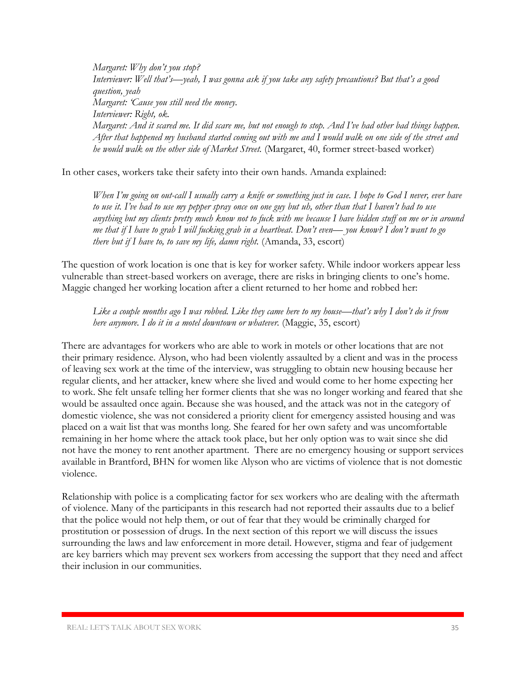*Margaret: Why don't you stop? Interviewer: Well that's—yeah, I was gonna ask if you take any safety precautions? But that's a good question, yeah Margaret: 'Cause you still need the money. Interviewer: Right, ok. Margaret: And it scared me. It did scare me, but not enough to stop. And I've had other bad things happen. After that happened my husband started coming out with me and I would walk on one side of the street and he would walk on the other side of Market Street.* (Margaret, 40, former street-based worker)

In other cases, workers take their safety into their own hands. Amanda explained:

*When I'm going on out-call I usually carry a knife or something just in case. I hope to God I never, ever have to use it. I've had to use my pepper spray once on one guy but uh, other than that I haven't had to use anything but my clients pretty much know not to fuck with me because I have hidden stuff on me or in around me that if I have to grab I will fucking grab in a heartbeat. Don't even— you know? I don't want to go there but if I have to, to save my life, damn right.* (Amanda, 33, escort)

The question of work location is one that is key for worker safety. While indoor workers appear less vulnerable than street-based workers on average, there are risks in bringing clients to one's home. Maggie changed her working location after a client returned to her home and robbed her:

*Like a couple months ago I was robbed. Like they came here to my house—that's why I don't do it from here anymore. I do it in a motel downtown or whatever.* (Maggie, 35, escort)

There are advantages for workers who are able to work in motels or other locations that are not their primary residence. Alyson, who had been violently assaulted by a client and was in the process of leaving sex work at the time of the interview, was struggling to obtain new housing because her regular clients, and her attacker, knew where she lived and would come to her home expecting her to work. She felt unsafe telling her former clients that she was no longer working and feared that she would be assaulted once again. Because she was housed, and the attack was not in the category of domestic violence, she was not considered a priority client for emergency assisted housing and was placed on a wait list that was months long. She feared for her own safety and was uncomfortable remaining in her home where the attack took place, but her only option was to wait since she did not have the money to rent another apartment. There are no emergency housing or support services available in Brantford, BHN for women like Alyson who are victims of violence that is not domestic violence.

Relationship with police is a complicating factor for sex workers who are dealing with the aftermath of violence. Many of the participants in this research had not reported their assaults due to a belief that the police would not help them, or out of fear that they would be criminally charged for prostitution or possession of drugs. In the next section of this report we will discuss the issues surrounding the laws and law enforcement in more detail. However, stigma and fear of judgement are key barriers which may prevent sex workers from accessing the support that they need and affect their inclusion in our communities.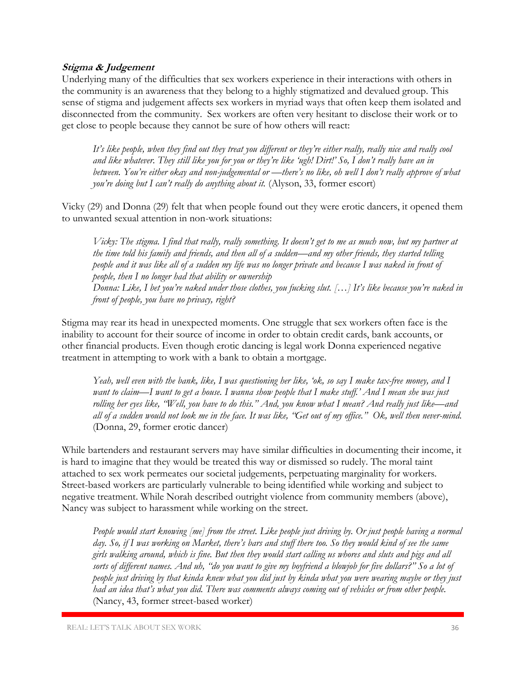#### **Stigma & Judgement**

Underlying many of the difficulties that sex workers experience in their interactions with others in the community is an awareness that they belong to a highly stigmatized and devalued group. This sense of stigma and judgement affects sex workers in myriad ways that often keep them isolated and disconnected from the community. Sex workers are often very hesitant to disclose their work or to get close to people because they cannot be sure of how others will react:

*It's like people, when they find out they treat you different or they're either really, really nice and really cool and like whatever. They still like you for you or they're like 'ugh! Dirt!' So, I don't really have an in between. You're either okay and non-judgemental or —there's no like, oh well I don't really approve of what you're doing but I can't really do anything about it.* (Alyson, 33, former escort)

Vicky (29) and Donna (29) felt that when people found out they were erotic dancers, it opened them to unwanted sexual attention in non-work situations:

*Vicky: The stigma. I find that really, really something. It doesn't get to me as much now, but my partner at the time told his family and friends, and then all of a sudden—and my other friends, they started telling people and it was like all of a sudden my life was no longer private and because I was naked in front of people, then I no longer had that ability or ownership Donna: Like, I bet you're naked under those clothes, you fucking slut. […] It's like because you're naked in front of people, you have no privacy, right?* 

Stigma may rear its head in unexpected moments. One struggle that sex workers often face is the inability to account for their source of income in order to obtain credit cards, bank accounts, or other financial products. Even though erotic dancing is legal work Donna experienced negative treatment in attempting to work with a bank to obtain a mortgage.

*Yeah, well even with the bank, like, I was questioning her like, 'ok, so say I make tax-free money, and I want to claim—I want to get a house. I wanna show people that I make stuff.' And I mean she was just rolling her eyes like, "Well, you have to do this." And, you know what I mean? And really just like—and all of a sudden would not look me in the face. It was like, "Get out of my office." Ok, well then never-mind.*  (Donna, 29, former erotic dancer)

While bartenders and restaurant servers may have similar difficulties in documenting their income, it is hard to imagine that they would be treated this way or dismissed so rudely. The moral taint attached to sex work permeates our societal judgements, perpetuating marginality for workers. Street-based workers are particularly vulnerable to being identified while working and subject to negative treatment. While Norah described outright violence from community members (above), Nancy was subject to harassment while working on the street.

*People would start knowing [me] from the street. Like people just driving by. Or just people having a normal day. So, if I was working on Market, there's bars and stuff there too. So they would kind of see the same girls walking around, which is fine. But then they would start calling us whores and sluts and pigs and all sorts of different names. And uh, "do you want to give my boyfriend a blowjob for five dollars?" So a lot of people just driving by that kinda knew what you did just by kinda what you were wearing maybe or they just had an idea that's what you did. There was comments always coming out of vehicles or from other people.*  (Nancy, 43, former street-based worker)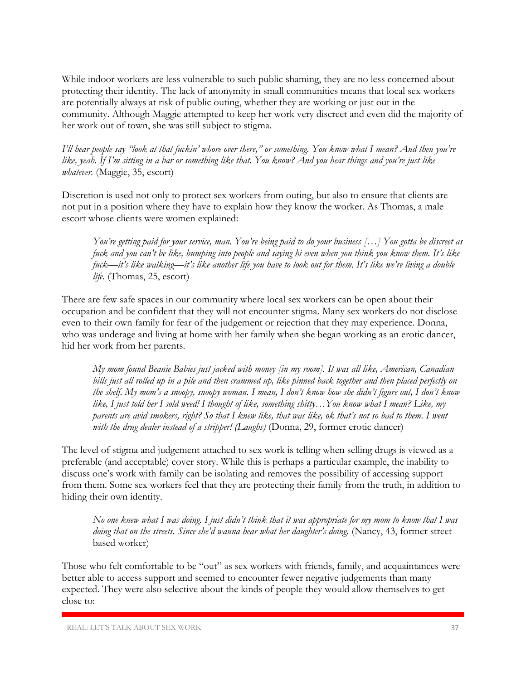While indoor workers are less vulnerable to such public shaming, they are no less concerned about protecting their identity. The lack of anonymity in small communities means that local sex workers are potentially always at risk of public outing, whether they are working or just out in the community. Although Maggie attempted to keep her work very discreet and even did the majority of her work out of town, she was still subject to stigma.

*I'll hear people say "look at that fuckin' whore over there," or something. You know what I mean? And then you're like, yeah. If I'm sitting in a bar or something like that. You know? And you hear things and you're just like whatever.* (Maggie, 35, escort)

Discretion is used not only to protect sex workers from outing, but also to ensure that clients are not put in a position where they have to explain how they know the worker. As Thomas, a male escort whose clients were women explained:

*You're getting paid for your service, man. You're being paid to do your business […] You gotta be discreet as fuck and you can't be like, bumping into people and saying hi even when you think you know them. It's like fuck—it's like walking—it's like another life you have to look out for them. It's like we're living a double life.* (Thomas, 25, escort)

There are few safe spaces in our community where local sex workers can be open about their occupation and be confident that they will not encounter stigma. Many sex workers do not disclose even to their own family for fear of the judgement or rejection that they may experience. Donna, who was underage and living at home with her family when she began working as an erotic dancer, hid her work from her parents.

*My mom found Beanie Babies just jacked with money [in my room]. It was all like, American, Canadian bills just all rolled up in a pile and then crammed up, like pinned back together and then placed perfectly on the shelf. My mom's a snoopy, snoopy woman. I mean, I don't know how she didn't figure out, I don't know like, I just told her I sold weed! I thought of like, something shitty…You know what I mean? Like, my parents are avid smokers, right? So that I knew like, that was like, ok that's not so bad to them. I went with the drug dealer instead of a stripper! (Laughs)* (Donna, 29, former erotic dancer)

The level of stigma and judgement attached to sex work is telling when selling drugs is viewed as a preferable (and acceptable) cover story. While this is perhaps a particular example, the inability to discuss one's work with family can be isolating and removes the possibility of accessing support from them. Some sex workers feel that they are protecting their family from the truth, in addition to hiding their own identity.

*No one knew what I was doing. I just didn't think that it was appropriate for my mom to know that I was doing that on the streets. Since she'd wanna hear what her daughter's doing.* (Nancy, 43, former streetbased worker)

Those who felt comfortable to be "out" as sex workers with friends, family, and acquaintances were better able to access support and seemed to encounter fewer negative judgements than many expected. They were also selective about the kinds of people they would allow themselves to get close to: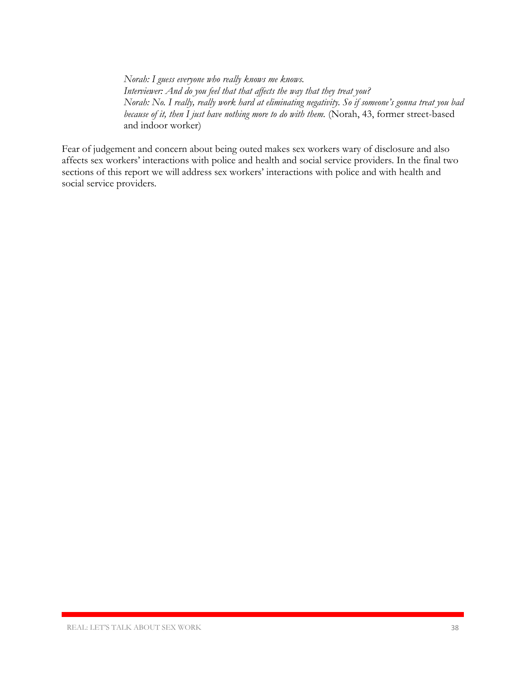*Norah: I guess everyone who really knows me knows. Interviewer: And do you feel that that affects the way that they treat you? Norah: No. I really, really work hard at eliminating negativity. So if someone's gonna treat you bad because of it, then I just have nothing more to do with them.* (Norah, 43, former street-based and indoor worker)

Fear of judgement and concern about being outed makes sex workers wary of disclosure and also affects sex workers' interactions with police and health and social service providers. In the final two sections of this report we will address sex workers' interactions with police and with health and social service providers.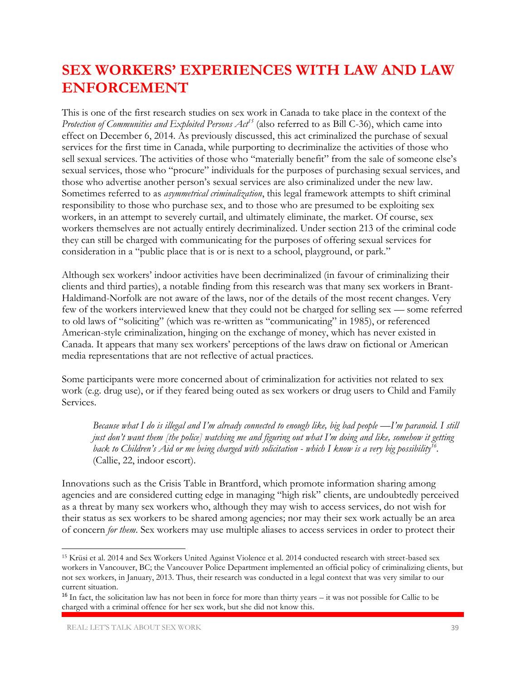### **SEX WORKERS' EXPERIENCES WITH LAW AND LAW ENFORCEMENT**

This is one of the first research studies on sex work in Canada to take place in the context of the *Protection of Communities and Exploited Persons Act<sup>15</sup>* (also referred to as Bill C-36), which came into effect on December 6, 2014. As previously discussed, this act criminalized the purchase of sexual services for the first time in Canada, while purporting to decriminalize the activities of those who sell sexual services. The activities of those who "materially benefit" from the sale of someone else's sexual services, those who "procure" individuals for the purposes of purchasing sexual services, and those who advertise another person's sexual services are also criminalized under the new law. Sometimes referred to as *asymmetrical criminalization*, this legal framework attempts to shift criminal responsibility to those who purchase sex, and to those who are presumed to be exploiting sex workers, in an attempt to severely curtail, and ultimately eliminate, the market. Of course, sex workers themselves are not actually entirely decriminalized. Under section 213 of the criminal code they can still be charged with communicating for the purposes of offering sexual services for consideration in a "public place that is or is next to a school, playground, or park."

Although sex workers' indoor activities have been decriminalized (in favour of criminalizing their clients and third parties), a notable finding from this research was that many sex workers in Brant-Haldimand-Norfolk are not aware of the laws, nor of the details of the most recent changes. Very few of the workers interviewed knew that they could not be charged for selling sex — some referred to old laws of "soliciting" (which was re-written as "communicating" in 1985), or referenced American-style criminalization, hinging on the exchange of money, which has never existed in Canada. It appears that many sex workers' perceptions of the laws draw on fictional or American media representations that are not reflective of actual practices.

Some participants were more concerned about of criminalization for activities not related to sex work (e.g. drug use), or if they feared being outed as sex workers or drug users to Child and Family Services.

*Because what I do is illegal and I'm already connected to enough like, big bad people —I'm paranoid. I still just don't want them [the police] watching me and figuring out what I'm doing and like, somehow it getting*  back to Children's Aid or me being charged with solicitation - which I know is a very big possibility<sup>16</sup>. (Callie, 22, indoor escort).

Innovations such as the Crisis Table in Brantford, which promote information sharing among agencies and are considered cutting edge in managing "high risk" clients, are undoubtedly perceived as a threat by many sex workers who, although they may wish to access services, do not wish for their status as sex workers to be shared among agencies; nor may their sex work actually be an area of concern *for them*. Sex workers may use multiple aliases to access services in order to protect their

 $\overline{\phantom{a}}$ 

<sup>&</sup>lt;sup>15</sup> Krüsi et al. 2014 and Sex Workers United Against Violence et al. 2014 conducted research with street-based sex workers in Vancouver, BC; the Vancouver Police Department implemented an official policy of criminalizing clients, but not sex workers, in January, 2013. Thus, their research was conducted in a legal context that was very similar to our current situation.

 $16$  In fact, the solicitation law has not been in force for more than thirty years – it was not possible for Callie to be charged with a criminal offence for her sex work, but she did not know this.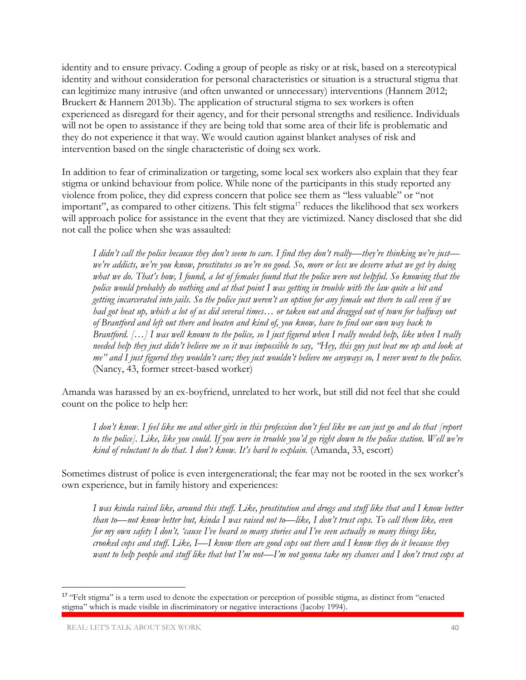identity and to ensure privacy. Coding a group of people as risky or at risk, based on a stereotypical identity and without consideration for personal characteristics or situation is a structural stigma that can legitimize many intrusive (and often unwanted or unnecessary) interventions (Hannem 2012; Bruckert & Hannem 2013b). The application of structural stigma to sex workers is often experienced as disregard for their agency, and for their personal strengths and resilience. Individuals will not be open to assistance if they are being told that some area of their life is problematic and they do not experience it that way. We would caution against blanket analyses of risk and intervention based on the single characteristic of doing sex work.

In addition to fear of criminalization or targeting, some local sex workers also explain that they fear stigma or unkind behaviour from police. While none of the participants in this study reported any violence from police, they did express concern that police see them as "less valuable" or "not important", as compared to other citizens. This felt stigma<sup>17</sup> reduces the likelihood that sex workers will approach police for assistance in the event that they are victimized. Nancy disclosed that she did not call the police when she was assaulted:

*I didn't call the police because they don't seem to care. I find they don't really—they're thinking we're just we're addicts, we're you know, prostitutes so we're no good. So, more or less we deserve what we get by doing what we do. That's how, I found, a lot of females found that the police were not helpful. So knowing that the police would probably do nothing and at that point I was getting in trouble with the law quite a bit and getting incarcerated into jails. So the police just weren't an option for any female out there to call even if we had got beat up, which a lot of us did several times… or taken out and dragged out of town for halfway out of Brantford and left out there and beaten and kind of, you know, have to find our own way back to Brantford.* [...] I was well known to the police, so I just figured when I really needed help, like when I really *needed help they just didn't believe me so it was impossible to say, "Hey, this guy just beat me up and look at me" and I just figured they wouldn't care; they just wouldn't believe me anyways so, I never went to the police.* (Nancy, 43, former street-based worker)

Amanda was harassed by an ex-boyfriend, unrelated to her work, but still did not feel that she could count on the police to help her:

*I don't know. I feel like me and other girls in this profession don't feel like we can just go and do that [report to the police]. Like, like you could. If you were in trouble you'd go right down to the police station. Well we're kind of reluctant to do that. I don't know. It's hard to explain.* (Amanda, 33, escort)

Sometimes distrust of police is even intergenerational; the fear may not be rooted in the sex worker's own experience, but in family history and experiences:

*I was kinda raised like, around this stuff. Like, prostitution and drugs and stuff like that and I know better than to—not know better but, kinda I was raised not to—like, I don't trust cops. To call them like, even for my own safety I don't, 'cause I've heard so many stories and I've seen actually so many things like, crooked cops and stuff. Like, I—I know there are good cops out there and I know they do it because they want to help people and stuff like that but I'm not—I'm not gonna take my chances and I don't trust cops at* 

 $\overline{\phantom{a}}$ 

<sup>&</sup>lt;sup>17</sup> "Felt stigma" is a term used to denote the expectation or perception of possible stigma, as distinct from "enacted stigma" which is made visible in discriminatory or negative interactions (Jacoby 1994).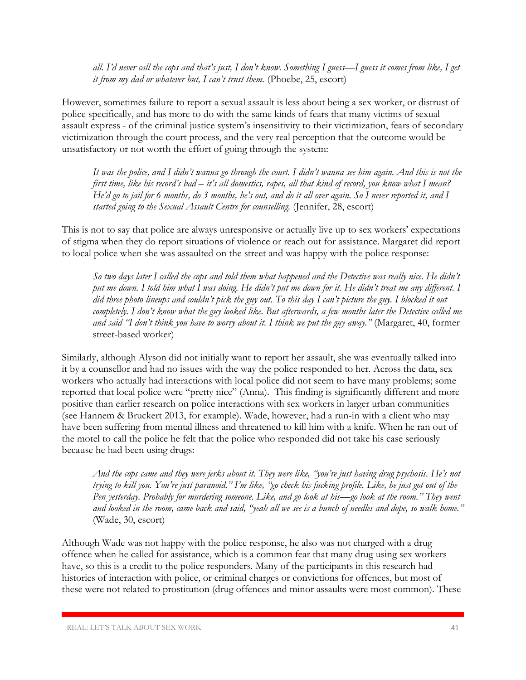*all. I'd never call the cops and that's just, I don't know. Something I guess—I guess it comes from like, I get it from my dad or whatever but, I can't trust them.* (Phoebe, 25, escort)

However, sometimes failure to report a sexual assault is less about being a sex worker, or distrust of police specifically, and has more to do with the same kinds of fears that many victims of sexual assault express - of the criminal justice system's insensitivity to their victimization, fears of secondary victimization through the court process, and the very real perception that the outcome would be unsatisfactory or not worth the effort of going through the system:

*It was the police, and I didn't wanna go through the court. I didn't wanna see him again. And this is not the first time, like his record's bad – it's all domestics, rapes, all that kind of record, you know what I mean? He'd go to jail for 6 months, do 3 months, he's out, and do it all over again. So I never reported it, and I started going to the Sexual Assault Centre for counselling.* (Jennifer, 28, escort)

This is not to say that police are always unresponsive or actually live up to sex workers' expectations of stigma when they do report situations of violence or reach out for assistance. Margaret did report to local police when she was assaulted on the street and was happy with the police response:

*So two days later I called the cops and told them what happened and the Detective was really nice. He didn't put me down. I told him what I was doing. He didn't put me down for it. He didn't treat me any different. I did three photo lineups and couldn't pick the guy out. To this day I can't picture the guy. I blocked it out completely. I don't know what the guy looked like. But afterwards, a few months later the Detective called me and said "I don't think you have to worry about it. I think we put the guy away."* (Margaret, 40, former street-based worker)

Similarly, although Alyson did not initially want to report her assault, she was eventually talked into it by a counsellor and had no issues with the way the police responded to her. Across the data, sex workers who actually had interactions with local police did not seem to have many problems; some reported that local police were "pretty nice" (Anna). This finding is significantly different and more positive than earlier research on police interactions with sex workers in larger urban communities (see Hannem & Bruckert 2013, for example). Wade, however, had a run-in with a client who may have been suffering from mental illness and threatened to kill him with a knife. When he ran out of the motel to call the police he felt that the police who responded did not take his case seriously because he had been using drugs:

*And the cops came and they were jerks about it. They were like, "you're just having drug psychosis. He's not trying to kill you. You're just paranoid." I'm like, "go check his fucking profile. Like, he just got out of the Pen yesterday. Probably for murdering someone. Like, and go look at his—go look at the room." They went and looked in the room, came back and said, "yeah all we see is a bunch of needles and dope, so walk home."* (Wade, 30, escort)

Although Wade was not happy with the police response, he also was not charged with a drug offence when he called for assistance, which is a common fear that many drug using sex workers have, so this is a credit to the police responders. Many of the participants in this research had histories of interaction with police, or criminal charges or convictions for offences, but most of these were not related to prostitution (drug offences and minor assaults were most common). These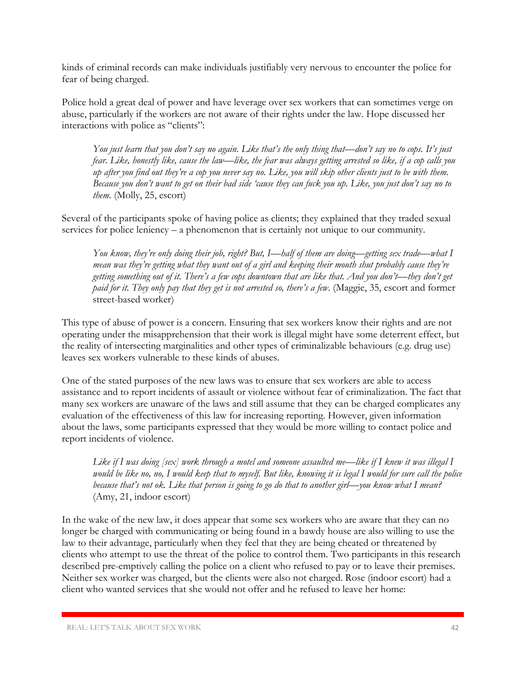kinds of criminal records can make individuals justifiably very nervous to encounter the police for fear of being charged.

Police hold a great deal of power and have leverage over sex workers that can sometimes verge on abuse, particularly if the workers are not aware of their rights under the law. Hope discussed her interactions with police as "clients":

*You just learn that you don't say no again. Like that's the only thing that—don't say no to cops. It's just fear. Like, honestly like, cause the law—like, the fear was always getting arrested so like, if a cop calls you up after you find out they're a cop you never say no. Like, you will skip other clients just to be with them. Because you don't want to get on their bad side 'cause they can fuck you up. Like, you just don't say no to them.* (Molly, 25, escort)

Several of the participants spoke of having police as clients; they explained that they traded sexual services for police leniency – a phenomenon that is certainly not unique to our community.

*You know, they're only doing their job, right? But, I—half of them are doing—getting sex trade—what I mean was they're getting what they want out of a girl and keeping their mouth shut probably cause they're getting something out of it. There's a few cops downtown that are like that. And you don't—they don't get paid for it. They only pay that they get is not arrested so, there's a few*. (Maggie, 35, escort and former street-based worker)

This type of abuse of power is a concern. Ensuring that sex workers know their rights and are not operating under the misapprehension that their work is illegal might have some deterrent effect, but the reality of intersecting marginalities and other types of criminalizable behaviours (e.g. drug use) leaves sex workers vulnerable to these kinds of abuses.

One of the stated purposes of the new laws was to ensure that sex workers are able to access assistance and to report incidents of assault or violence without fear of criminalization. The fact that many sex workers are unaware of the laws and still assume that they can be charged complicates any evaluation of the effectiveness of this law for increasing reporting. However, given information about the laws, some participants expressed that they would be more willing to contact police and report incidents of violence.

*Like if I was doing [sex] work through a motel and someone assaulted me—like if I knew it was illegal I would be like no, no, I would keep that to myself. But like, knowing it is legal I would for sure call the police because that's not ok. Like that person is going to go do that to another girl—you know what I mean?* (Amy, 21, indoor escort)

In the wake of the new law, it does appear that some sex workers who are aware that they can no longer be charged with communicating or being found in a bawdy house are also willing to use the law to their advantage, particularly when they feel that they are being cheated or threatened by clients who attempt to use the threat of the police to control them. Two participants in this research described pre-emptively calling the police on a client who refused to pay or to leave their premises. Neither sex worker was charged, but the clients were also not charged. Rose (indoor escort) had a client who wanted services that she would not offer and he refused to leave her home: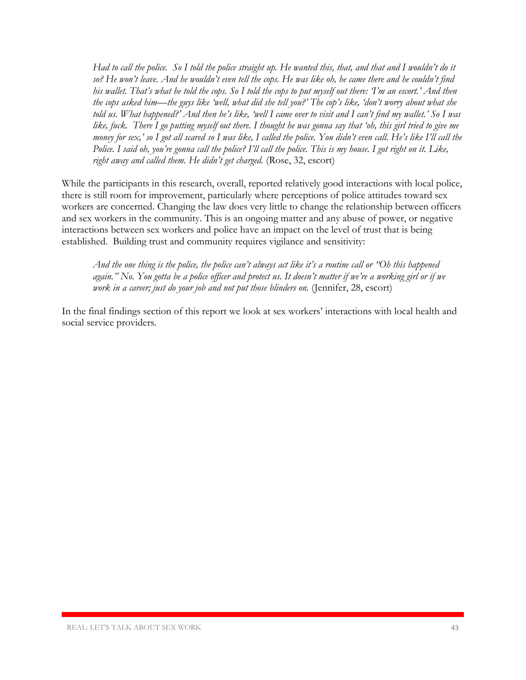*Had to call the police. So I told the police straight up. He wanted this, that, and that and I wouldn't do it so? He won't leave. And he wouldn't even tell the cops. He was like oh, he came there and he couldn't find his wallet. That's what he told the cops. So I told the cops to put myself out there: 'I'm an escort.' And then the cops asked him—the guys like 'well, what did she tell you?' The cop's like, 'don't worry about what she told us. What happened?' And then he's like, 'well I came over to visit and I can't find my wallet.' So I was like, fuck. There I go putting myself out there. I thought he was gonna say that 'oh, this girl tried to give me money for sex,' so I got all scared so I was like, I called the police. You didn't even call. He's like I'll call the Police. I said oh, you're gonna call the police? I'll call the police. This is my house. I got right on it. Like, right away and called them. He didn't get charged.* (Rose, 32, escort)

While the participants in this research, overall, reported relatively good interactions with local police, there is still room for improvement, particularly where perceptions of police attitudes toward sex workers are concerned. Changing the law does very little to change the relationship between officers and sex workers in the community. This is an ongoing matter and any abuse of power, or negative interactions between sex workers and police have an impact on the level of trust that is being established. Building trust and community requires vigilance and sensitivity:

*And the one thing is the police, the police can't always act like it's a routine call or "Oh this happened again." No. You gotta be a police officer and protect us. It doesn't matter if we're a working girl or if we work in a career; just do your job and not put those blinders on.* (Jennifer, 28, escort)

In the final findings section of this report we look at sex workers' interactions with local health and social service providers.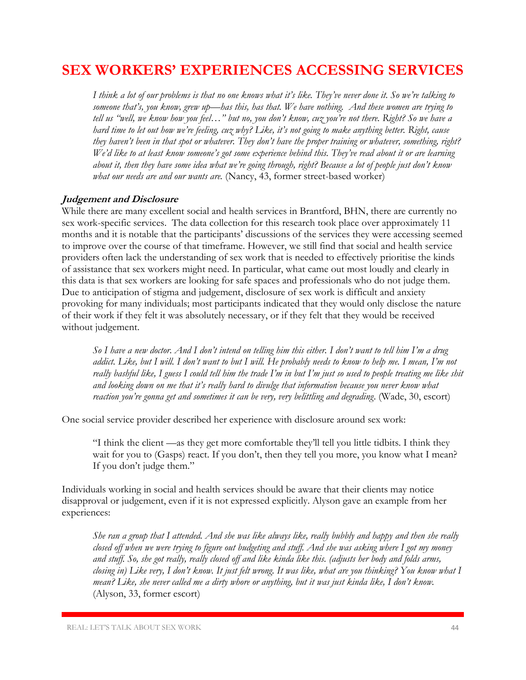### **SEX WORKERS' EXPERIENCES ACCESSING SERVICES**

*I think a lot of our problems is that no one knows what it's like. They've never done it. So we're talking to someone that's, you know, grew up—has this, has that. We have nothing. And these women are trying to tell us "well, we know how you feel…" but no, you don't know, cuz you're not there. Right? So we have a hard time to let out how we're feeling, cuz why? Like, it's not going to make anything better. Right, cause they haven't been in that spot or whatever. They don't have the proper training or whatever, something, right? We'd like to at least know someone's got some experience behind this. They've read about it or are learning about it, then they have some idea what we're going through, right? Because a lot of people just don't know what our needs are and our wants are.* (Nancy, 43, former street-based worker)

#### **Judgement and Disclosure**

While there are many excellent social and health services in Brantford, BHN, there are currently no sex work-specific services. The data collection for this research took place over approximately 11 months and it is notable that the participants' discussions of the services they were accessing seemed to improve over the course of that timeframe. However, we still find that social and health service providers often lack the understanding of sex work that is needed to effectively prioritise the kinds of assistance that sex workers might need. In particular, what came out most loudly and clearly in this data is that sex workers are looking for safe spaces and professionals who do not judge them. Due to anticipation of stigma and judgement, disclosure of sex work is difficult and anxiety provoking for many individuals; most participants indicated that they would only disclose the nature of their work if they felt it was absolutely necessary, or if they felt that they would be received without judgement.

*So I have a new doctor. And I don't intend on telling him this either. I don't want to tell him I'm a drug addict. Like, but I will. I don't want to but I will. He probably needs to know to help me. I mean, I'm not really bashful like, I guess I could tell him the trade I'm in but I'm just so used to people treating me like shit and looking down on me that it's really hard to divulge that information because you never know what reaction you're gonna get and sometimes it can be very, very belittling and degrading*. (Wade, 30, escort)

One social service provider described her experience with disclosure around sex work:

"I think the client —as they get more comfortable they'll tell you little tidbits. I think they wait for you to (Gasps) react. If you don't, then they tell you more, you know what I mean? If you don't judge them."

Individuals working in social and health services should be aware that their clients may notice disapproval or judgement, even if it is not expressed explicitly. Alyson gave an example from her experiences:

*She ran a group that I attended. And she was like always like, really bubbly and happy and then she really closed off when we were trying to figure out budgeting and stuff. And she was asking where I got my money and stuff. So, she got really, really closed off and like kinda like this. (adjusts her body and folds arms, closing in) Like very, I don't know. It just felt wrong. It was like, what are you thinking? You know what I mean? Like, she never called me a dirty whore or anything, but it was just kinda like, I don't know.* (Alyson, 33, former escort)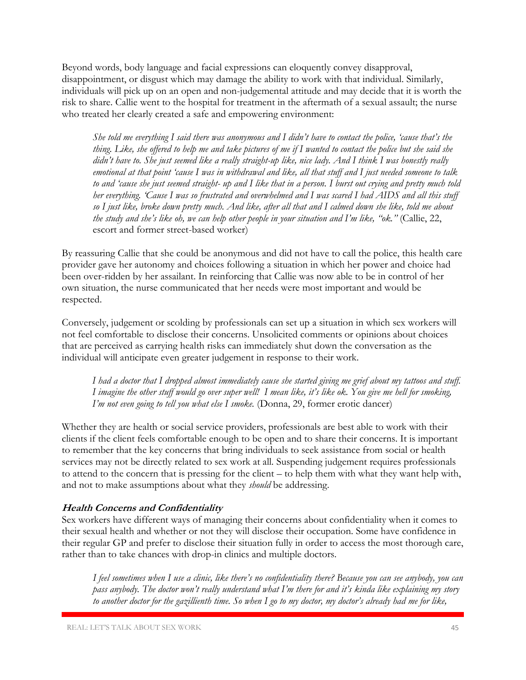Beyond words, body language and facial expressions can eloquently convey disapproval, disappointment, or disgust which may damage the ability to work with that individual. Similarly, individuals will pick up on an open and non-judgemental attitude and may decide that it is worth the risk to share. Callie went to the hospital for treatment in the aftermath of a sexual assault; the nurse who treated her clearly created a safe and empowering environment:

*She told me everything I said there was anonymous and I didn't have to contact the police, 'cause that's the thing. Like, she offered to help me and take pictures of me if I wanted to contact the police but she said she didn't have to. She just seemed like a really straight-up like, nice lady. And I think I was honestly really emotional at that point 'cause I was in withdrawal and like, all that stuff and I just needed someone to talk to and 'cause she just seemed straight- up and I like that in a person. I burst out crying and pretty much told her everything. 'Cause I was so frustrated and overwhelmed and I was scared I had AIDS and all this stuff so I just like, broke down pretty much. And like, after all that and I calmed down she like, told me about the study and she's like oh, we can help other people in your situation and I'm like, "ok."* (Callie, 22, escort and former street-based worker)

By reassuring Callie that she could be anonymous and did not have to call the police, this health care provider gave her autonomy and choices following a situation in which her power and choice had been over-ridden by her assailant. In reinforcing that Callie was now able to be in control of her own situation, the nurse communicated that her needs were most important and would be respected.

Conversely, judgement or scolding by professionals can set up a situation in which sex workers will not feel comfortable to disclose their concerns. Unsolicited comments or opinions about choices that are perceived as carrying health risks can immediately shut down the conversation as the individual will anticipate even greater judgement in response to their work.

*I had a doctor that I dropped almost immediately cause she started giving me grief about my tattoos and stuff. I imagine the other stuff would go over super well! I mean like, it's like ok. You give me hell for smoking, I'm not even going to tell you what else I smoke.* (Donna, 29, former erotic dancer)

Whether they are health or social service providers, professionals are best able to work with their clients if the client feels comfortable enough to be open and to share their concerns. It is important to remember that the key concerns that bring individuals to seek assistance from social or health services may not be directly related to sex work at all. Suspending judgement requires professionals to attend to the concern that is pressing for the client – to help them with what they want help with, and not to make assumptions about what they *should* be addressing.

#### **Health Concerns and Confidentiality**

Sex workers have different ways of managing their concerns about confidentiality when it comes to their sexual health and whether or not they will disclose their occupation. Some have confidence in their regular GP and prefer to disclose their situation fully in order to access the most thorough care, rather than to take chances with drop-in clinics and multiple doctors.

*I feel sometimes when I use a clinic, like there's no confidentiality there? Because you can see anybody, you can pass anybody. The doctor won't really understand what I'm there for and it's kinda like explaining my story to another doctor for the gazillienth time. So when I go to my doctor, my doctor's already had me for like,*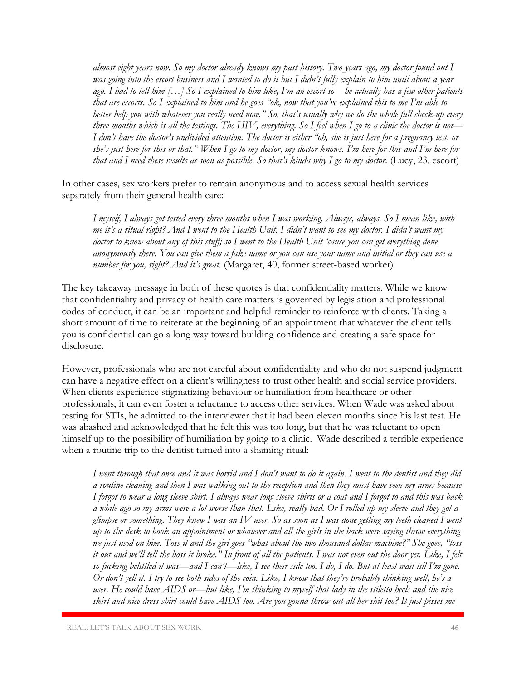*almost eight years now. So my doctor already knows my past history. Two years ago, my doctor found out I was going into the escort business and I wanted to do it but I didn't fully explain to him until about a year ago. I had to tell him […] So I explained to him like, I'm an escort so—he actually has a few other patients that are escorts. So I explained to him and he goes "ok, now that you've explained this to me I'm able to better help you with whatever you really need now." So, that's usually why we do the whole full check-up every three months which is all the testings. The HIV, everything. So I feel when I go to a clinic the doctor is not— I don't have the doctor's undivided attention. The doctor is either "oh, she is just here for a pregnancy test, or she's just here for this or that." When I go to my doctor, my doctor knows. I'm here for this and I'm here for that and I need these results as soon as possible. So that's kinda why I go to my doctor.* (Lucy, 23, escort)

In other cases, sex workers prefer to remain anonymous and to access sexual health services separately from their general health care:

*I myself, I always got tested every three months when I was working. Always, always. So I mean like, with me it's a ritual right? And I went to the Health Unit. I didn't want to see my doctor. I didn't want my doctor to know about any of this stuff; so I went to the Health Unit 'cause you can get everything done anonymously there. You can give them a fake name or you can use your name and initial or they can use a number for you, right? And it's great.* (Margaret, 40, former street-based worker)

The key takeaway message in both of these quotes is that confidentiality matters. While we know that confidentiality and privacy of health care matters is governed by legislation and professional codes of conduct, it can be an important and helpful reminder to reinforce with clients. Taking a short amount of time to reiterate at the beginning of an appointment that whatever the client tells you is confidential can go a long way toward building confidence and creating a safe space for disclosure.

However, professionals who are not careful about confidentiality and who do not suspend judgment can have a negative effect on a client's willingness to trust other health and social service providers. When clients experience stigmatizing behaviour or humiliation from healthcare or other professionals, it can even foster a reluctance to access other services. When Wade was asked about testing for STIs, he admitted to the interviewer that it had been eleven months since his last test. He was abashed and acknowledged that he felt this was too long, but that he was reluctant to open himself up to the possibility of humiliation by going to a clinic. Wade described a terrible experience when a routine trip to the dentist turned into a shaming ritual:

*I went through that once and it was horrid and I don't want to do it again. I went to the dentist and they did a routine cleaning and then I was walking out to the reception and then they must have seen my arms because I forgot to wear a long sleeve shirt. I always wear long sleeve shirts or a coat and I forgot to and this was back a while ago so my arms were a lot worse than that. Like, really bad. Or I rolled up my sleeve and they got a glimpse or something. They knew I was an IV user. So as soon as I was done getting my teeth cleaned I went up to the desk to book an appointment or whatever and all the girls in the back were saying throw everything we just used on him. Toss it and the girl goes "what about the two thousand dollar machine?" She goes, "toss it out and we'll tell the boss it broke." In front of all the patients. I was not even out the door yet. Like, I felt so fucking belittled it was—and I can't—like, I see their side too. I do, I do. But at least wait till I'm gone. Or don't yell it. I try to see both sides of the coin. Like, I know that they're probably thinking well, he's a user. He could have AIDS or—but like, I'm thinking to myself that lady in the stiletto heels and the nice skirt and nice dress shirt could have AIDS too. Are you gonna throw out all her shit too? It just pisses me*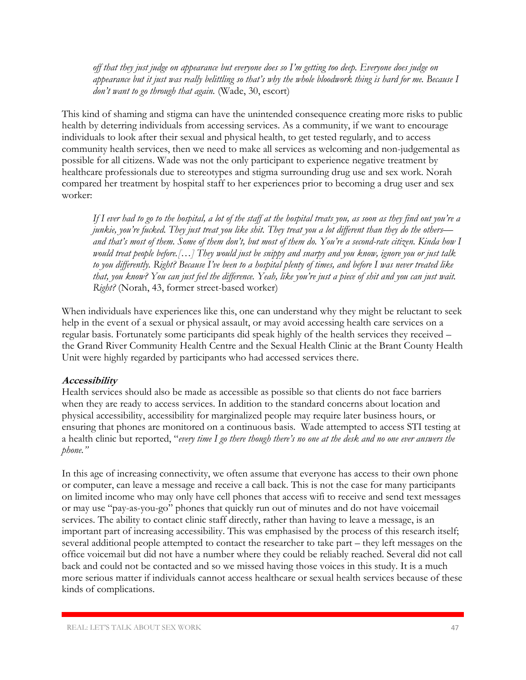*off that they just judge on appearance but everyone does so I'm getting too deep. Everyone does judge on appearance but it just was really belittling so that's why the whole bloodwork thing is hard for me. Because I don't want to go through that again.* (Wade, 30, escort)

This kind of shaming and stigma can have the unintended consequence creating more risks to public health by deterring individuals from accessing services. As a community, if we want to encourage individuals to look after their sexual and physical health, to get tested regularly, and to access community health services, then we need to make all services as welcoming and non-judgemental as possible for all citizens. Wade was not the only participant to experience negative treatment by healthcare professionals due to stereotypes and stigma surrounding drug use and sex work. Norah compared her treatment by hospital staff to her experiences prior to becoming a drug user and sex worker:

*If I ever had to go to the hospital, a lot of the staff at the hospital treats you, as soon as they find out you're a junkie, you're fucked. They just treat you like shit. They treat you a lot different than they do the others and that's most of them. Some of them don't, but most of them do. You're a second-rate citizen. Kinda how I would treat people before.[…] They would just be snippy and snarpy and you know, ignore you or just talk to you differently. Right? Because I've been to a hospital plenty of times, and before I was never treated like that, you know? You can just feel the difference. Yeah, like you're just a piece of shit and you can just wait. Right?* (Norah, 43, former street-based worker)

When individuals have experiences like this, one can understand why they might be reluctant to seek help in the event of a sexual or physical assault, or may avoid accessing health care services on a regular basis. Fortunately some participants did speak highly of the health services they received – the Grand River Community Health Centre and the Sexual Health Clinic at the Brant County Health Unit were highly regarded by participants who had accessed services there.

#### **Accessibility**

Health services should also be made as accessible as possible so that clients do not face barriers when they are ready to access services. In addition to the standard concerns about location and physical accessibility, accessibility for marginalized people may require later business hours, or ensuring that phones are monitored on a continuous basis. Wade attempted to access STI testing at a health clinic but reported, "*every time I go there though there's no one at the desk and no one ever answers the phone."*

In this age of increasing connectivity, we often assume that everyone has access to their own phone or computer, can leave a message and receive a call back. This is not the case for many participants on limited income who may only have cell phones that access wifi to receive and send text messages or may use "pay-as-you-go" phones that quickly run out of minutes and do not have voicemail services. The ability to contact clinic staff directly, rather than having to leave a message, is an important part of increasing accessibility. This was emphasised by the process of this research itself; several additional people attempted to contact the researcher to take part – they left messages on the office voicemail but did not have a number where they could be reliably reached. Several did not call back and could not be contacted and so we missed having those voices in this study. It is a much more serious matter if individuals cannot access healthcare or sexual health services because of these kinds of complications.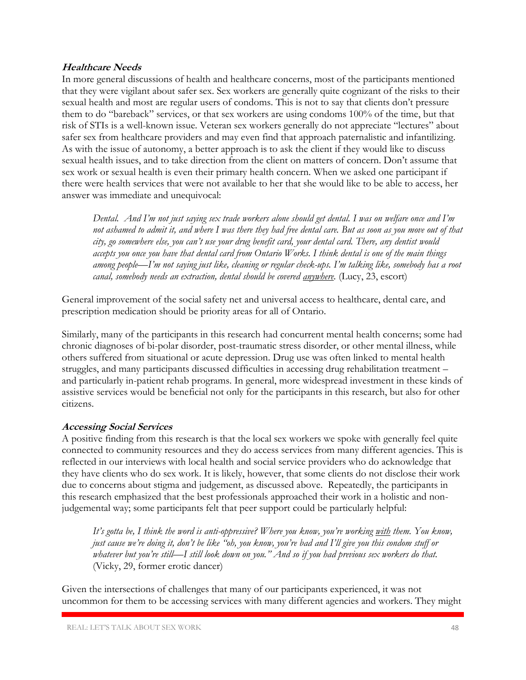#### **Healthcare Needs**

In more general discussions of health and healthcare concerns, most of the participants mentioned that they were vigilant about safer sex. Sex workers are generally quite cognizant of the risks to their sexual health and most are regular users of condoms. This is not to say that clients don't pressure them to do "bareback" services, or that sex workers are using condoms 100% of the time, but that risk of STIs is a well-known issue. Veteran sex workers generally do not appreciate "lectures" about safer sex from healthcare providers and may even find that approach paternalistic and infantilizing. As with the issue of autonomy, a better approach is to ask the client if they would like to discuss sexual health issues, and to take direction from the client on matters of concern. Don't assume that sex work or sexual health is even their primary health concern. When we asked one participant if there were health services that were not available to her that she would like to be able to access, her answer was immediate and unequivocal:

*Dental. And I'm not just saying sex trade workers alone should get dental. I was on welfare once and I'm not ashamed to admit it, and where I was there they had free dental care. But as soon as you move out of that city, go somewhere else, you can't use your drug benefit card, your dental card. There, any dentist would accepts you once you have that dental card from Ontario Works. I think dental is one of the main things among people—I'm not saying just like, cleaning or regular check-ups. I'm talking like, somebody has a root canal, somebody needs an extraction, dental should be covered anywhere.* (Lucy, 23, escort)

General improvement of the social safety net and universal access to healthcare, dental care, and prescription medication should be priority areas for all of Ontario.

Similarly, many of the participants in this research had concurrent mental health concerns; some had chronic diagnoses of bi-polar disorder, post-traumatic stress disorder, or other mental illness, while others suffered from situational or acute depression. Drug use was often linked to mental health struggles, and many participants discussed difficulties in accessing drug rehabilitation treatment – and particularly in-patient rehab programs. In general, more widespread investment in these kinds of assistive services would be beneficial not only for the participants in this research, but also for other citizens.

#### **Accessing Social Services**

A positive finding from this research is that the local sex workers we spoke with generally feel quite connected to community resources and they do access services from many different agencies. This is reflected in our interviews with local health and social service providers who do acknowledge that they have clients who do sex work. It is likely, however, that some clients do not disclose their work due to concerns about stigma and judgement, as discussed above. Repeatedly, the participants in this research emphasized that the best professionals approached their work in a holistic and nonjudgemental way; some participants felt that peer support could be particularly helpful:

*It's gotta be, I think the word is anti-oppressive? Where you know, you're working with them. You know, just cause we're doing it, don't be like "oh, you know, you're bad and I'll give you this condom stuff or whatever but you're still—I still look down on you." And so if you had previous sex workers do that.*  (Vicky, 29, former erotic dancer)

Given the intersections of challenges that many of our participants experienced, it was not uncommon for them to be accessing services with many different agencies and workers. They might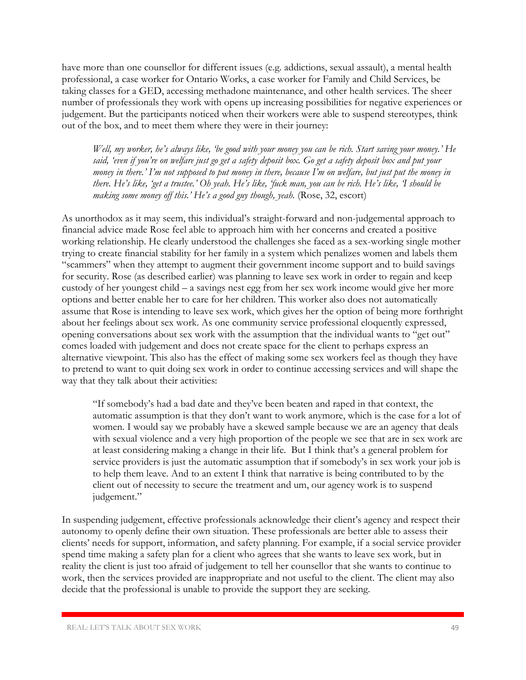have more than one counsellor for different issues (e.g. addictions, sexual assault), a mental health professional, a case worker for Ontario Works, a case worker for Family and Child Services, be taking classes for a GED, accessing methadone maintenance, and other health services. The sheer number of professionals they work with opens up increasing possibilities for negative experiences or judgement. But the participants noticed when their workers were able to suspend stereotypes, think out of the box, and to meet them where they were in their journey:

*Well, my worker, he's always like, 'be good with your money you can be rich. Start saving your money.' He said, 'even if you're on welfare just go get a safety deposit box. Go get a safety deposit box and put your money in there.' I'm not supposed to put money in there, because I'm on welfare, but just put the money in there. He's like, 'get a trustee.' Oh yeah. He's like, 'fuck man, you can be rich. He's like, 'I should be making some money off this.' He's a good guy though, yeah.* (Rose, 32, escort)

As unorthodox as it may seem, this individual's straight-forward and non-judgemental approach to financial advice made Rose feel able to approach him with her concerns and created a positive working relationship. He clearly understood the challenges she faced as a sex-working single mother trying to create financial stability for her family in a system which penalizes women and labels them "scammers" when they attempt to augment their government income support and to build savings for security. Rose (as described earlier) was planning to leave sex work in order to regain and keep custody of her youngest child – a savings nest egg from her sex work income would give her more options and better enable her to care for her children. This worker also does not automatically assume that Rose is intending to leave sex work, which gives her the option of being more forthright about her feelings about sex work. As one community service professional eloquently expressed, opening conversations about sex work with the assumption that the individual wants to "get out" comes loaded with judgement and does not create space for the client to perhaps express an alternative viewpoint. This also has the effect of making some sex workers feel as though they have to pretend to want to quit doing sex work in order to continue accessing services and will shape the way that they talk about their activities:

"If somebody's had a bad date and they've been beaten and raped in that context, the automatic assumption is that they don't want to work anymore, which is the case for a lot of women. I would say we probably have a skewed sample because we are an agency that deals with sexual violence and a very high proportion of the people we see that are in sex work are at least considering making a change in their life. But I think that's a general problem for service providers is just the automatic assumption that if somebody's in sex work your job is to help them leave. And to an extent I think that narrative is being contributed to by the client out of necessity to secure the treatment and um, our agency work is to suspend judgement."

In suspending judgement, effective professionals acknowledge their client's agency and respect their autonomy to openly define their own situation. These professionals are better able to assess their clients' needs for support, information, and safety planning. For example, if a social service provider spend time making a safety plan for a client who agrees that she wants to leave sex work, but in reality the client is just too afraid of judgement to tell her counsellor that she wants to continue to work, then the services provided are inappropriate and not useful to the client. The client may also decide that the professional is unable to provide the support they are seeking.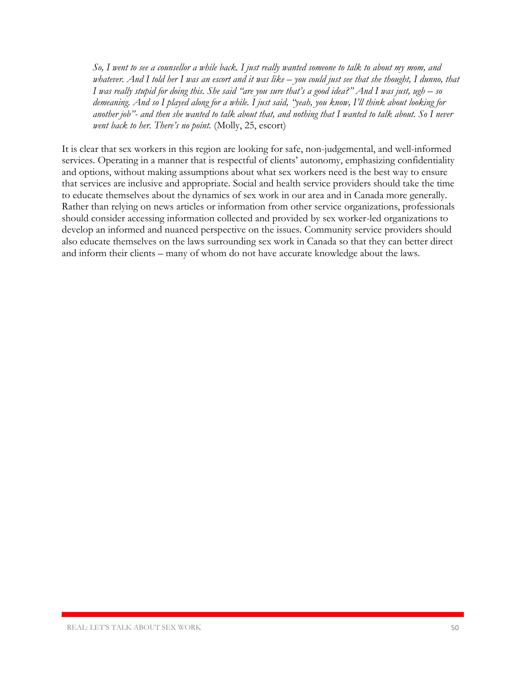*So, I went to see a counsellor a while back. I just really wanted someone to talk to about my mom, and whatever. And I told her I was an escort and it was like – you could just see that she thought, I dunno, that I was really stupid for doing this. She said "are you sure that's a good idea?" And I was just, ugh – so demeaning. And so I played along for a while. I just said, "yeah, you know, I'll think about looking for another job"- and then she wanted to talk about that, and nothing that I wanted to talk about. So I never went back to her. There's no point.* (Molly, 25, escort)

It is clear that sex workers in this region are looking for safe, non-judgemental, and well-informed services. Operating in a manner that is respectful of clients' autonomy, emphasizing confidentiality and options, without making assumptions about what sex workers need is the best way to ensure that services are inclusive and appropriate. Social and health service providers should take the time to educate themselves about the dynamics of sex work in our area and in Canada more generally. Rather than relying on news articles or information from other service organizations, professionals should consider accessing information collected and provided by sex worker-led organizations to develop an informed and nuanced perspective on the issues. Community service providers should also educate themselves on the laws surrounding sex work in Canada so that they can better direct and inform their clients – many of whom do not have accurate knowledge about the laws.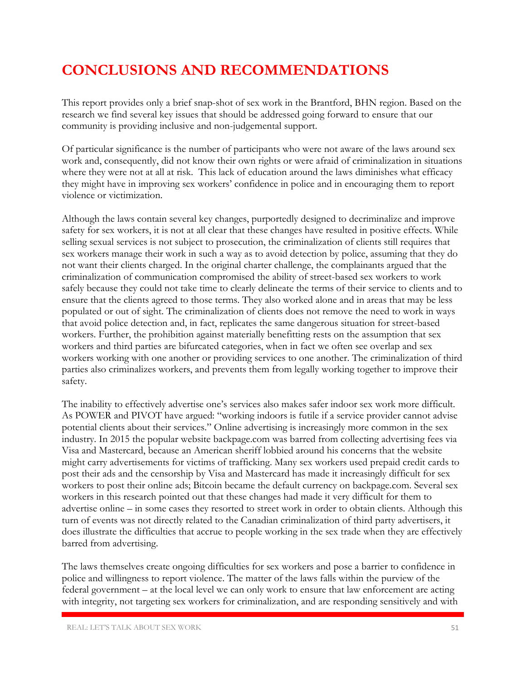### **CONCLUSIONS AND RECOMMENDATIONS**

This report provides only a brief snap-shot of sex work in the Brantford, BHN region. Based on the research we find several key issues that should be addressed going forward to ensure that our community is providing inclusive and non-judgemental support.

Of particular significance is the number of participants who were not aware of the laws around sex work and, consequently, did not know their own rights or were afraid of criminalization in situations where they were not at all at risk. This lack of education around the laws diminishes what efficacy they might have in improving sex workers' confidence in police and in encouraging them to report violence or victimization.

Although the laws contain several key changes, purportedly designed to decriminalize and improve safety for sex workers, it is not at all clear that these changes have resulted in positive effects. While selling sexual services is not subject to prosecution, the criminalization of clients still requires that sex workers manage their work in such a way as to avoid detection by police, assuming that they do not want their clients charged. In the original charter challenge, the complainants argued that the criminalization of communication compromised the ability of street-based sex workers to work safely because they could not take time to clearly delineate the terms of their service to clients and to ensure that the clients agreed to those terms. They also worked alone and in areas that may be less populated or out of sight. The criminalization of clients does not remove the need to work in ways that avoid police detection and, in fact, replicates the same dangerous situation for street-based workers. Further, the prohibition against materially benefitting rests on the assumption that sex workers and third parties are bifurcated categories, when in fact we often see overlap and sex workers working with one another or providing services to one another. The criminalization of third parties also criminalizes workers, and prevents them from legally working together to improve their safety.

The inability to effectively advertise one's services also makes safer indoor sex work more difficult. As POWER and PIVOT have argued: "working indoors is futile if a service provider cannot advise potential clients about their services." Online advertising is increasingly more common in the sex industry. In 2015 the popular website backpage.com was barred from collecting advertising fees via Visa and Mastercard, because an American sheriff lobbied around his concerns that the website might carry advertisements for victims of trafficking. Many sex workers used prepaid credit cards to post their ads and the censorship by Visa and Mastercard has made it increasingly difficult for sex workers to post their online ads; Bitcoin became the default currency on backpage.com. Several sex workers in this research pointed out that these changes had made it very difficult for them to advertise online – in some cases they resorted to street work in order to obtain clients. Although this turn of events was not directly related to the Canadian criminalization of third party advertisers, it does illustrate the difficulties that accrue to people working in the sex trade when they are effectively barred from advertising.

The laws themselves create ongoing difficulties for sex workers and pose a barrier to confidence in police and willingness to report violence. The matter of the laws falls within the purview of the federal government – at the local level we can only work to ensure that law enforcement are acting with integrity, not targeting sex workers for criminalization, and are responding sensitively and with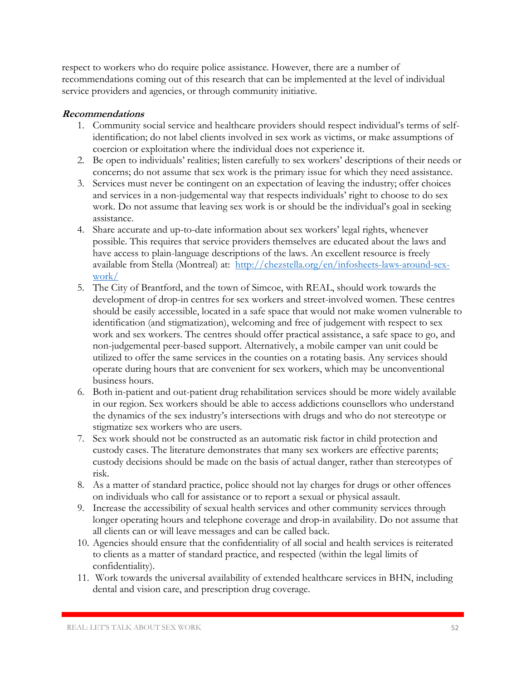respect to workers who do require police assistance. However, there are a number of recommendations coming out of this research that can be implemented at the level of individual service providers and agencies, or through community initiative.

#### **Recommendations**

- 1. Community social service and healthcare providers should respect individual's terms of selfidentification; do not label clients involved in sex work as victims, or make assumptions of coercion or exploitation where the individual does not experience it.
- 2. Be open to individuals' realities; listen carefully to sex workers' descriptions of their needs or concerns; do not assume that sex work is the primary issue for which they need assistance.
- 3. Services must never be contingent on an expectation of leaving the industry; offer choices and services in a non-judgemental way that respects individuals' right to choose to do sex work. Do not assume that leaving sex work is or should be the individual's goal in seeking assistance.
- 4. Share accurate and up-to-date information about sex workers' legal rights, whenever possible. This requires that service providers themselves are educated about the laws and have access to plain-language descriptions of the laws. An excellent resource is freely available from Stella (Montreal) at: [http://chezstella.org/en/infosheets-laws-around-sex](http://chezstella.org/en/infosheets-laws-around-sex-work/)[work/](http://chezstella.org/en/infosheets-laws-around-sex-work/)
- 5. The City of Brantford, and the town of Simcoe, with REAL, should work towards the development of drop-in centres for sex workers and street-involved women. These centres should be easily accessible, located in a safe space that would not make women vulnerable to identification (and stigmatization), welcoming and free of judgement with respect to sex work and sex workers. The centres should offer practical assistance, a safe space to go, and non-judgemental peer-based support. Alternatively, a mobile camper van unit could be utilized to offer the same services in the counties on a rotating basis. Any services should operate during hours that are convenient for sex workers, which may be unconventional business hours.
- 6. Both in-patient and out-patient drug rehabilitation services should be more widely available in our region. Sex workers should be able to access addictions counsellors who understand the dynamics of the sex industry's intersections with drugs and who do not stereotype or stigmatize sex workers who are users.
- 7. Sex work should not be constructed as an automatic risk factor in child protection and custody cases. The literature demonstrates that many sex workers are effective parents; custody decisions should be made on the basis of actual danger, rather than stereotypes of risk.
- 8. As a matter of standard practice, police should not lay charges for drugs or other offences on individuals who call for assistance or to report a sexual or physical assault.
- 9. Increase the accessibility of sexual health services and other community services through longer operating hours and telephone coverage and drop-in availability. Do not assume that all clients can or will leave messages and can be called back.
- 10. Agencies should ensure that the confidentiality of all social and health services is reiterated to clients as a matter of standard practice, and respected (within the legal limits of confidentiality).
- 11. Work towards the universal availability of extended healthcare services in BHN, including dental and vision care, and prescription drug coverage.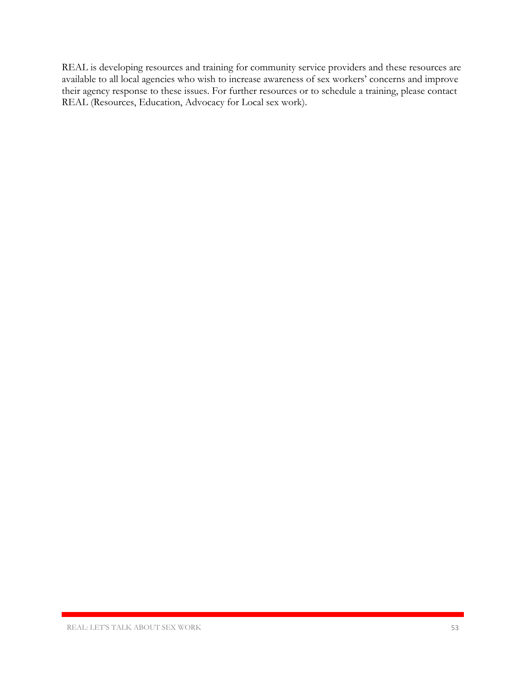REAL is developing resources and training for community service providers and these resources are available to all local agencies who wish to increase awareness of sex workers' concerns and improve their agency response to these issues. For further resources or to schedule a training, please contact REAL (Resources, Education, Advocacy for Local sex work).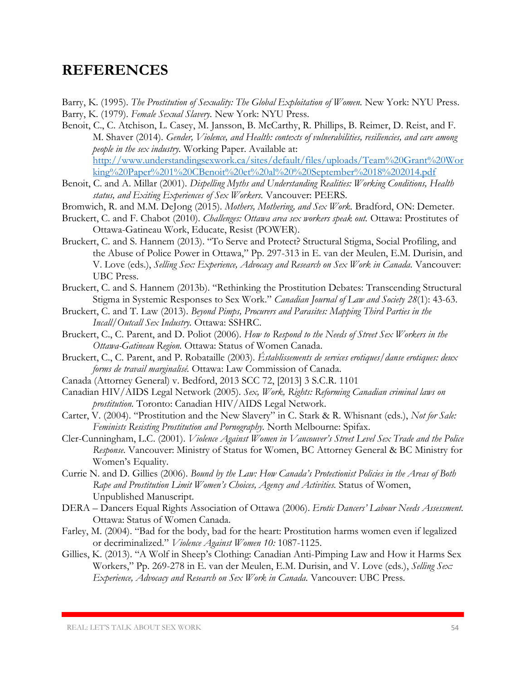### **REFERENCES**

- Barry, K. (1995). *The Prostitution of Sexuality: The Global Exploitation of Women.* New York: NYU Press. Barry, K. (1979). *Female Sexual Slavery.* New York: NYU Press.
- Benoit, C., C. Atchison, L. Casey, M. Jansson, B. McCarthy, R. Phillips, B. Reimer, D. Reist, and F. M. Shaver (2014). *Gender, Violence, and Health: contexts of vulnerabilities, resiliencies, and care among people in the sex industry.* Working Paper. Available at: [http://www.understandingsexwork.ca/sites/default/files/uploads/Team%20Grant%20Wor](http://www.understandingsexwork.ca/sites/default/files/uploads/Team%20Grant%20Working%20Paper%201%20CBenoit%20et%20al%20%20September%2018%202014.pdf) [king%20Paper%201%20CBenoit%20et%20al%20%20September%2018%202014.pdf](http://www.understandingsexwork.ca/sites/default/files/uploads/Team%20Grant%20Working%20Paper%201%20CBenoit%20et%20al%20%20September%2018%202014.pdf)
- Benoit, C. and A. Millar (2001). *Dispelling Myths and Understanding Realities: Working Conditions, Health status, and Exiting Experiences of Sex Workers.* Vancouver: PEERS.
- Bromwich, R. and M.M. DeJong (2015). *Mothers, Mothering, and Sex Work.* Bradford, ON: Demeter.
- Bruckert, C. and F. Chabot (2010). *Challenges: Ottawa area sex workers speak out.* Ottawa: Prostitutes of Ottawa-Gatineau Work, Educate, Resist (POWER).
- Bruckert, C. and S. Hannem (2013). "To Serve and Protect? Structural Stigma, Social Profiling, and the Abuse of Police Power in Ottawa," Pp. 297-313 in E. van der Meulen, E.M. Durisin, and V. Love (eds.), *Selling Sex: Experience, Advocacy and Research on Sex Work in Canada.* Vancouver: UBC Press.
- Bruckert, C. and S. Hannem (2013b). "Rethinking the Prostitution Debates: Transcending Structural Stigma in Systemic Responses to Sex Work." *Canadian Journal of Law and Society 28*(1): 43-63.
- Bruckert, C. and T. Law (2013). *Beyond Pimps, Procurers and Parasites: Mapping Third Parties in the Incall/Outcall Sex Industry.* Ottawa: SSHRC.
- Bruckert, C., C. Parent, and D. Poliot (2006). *How to Respond to the Needs of Street Sex Workers in the Ottawa-Gatineau Region.* Ottawa: Status of Women Canada.
- Bruckert, C., C. Parent, and P. Robataille (2003). *Éstablissements de services erotiques/danse erotiques: deux forms de travail marginalisé.* Ottawa: Law Commission of Canada.
- Canada (Attorney General) v. Bedford, 2013 SCC 72, [2013] 3 S.C.R. 1101
- Canadian HIV/AIDS Legal Network (2005). *Sex, Work, Rights: Reforming Canadian criminal laws on prostitution.* Toronto: Canadian HIV/AIDS Legal Network.
- Carter, V. (2004). "Prostitution and the New Slavery" in C. Stark & R. Whisnant (eds.), *Not for Sale: Feminists Resisting Prostitution and Pornography.* North Melbourne: Spifax.
- Cler-Cunningham, L.C. (2001). *Violence Against Women in Vancouver's Street Level Sex Trade and the Police Response.* Vancouver: Ministry of Status for Women, BC Attorney General & BC Ministry for Women's Equality.
- Currie N. and D. Gillies (2006). *Bound by the Law: How Canada's Protectionist Policies in the Areas of Both Rape and Prostitution Limit Women's Choices, Agency and Activities.* Status of Women, Unpublished Manuscript.
- DERA Dancers Equal Rights Association of Ottawa (2006). *Erotic Dancers' Labour Needs Assessment.*  Ottawa: Status of Women Canada.
- Farley, M. (2004). "Bad for the body, bad for the heart: Prostitution harms women even if legalized or decriminalized." *Violence Against Women 10:* 1087-1125.
- Gillies, K. (2013). "A Wolf in Sheep's Clothing: Canadian Anti-Pimping Law and How it Harms Sex Workers," Pp. 269-278 in E. van der Meulen, E.M. Durisin, and V. Love (eds.), *Selling Sex: Experience, Advocacy and Research on Sex Work in Canada.* Vancouver: UBC Press.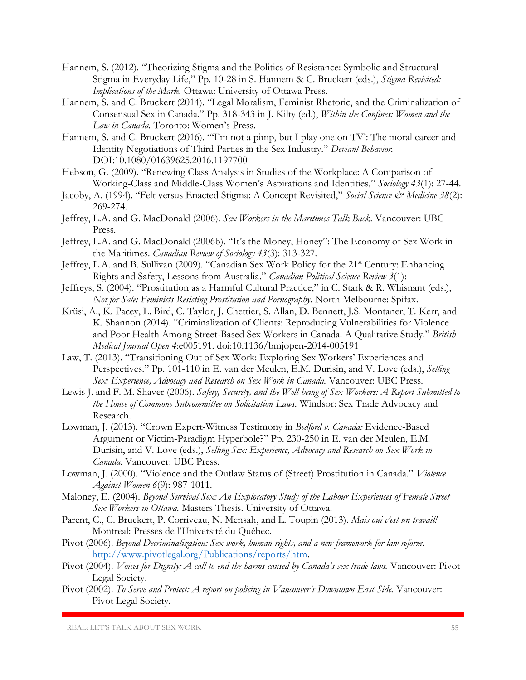- Hannem, S. (2012). "Theorizing Stigma and the Politics of Resistance: Symbolic and Structural Stigma in Everyday Life," Pp. 10-28 in S. Hannem & C. Bruckert (eds.), *Stigma Revisited: Implications of the Mark.* Ottawa: University of Ottawa Press.
- Hannem, S. and C. Bruckert (2014). "Legal Moralism, Feminist Rhetoric, and the Criminalization of Consensual Sex in Canada." Pp. 318-343 in J. Kilty (ed.), *Within the Confines: Women and the Law in Canada.* Toronto: Women's Press.
- Hannem, S. and C. Bruckert (2016). "'I'm not a pimp, but I play one on TV': The moral career and Identity Negotiations of Third Parties in the Sex Industry." *Deviant Behavior.*  DOI:10.1080/01639625.2016.1197700
- Hebson, G. (2009). "Renewing Class Analysis in Studies of the Workplace: A Comparison of Working-Class and Middle-Class Women's Aspirations and Identities," *Sociology 43*(1): 27-44.
- Jacoby, A. (1994). "Felt versus Enacted Stigma: A Concept Revisited," Social Science & Medicine 38(2): 269-274.
- Jeffrey, L.A. and G. MacDonald (2006). *Sex Workers in the Maritimes Talk Back.* Vancouver: UBC Press.
- Jeffrey, L.A. and G. MacDonald (2006b). "It's the Money, Honey": The Economy of Sex Work in the Maritimes. *Canadian Review of Sociology 43*(3): 313-327.
- Jeffrey, L.A. and B. Sullivan (2009). "Canadian Sex Work Policy for the 21<sup>st</sup> Century: Enhancing Rights and Safety, Lessons from Australia." *Canadian Political Science Review 3*(1):
- Jeffreys, S. (2004). "Prostitution as a Harmful Cultural Practice," in C. Stark & R. Whisnant (eds.), *Not for Sale: Feminists Resisting Prostitution and Pornography.* North Melbourne: Spifax.
- Krüsi, A., K. Pacey, L. Bird, C. Taylor, J. Chettier, S. Allan, D. Bennett, J.S. Montaner, T. Kerr, and K. Shannon (2014). "Criminalization of Clients: Reproducing Vulnerabilities for Violence and Poor Health Among Street-Based Sex Workers in Canada. A Qualitative Study." *British Medical Journal Open 4*:e005191. doi:10.1136/bmjopen-2014-005191
- Law, T. (2013). "Transitioning Out of Sex Work: Exploring Sex Workers' Experiences and Perspectives." Pp. 101-110 in E. van der Meulen, E.M. Durisin, and V. Love (eds.), *Selling*  Sex: Experience, Advocacy and Research on Sex Work in Canada. Vancouver: UBC Press.
- Lewis J. and F. M. Shaver (2006). *Safety, Security, and the Well-being of Sex Workers: A Report Submitted to the House of Commons Subcommittee on Solicitation Laws.* Windsor: Sex Trade Advocacy and Research.
- Lowman, J. (2013). "Crown Expert-Witness Testimony in *Bedford v. Canada:* Evidence-Based Argument or Victim-Paradigm Hyperbole?" Pp. 230-250 in E. van der Meulen, E.M. Durisin, and V. Love (eds.), *Selling Sex: Experience, Advocacy and Research on Sex Work in Canada.* Vancouver: UBC Press.
- Lowman, J. (2000). "Violence and the Outlaw Status of (Street) Prostitution in Canada." *Violence Against Women 6*(9): 987-1011.
- Maloney, E. (2004). *Beyond Survival Sex: An Exploratory Study of the Labour Experiences of Female Street Sex Workers in Ottawa.* Masters Thesis. University of Ottawa.
- Parent, C., C. Bruckert, P. Corriveau, N. Mensah, and L. Toupin (2013). *Mais oui c'est un travail!*  Montreal: Presses de l'Université du Québec.
- Pivot (2006). *Beyond Decriminalization: Sex work, human rights, and a new framework for law reform.*  [http://www.pivotlegal.org/Publications/reports/htm.](http://www.pivotlegal.org/Publications/reports/htm)
- Pivot (2004). *Voices for Dignity: A call to end the harms caused by Canada's sex trade laws.* Vancouver: Pivot Legal Society.
- Pivot (2002). To Serve and Protect: A report on policing in Vancouver's Downtown East Side. Vancouver: Pivot Legal Society.

REAL: LET'S TALK ABOUT SEX WORK 55